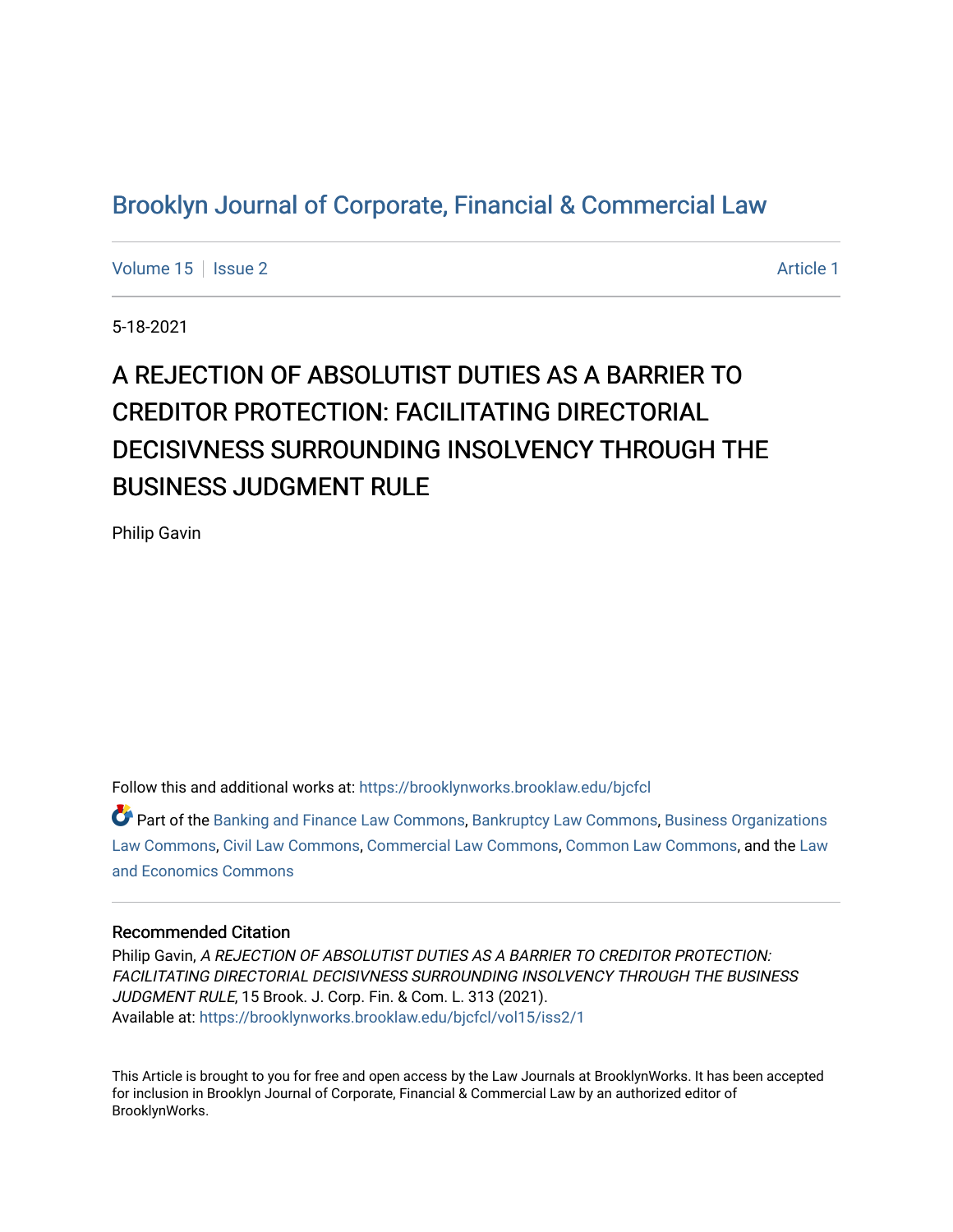## [Brooklyn Journal of Corporate, Financial & Commercial Law](https://brooklynworks.brooklaw.edu/bjcfcl)

[Volume 15](https://brooklynworks.brooklaw.edu/bjcfcl/vol15) | [Issue 2](https://brooklynworks.brooklaw.edu/bjcfcl/vol15/iss2) Article 1

5-18-2021

# A REJECTION OF ABSOLUTIST DUTIES AS A BARRIER TO CREDITOR PROTECTION: FACILITATING DIRECTORIAL DECISIVNESS SURROUNDING INSOLVENCY THROUGH THE BUSINESS JUDGMENT RULE

Philip Gavin

Follow this and additional works at: [https://brooklynworks.brooklaw.edu/bjcfcl](https://brooklynworks.brooklaw.edu/bjcfcl?utm_source=brooklynworks.brooklaw.edu%2Fbjcfcl%2Fvol15%2Fiss2%2F1&utm_medium=PDF&utm_campaign=PDFCoverPages)

Part of the [Banking and Finance Law Commons,](http://network.bepress.com/hgg/discipline/833?utm_source=brooklynworks.brooklaw.edu%2Fbjcfcl%2Fvol15%2Fiss2%2F1&utm_medium=PDF&utm_campaign=PDFCoverPages) [Bankruptcy Law Commons,](http://network.bepress.com/hgg/discipline/583?utm_source=brooklynworks.brooklaw.edu%2Fbjcfcl%2Fvol15%2Fiss2%2F1&utm_medium=PDF&utm_campaign=PDFCoverPages) [Business Organizations](http://network.bepress.com/hgg/discipline/900?utm_source=brooklynworks.brooklaw.edu%2Fbjcfcl%2Fvol15%2Fiss2%2F1&utm_medium=PDF&utm_campaign=PDFCoverPages)  [Law Commons,](http://network.bepress.com/hgg/discipline/900?utm_source=brooklynworks.brooklaw.edu%2Fbjcfcl%2Fvol15%2Fiss2%2F1&utm_medium=PDF&utm_campaign=PDFCoverPages) [Civil Law Commons](http://network.bepress.com/hgg/discipline/835?utm_source=brooklynworks.brooklaw.edu%2Fbjcfcl%2Fvol15%2Fiss2%2F1&utm_medium=PDF&utm_campaign=PDFCoverPages), [Commercial Law Commons](http://network.bepress.com/hgg/discipline/586?utm_source=brooklynworks.brooklaw.edu%2Fbjcfcl%2Fvol15%2Fiss2%2F1&utm_medium=PDF&utm_campaign=PDFCoverPages), [Common Law Commons,](http://network.bepress.com/hgg/discipline/1120?utm_source=brooklynworks.brooklaw.edu%2Fbjcfcl%2Fvol15%2Fiss2%2F1&utm_medium=PDF&utm_campaign=PDFCoverPages) and the [Law](http://network.bepress.com/hgg/discipline/612?utm_source=brooklynworks.brooklaw.edu%2Fbjcfcl%2Fvol15%2Fiss2%2F1&utm_medium=PDF&utm_campaign=PDFCoverPages) [and Economics Commons](http://network.bepress.com/hgg/discipline/612?utm_source=brooklynworks.brooklaw.edu%2Fbjcfcl%2Fvol15%2Fiss2%2F1&utm_medium=PDF&utm_campaign=PDFCoverPages) 

#### Recommended Citation

Philip Gavin, A REJECTION OF ABSOLUTIST DUTIES AS A BARRIER TO CREDITOR PROTECTION: FACILITATING DIRECTORIAL DECISIVNESS SURROUNDING INSOLVENCY THROUGH THE BUSINESS JUDGMENT RULE, 15 Brook. J. Corp. Fin. & Com. L. 313 (2021). Available at: [https://brooklynworks.brooklaw.edu/bjcfcl/vol15/iss2/1](https://brooklynworks.brooklaw.edu/bjcfcl/vol15/iss2/1?utm_source=brooklynworks.brooklaw.edu%2Fbjcfcl%2Fvol15%2Fiss2%2F1&utm_medium=PDF&utm_campaign=PDFCoverPages)

This Article is brought to you for free and open access by the Law Journals at BrooklynWorks. It has been accepted for inclusion in Brooklyn Journal of Corporate, Financial & Commercial Law by an authorized editor of BrooklynWorks.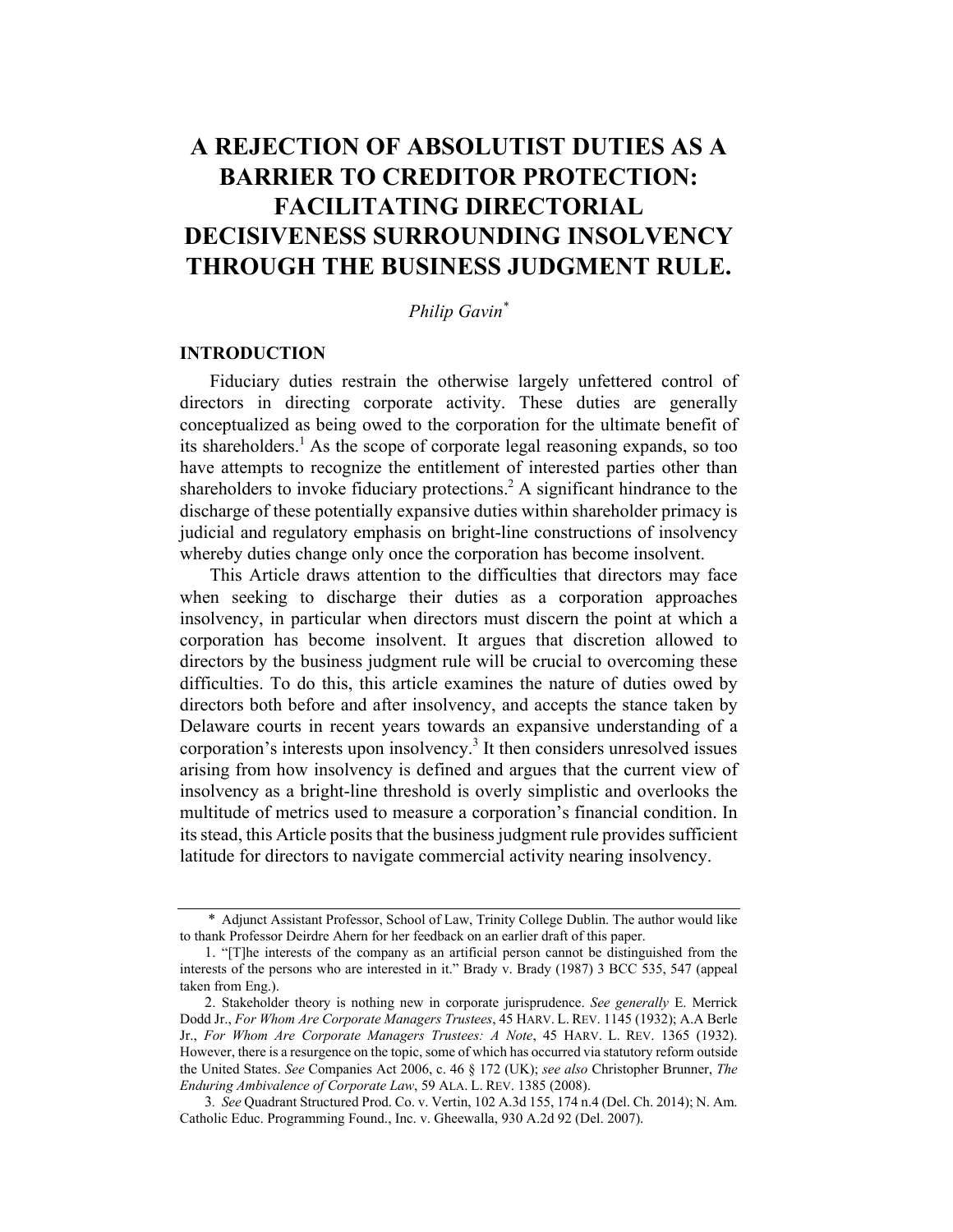## A REJECTION OF ABSOLUTIST DUTIES AS A BARRIER TO CREDITOR PROTECTION: FACILITATING DIRECTORIAL DECISIVENESS SURROUNDING INSOLVENCY THROUGH THE BUSINESS JUDGMENT RULE.

Philip Gavin\*

#### INTRODUCTION

Fiduciary duties restrain the otherwise largely unfettered control of directors in directing corporate activity. These duties are generally conceptualized as being owed to the corporation for the ultimate benefit of its shareholders.<sup>1</sup> As the scope of corporate legal reasoning expands, so too have attempts to recognize the entitlement of interested parties other than shareholders to invoke fiduciary protections.<sup>2</sup> A significant hindrance to the discharge of these potentially expansive duties within shareholder primacy is judicial and regulatory emphasis on bright-line constructions of insolvency whereby duties change only once the corporation has become insolvent.

This Article draws attention to the difficulties that directors may face when seeking to discharge their duties as a corporation approaches insolvency, in particular when directors must discern the point at which a corporation has become insolvent. It argues that discretion allowed to directors by the business judgment rule will be crucial to overcoming these difficulties. To do this, this article examines the nature of duties owed by directors both before and after insolvency, and accepts the stance taken by Delaware courts in recent years towards an expansive understanding of a corporation's interests upon insolvency.<sup>3</sup> It then considers unresolved issues arising from how insolvency is defined and argues that the current view of insolvency as a bright-line threshold is overly simplistic and overlooks the multitude of metrics used to measure a corporation's financial condition. In its stead, this Article posits that the business judgment rule provides sufficient latitude for directors to navigate commercial activity nearing insolvency.

<sup>\*</sup> Adjunct Assistant Professor, School of Law, Trinity College Dublin. The author would like to thank Professor Deirdre Ahern for her feedback on an earlier draft of this paper.

<sup>1.</sup> "[T]he interests of the company as an artificial person cannot be distinguished from the interests of the persons who are interested in it." Brady v. Brady (1987) 3 BCC 535, 547 (appeal taken from Eng.).

<sup>2.</sup> Stakeholder theory is nothing new in corporate jurisprudence. See generally E. Merrick Dodd Jr., For Whom Are Corporate Managers Trustees, 45 HARV. L. REV. 1145 (1932); A.A Berle Jr., For Whom Are Corporate Managers Trustees: A Note, 45 HARV. L. REV. 1365 (1932). However, there is a resurgence on the topic, some of which has occurred via statutory reform outside the United States. See Companies Act 2006, c. 46 § 172 (UK); see also Christopher Brunner, The Enduring Ambivalence of Corporate Law, 59 ALA. L. REV. 1385 (2008).

<sup>3</sup>. See Quadrant Structured Prod. Co. v. Vertin, 102 A.3d 155, 174 n.4 (Del. Ch. 2014); N. Am. Catholic Educ. Programming Found., Inc. v. Gheewalla, 930 A.2d 92 (Del. 2007).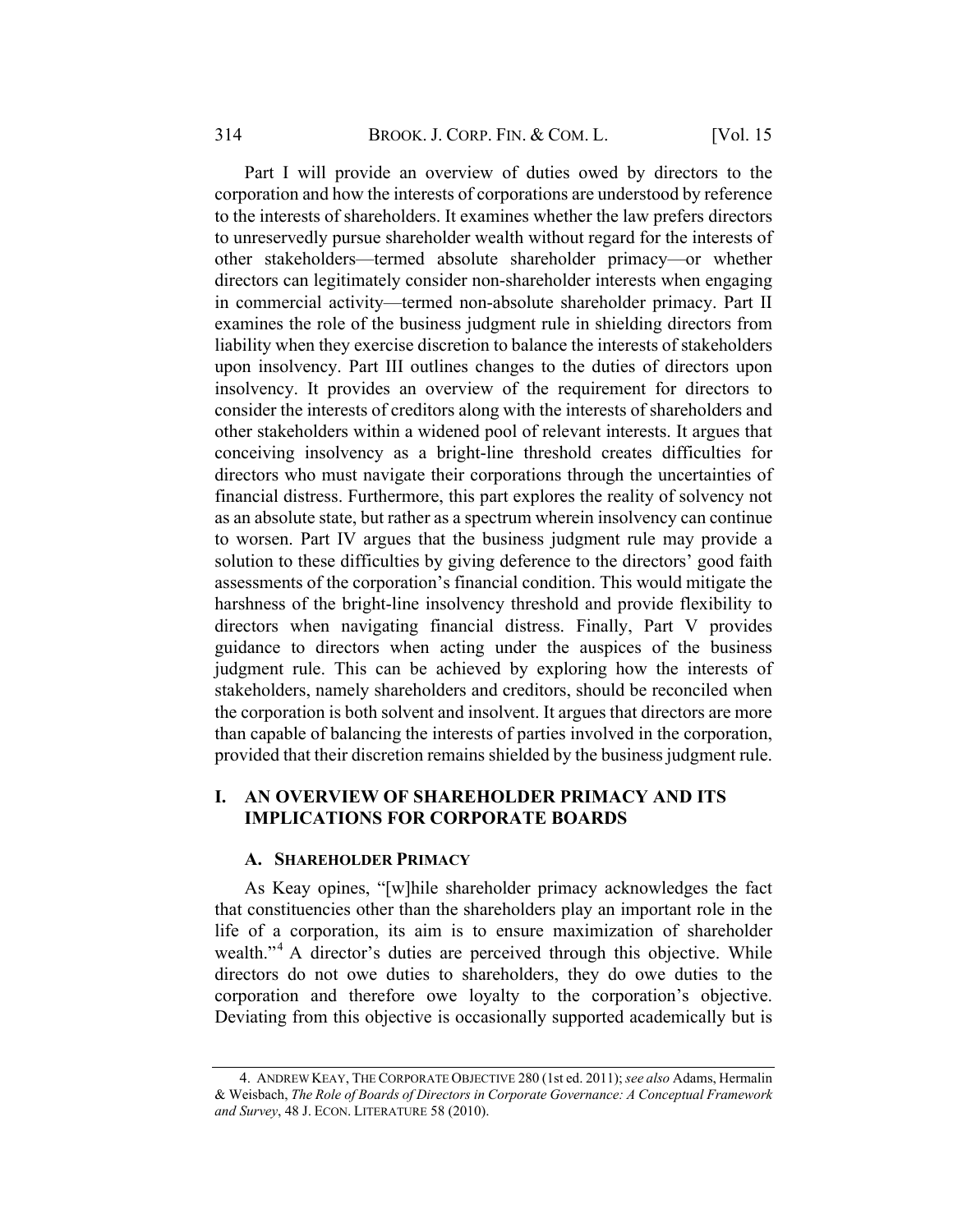Part I will provide an overview of duties owed by directors to the corporation and how the interests of corporations are understood by reference to the interests of shareholders. It examines whether the law prefers directors to unreservedly pursue shareholder wealth without regard for the interests of other stakeholders—termed absolute shareholder primacy—or whether directors can legitimately consider non-shareholder interests when engaging in commercial activity—termed non-absolute shareholder primacy. Part II examines the role of the business judgment rule in shielding directors from liability when they exercise discretion to balance the interests of stakeholders upon insolvency. Part III outlines changes to the duties of directors upon insolvency. It provides an overview of the requirement for directors to consider the interests of creditors along with the interests of shareholders and other stakeholders within a widened pool of relevant interests. It argues that conceiving insolvency as a bright-line threshold creates difficulties for directors who must navigate their corporations through the uncertainties of financial distress. Furthermore, this part explores the reality of solvency not as an absolute state, but rather as a spectrum wherein insolvency can continue to worsen. Part IV argues that the business judgment rule may provide a solution to these difficulties by giving deference to the directors' good faith assessments of the corporation's financial condition. This would mitigate the harshness of the bright-line insolvency threshold and provide flexibility to directors when navigating financial distress. Finally, Part V provides guidance to directors when acting under the auspices of the business judgment rule. This can be achieved by exploring how the interests of stakeholders, namely shareholders and creditors, should be reconciled when the corporation is both solvent and insolvent. It argues that directors are more than capable of balancing the interests of parties involved in the corporation, provided that their discretion remains shielded by the business judgment rule.

#### I. AN OVERVIEW OF SHAREHOLDER PRIMACY AND ITS IMPLICATIONS FOR CORPORATE BOARDS

#### A. SHAREHOLDER PRIMACY

As Keay opines, "[w]hile shareholder primacy acknowledges the fact that constituencies other than the shareholders play an important role in the life of a corporation, its aim is to ensure maximization of shareholder wealth."<sup>4</sup> A director's duties are perceived through this objective. While directors do not owe duties to shareholders, they do owe duties to the corporation and therefore owe loyalty to the corporation's objective. Deviating from this objective is occasionally supported academically but is

<sup>4.</sup> ANDREW KEAY, THE CORPORATE OBJECTIVE 280 (1st ed. 2011); see also Adams, Hermalin & Weisbach, The Role of Boards of Directors in Corporate Governance: A Conceptual Framework and Survey, 48 J. ECON. LITERATURE 58 (2010).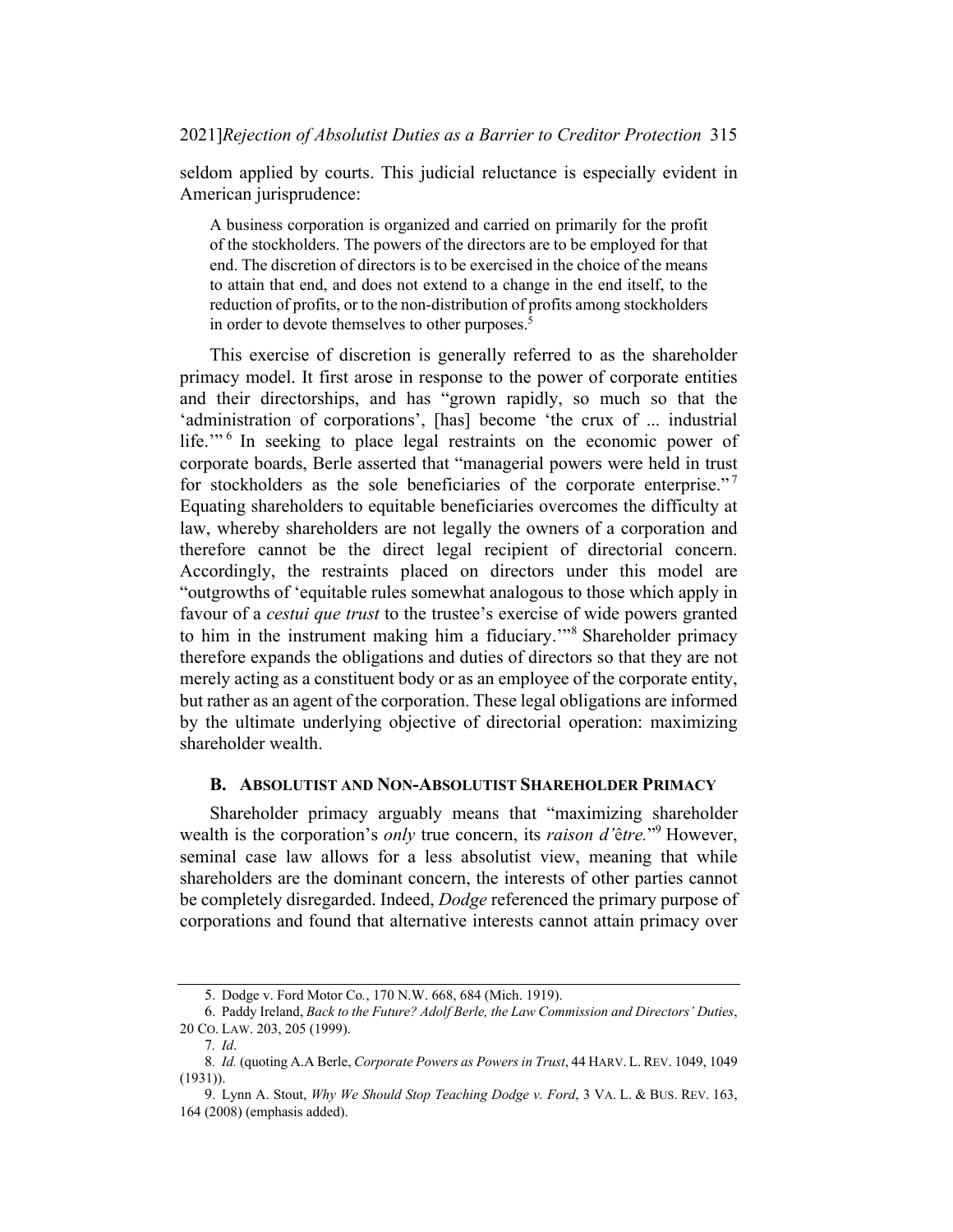seldom applied by courts. This judicial reluctance is especially evident in American jurisprudence:

A business corporation is organized and carried on primarily for the profit of the stockholders. The powers of the directors are to be employed for that end. The discretion of directors is to be exercised in the choice of the means to attain that end, and does not extend to a change in the end itself, to the reduction of profits, or to the non-distribution of profits among stockholders in order to devote themselves to other purposes.<sup>5</sup>

This exercise of discretion is generally referred to as the shareholder primacy model. It first arose in response to the power of corporate entities and their directorships, and has "grown rapidly, so much so that the 'administration of corporations', [has] become 'the crux of ... industrial life."<sup>6</sup> In seeking to place legal restraints on the economic power of corporate boards, Berle asserted that "managerial powers were held in trust for stockholders as the sole beneficiaries of the corporate enterprise."<sup>7</sup> Equating shareholders to equitable beneficiaries overcomes the difficulty at law, whereby shareholders are not legally the owners of a corporation and therefore cannot be the direct legal recipient of directorial concern. Accordingly, the restraints placed on directors under this model are "outgrowths of 'equitable rules somewhat analogous to those which apply in favour of a *cestui que trust* to the trustee's exercise of wide powers granted to him in the instrument making him a fiduciary.'"<sup>8</sup> Shareholder primacy therefore expands the obligations and duties of directors so that they are not merely acting as a constituent body or as an employee of the corporate entity, but rather as an agent of the corporation. These legal obligations are informed by the ultimate underlying objective of directorial operation: maximizing shareholder wealth.

#### B. ABSOLUTIST AND NON-ABSOLUTIST SHAREHOLDER PRIMACY

Shareholder primacy arguably means that "maximizing shareholder wealth is the corporation's *only* true concern, its *raison d'être*."<sup>9</sup> However, seminal case law allows for a less absolutist view, meaning that while shareholders are the dominant concern, the interests of other parties cannot be completely disregarded. Indeed, Dodge referenced the primary purpose of corporations and found that alternative interests cannot attain primacy over

<sup>5.</sup> Dodge v. Ford Motor Co., 170 N.W. 668, 684 (Mich. 1919).

<sup>6.</sup> Paddy Ireland, Back to the Future? Adolf Berle, the Law Commission and Directors' Duties, 20 CO. LAW. 203, 205 (1999).

<sup>7</sup>. Id.

<sup>8.</sup> Id. (quoting A.A Berle, Corporate Powers as Powers in Trust, 44 HARV. L. REV. 1049, 1049 (1931)).

<sup>9.</sup> Lynn A. Stout, Why We Should Stop Teaching Dodge v. Ford, 3 VA. L. & BUS. REV. 163, 164 (2008) (emphasis added).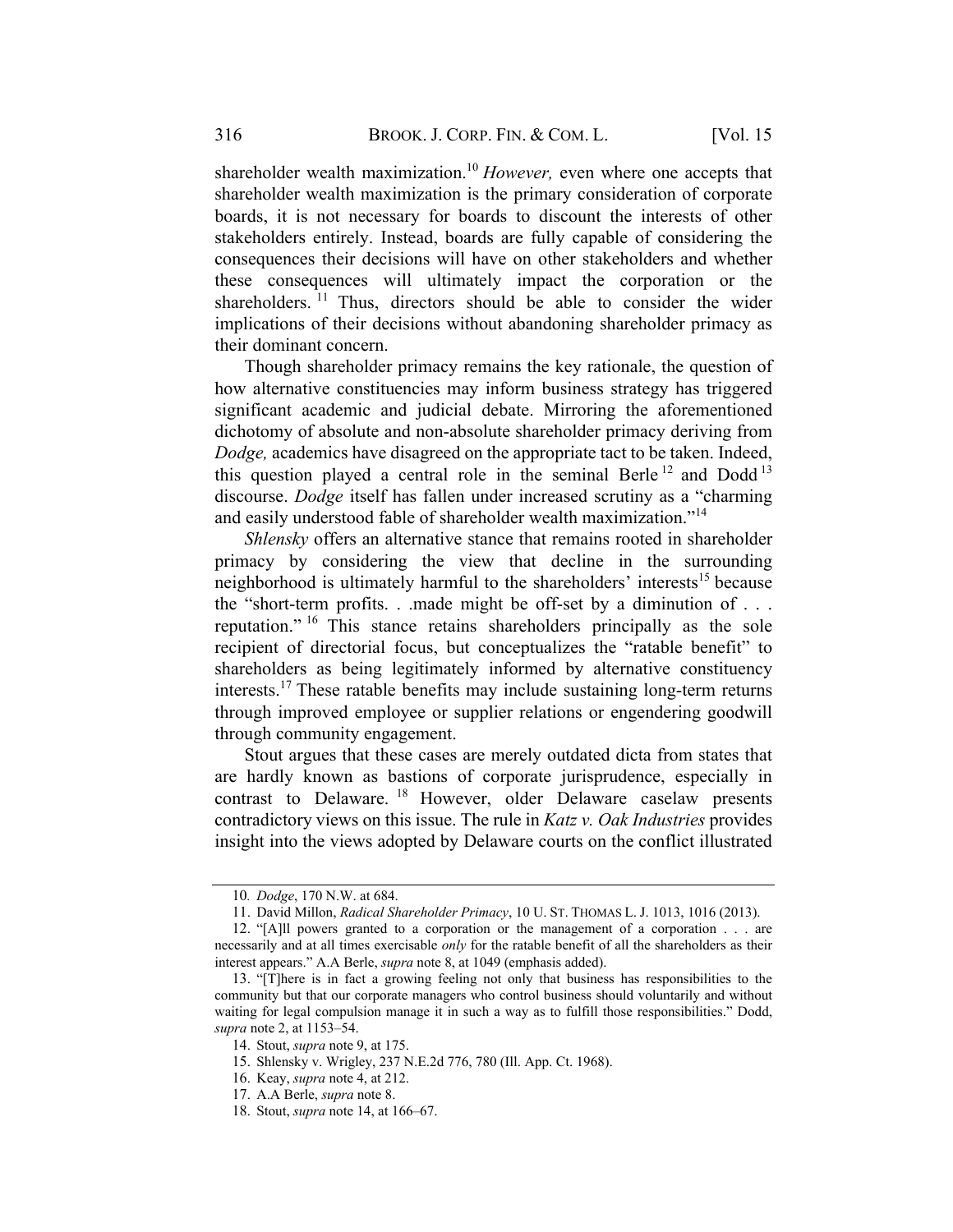shareholder wealth maximization.<sup>10</sup> However, even where one accepts that shareholder wealth maximization is the primary consideration of corporate boards, it is not necessary for boards to discount the interests of other stakeholders entirely. Instead, boards are fully capable of considering the consequences their decisions will have on other stakeholders and whether these consequences will ultimately impact the corporation or the shareholders.  $11$  Thus, directors should be able to consider the wider implications of their decisions without abandoning shareholder primacy as their dominant concern.

Though shareholder primacy remains the key rationale, the question of how alternative constituencies may inform business strategy has triggered significant academic and judicial debate. Mirroring the aforementioned dichotomy of absolute and non-absolute shareholder primacy deriving from Dodge, academics have disagreed on the appropriate tact to be taken. Indeed, this question played a central role in the seminal Berle<sup>12</sup> and Dodd<sup>13</sup> discourse. Dodge itself has fallen under increased scrutiny as a "charming and easily understood fable of shareholder wealth maximization."<sup>14</sup>

Shlensky offers an alternative stance that remains rooted in shareholder primacy by considering the view that decline in the surrounding neighborhood is ultimately harmful to the shareholders' interests<sup>15</sup> because the "short-term profits... made might be off-set by a diminution of ... reputation." <sup>16</sup> This stance retains shareholders principally as the sole recipient of directorial focus, but conceptualizes the "ratable benefit" to shareholders as being legitimately informed by alternative constituency interests.<sup>17</sup> These ratable benefits may include sustaining long-term returns through improved employee or supplier relations or engendering goodwill through community engagement.

Stout argues that these cases are merely outdated dicta from states that are hardly known as bastions of corporate jurisprudence, especially in contrast to Delaware. <sup>18</sup> However, older Delaware caselaw presents contradictory views on this issue. The rule in Katz v. Oak Industries provides insight into the views adopted by Delaware courts on the conflict illustrated

<sup>10</sup>. Dodge, 170 N.W. at 684.

<sup>11.</sup> David Millon, Radical Shareholder Primacy, 10 U. ST. THOMAS L. J. 1013, 1016 (2013).

<sup>12.</sup> "[A]ll powers granted to a corporation or the management of a corporation . . . are necessarily and at all times exercisable only for the ratable benefit of all the shareholders as their interest appears." A.A Berle, supra note 8, at 1049 (emphasis added).

<sup>13.</sup> "[T]here is in fact a growing feeling not only that business has responsibilities to the community but that our corporate managers who control business should voluntarily and without waiting for legal compulsion manage it in such a way as to fulfill those responsibilities." Dodd, supra note 2, at 1153–54.

<sup>14.</sup> Stout, supra note 9, at 175.

<sup>15.</sup> Shlensky v. Wrigley, 237 N.E.2d 776, 780 (Ill. App. Ct. 1968).

<sup>16.</sup> Keay, supra note 4, at 212.

<sup>17.</sup> A.A Berle, supra note 8.

<sup>18.</sup> Stout, supra note 14, at 166–67.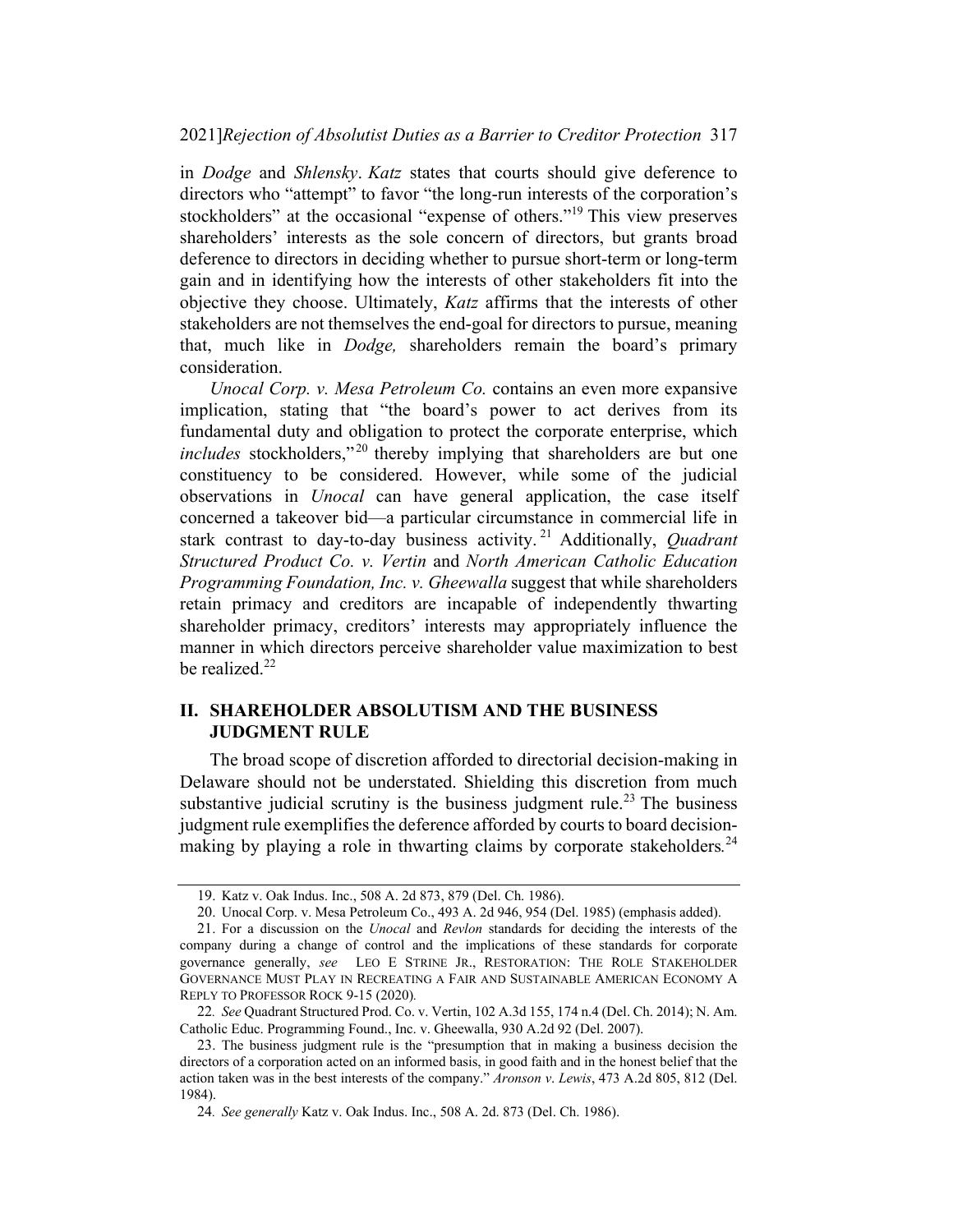in Dodge and Shlensky. Katz states that courts should give deference to directors who "attempt" to favor "the long-run interests of the corporation's stockholders" at the occasional "expense of others."19 This view preserves shareholders' interests as the sole concern of directors, but grants broad deference to directors in deciding whether to pursue short-term or long-term gain and in identifying how the interests of other stakeholders fit into the objective they choose. Ultimately, Katz affirms that the interests of other stakeholders are not themselves the end-goal for directors to pursue, meaning that, much like in Dodge, shareholders remain the board's primary consideration.

Unocal Corp. v. Mesa Petroleum Co. contains an even more expansive implication, stating that "the board's power to act derives from its fundamental duty and obligation to protect the corporate enterprise, which includes stockholders,"<sup>20</sup> thereby implying that shareholders are but one constituency to be considered. However, while some of the judicial observations in Unocal can have general application, the case itself concerned a takeover bid—a particular circumstance in commercial life in stark contrast to day-to-day business activity.<sup>21</sup> Additionally, *Quadrant* Structured Product Co. v. Vertin and North American Catholic Education Programming Foundation, Inc. v. Gheewalla suggest that while shareholders retain primacy and creditors are incapable of independently thwarting shareholder primacy, creditors' interests may appropriately influence the manner in which directors perceive shareholder value maximization to best be realized.<sup>22</sup>

### II. SHAREHOLDER ABSOLUTISM AND THE BUSINESS JUDGMENT RULE

The broad scope of discretion afforded to directorial decision-making in Delaware should not be understated. Shielding this discretion from much substantive judicial scrutiny is the business judgment rule.<sup>23</sup> The business judgment rule exemplifies the deference afforded by courts to board decisionmaking by playing a role in thwarting claims by corporate stakeholders.<sup>24</sup>

<sup>19.</sup> Katz v. Oak Indus. Inc., 508 A. 2d 873, 879 (Del. Ch. 1986).

<sup>20.</sup> Unocal Corp. v. Mesa Petroleum Co., 493 A. 2d 946, 954 (Del. 1985) (emphasis added).

<sup>21.</sup> For a discussion on the Unocal and Revlon standards for deciding the interests of the company during a change of control and the implications of these standards for corporate governance generally, see LEO E STRINE JR., RESTORATION: THE ROLE STAKEHOLDER GOVERNANCE MUST PLAY IN RECREATING A FAIR AND SUSTAINABLE AMERICAN ECONOMY A REPLY TO PROFESSOR ROCK 9-15 (2020).

<sup>22</sup>. See Quadrant Structured Prod. Co. v. Vertin, 102 A.3d 155, 174 n.4 (Del. Ch. 2014); N. Am. Catholic Educ. Programming Found., Inc. v. Gheewalla, 930 A.2d 92 (Del. 2007).

<sup>23.</sup> The business judgment rule is the "presumption that in making a business decision the directors of a corporation acted on an informed basis, in good faith and in the honest belief that the action taken was in the best interests of the company." Aronson v. Lewis, 473 A.2d 805, 812 (Del. 1984).

<sup>24</sup>. See generally Katz v. Oak Indus. Inc., 508 A. 2d. 873 (Del. Ch. 1986).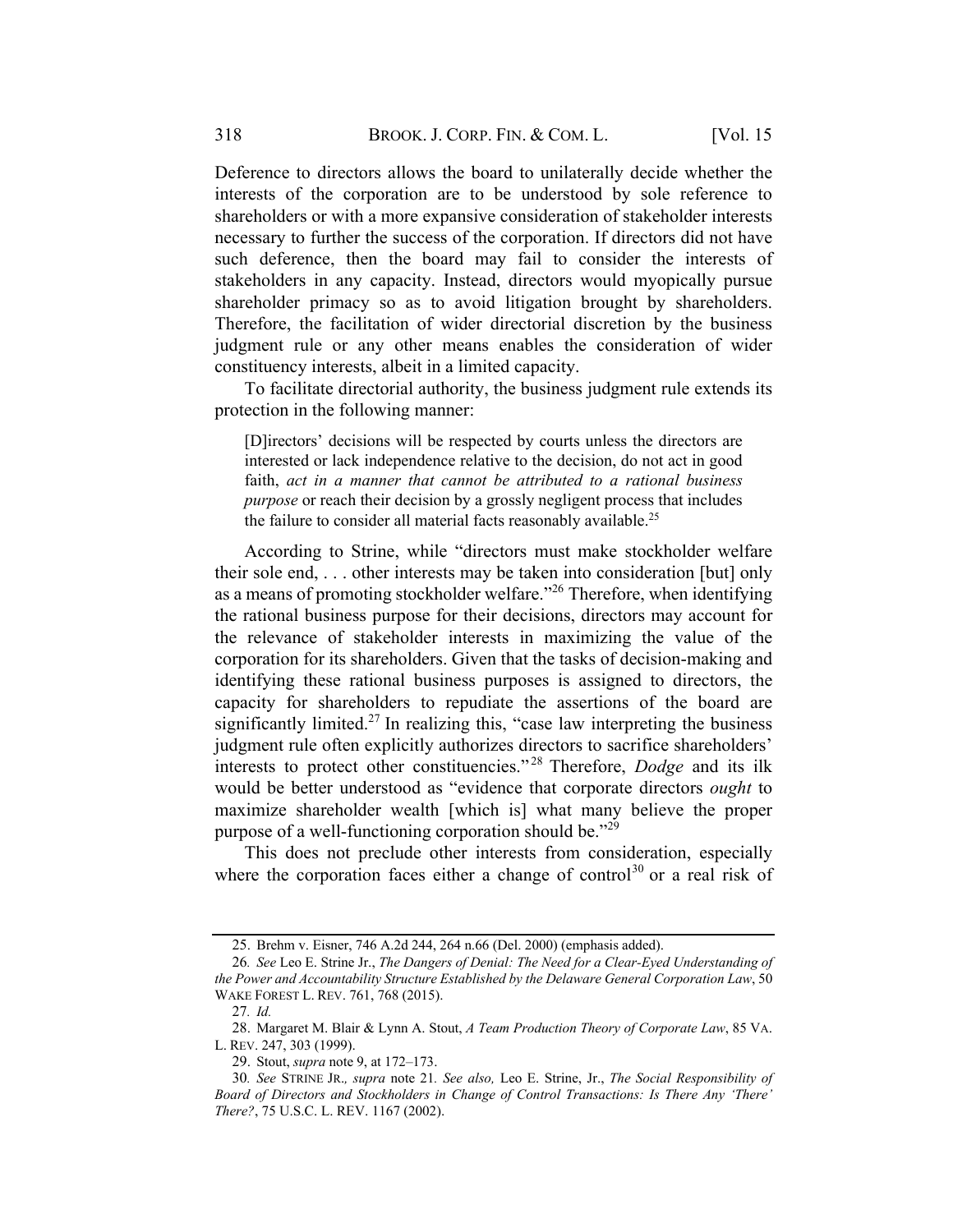Deference to directors allows the board to unilaterally decide whether the interests of the corporation are to be understood by sole reference to shareholders or with a more expansive consideration of stakeholder interests necessary to further the success of the corporation. If directors did not have such deference, then the board may fail to consider the interests of stakeholders in any capacity. Instead, directors would myopically pursue shareholder primacy so as to avoid litigation brought by shareholders. Therefore, the facilitation of wider directorial discretion by the business judgment rule or any other means enables the consideration of wider constituency interests, albeit in a limited capacity.

To facilitate directorial authority, the business judgment rule extends its protection in the following manner:

[D]irectors' decisions will be respected by courts unless the directors are interested or lack independence relative to the decision, do not act in good faith, act in a manner that cannot be attributed to a rational business purpose or reach their decision by a grossly negligent process that includes the failure to consider all material facts reasonably available.<sup>25</sup>

According to Strine, while "directors must make stockholder welfare their sole end, . . . other interests may be taken into consideration [but] only as a means of promoting stockholder welfare.<sup> $26$ </sup> Therefore, when identifying the rational business purpose for their decisions, directors may account for the relevance of stakeholder interests in maximizing the value of the corporation for its shareholders. Given that the tasks of decision-making and identifying these rational business purposes is assigned to directors, the capacity for shareholders to repudiate the assertions of the board are significantly limited.<sup>27</sup> In realizing this, "case law interpreting the business judgment rule often explicitly authorizes directors to sacrifice shareholders' interests to protect other constituencies."<sup>28</sup> Therefore, *Dodge* and its ilk would be better understood as "evidence that corporate directors ought to maximize shareholder wealth [which is] what many believe the proper purpose of a well-functioning corporation should be."<sup>29</sup>

This does not preclude other interests from consideration, especially where the corporation faces either a change of control<sup>30</sup> or a real risk of

<sup>25.</sup> Brehm v. Eisner, 746 A.2d 244, 264 n.66 (Del. 2000) (emphasis added).

<sup>26</sup>. See Leo E. Strine Jr., The Dangers of Denial: The Need for a Clear-Eyed Understanding of the Power and Accountability Structure Established by the Delaware General Corporation Law, 50 WAKE FOREST L. REV. 761, 768 (2015).

<sup>27</sup>. Id.

<sup>28.</sup> Margaret M. Blair & Lynn A. Stout, A Team Production Theory of Corporate Law, 85 VA. L. REV. 247, 303 (1999).

<sup>29.</sup> Stout, supra note 9, at 172–173.

<sup>30</sup>. See STRINE JR., supra note 21. See also, Leo E. Strine, Jr., The Social Responsibility of Board of Directors and Stockholders in Change of Control Transactions: Is There Any 'There' There?, 75 U.S.C. L. REV. 1167 (2002).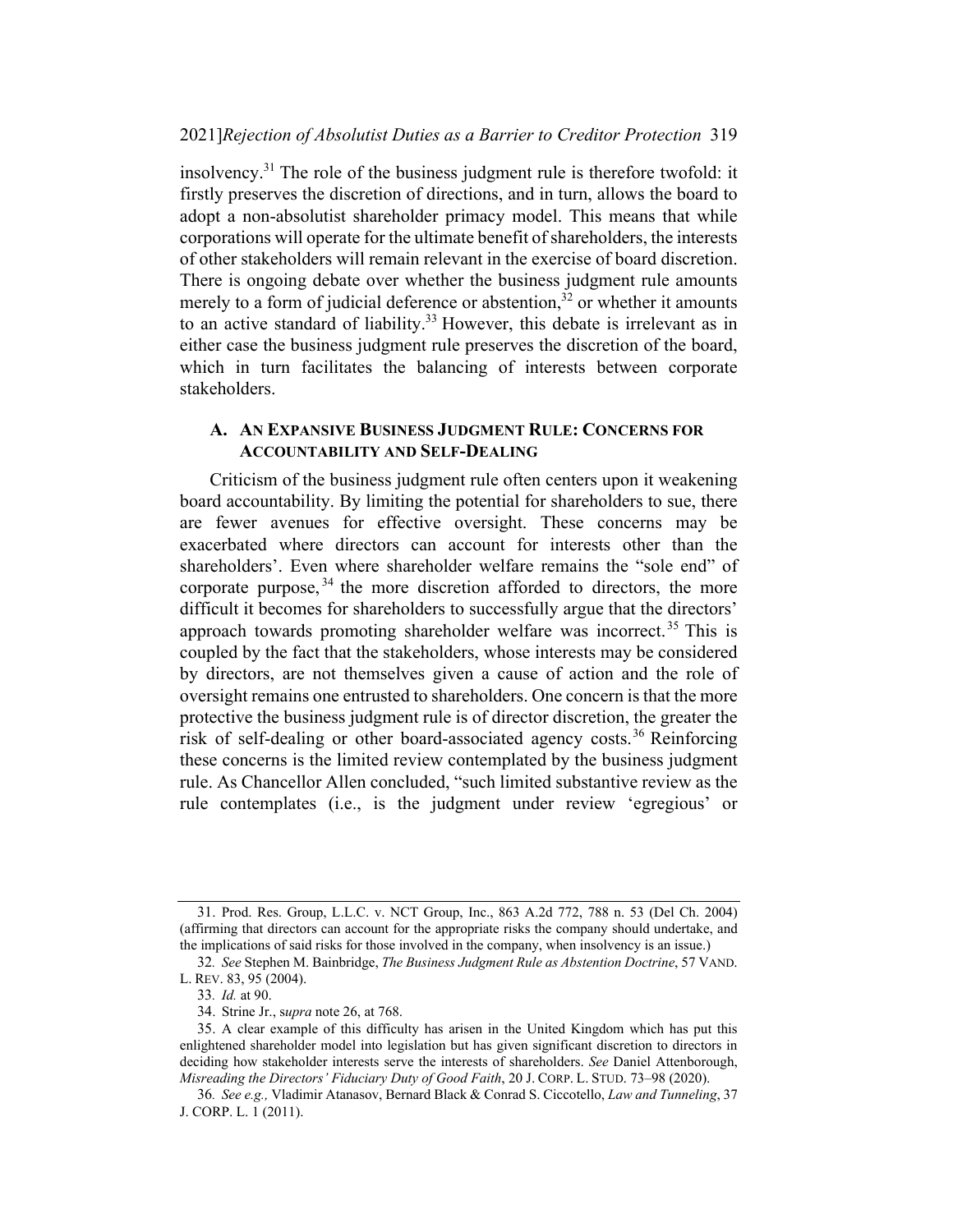insolvency.<sup>31</sup> The role of the business judgment rule is therefore twofold: it firstly preserves the discretion of directions, and in turn, allows the board to adopt a non-absolutist shareholder primacy model. This means that while corporations will operate for the ultimate benefit of shareholders, the interests of other stakeholders will remain relevant in the exercise of board discretion. There is ongoing debate over whether the business judgment rule amounts merely to a form of judicial deference or abstention, $32$  or whether it amounts to an active standard of liability.<sup>33</sup> However, this debate is irrelevant as in either case the business judgment rule preserves the discretion of the board, which in turn facilitates the balancing of interests between corporate stakeholders.

#### A. AN EXPANSIVE BUSINESS JUDGMENT RULE: CONCERNS FOR ACCOUNTABILITY AND SELF-DEALING

Criticism of the business judgment rule often centers upon it weakening board accountability. By limiting the potential for shareholders to sue, there are fewer avenues for effective oversight. These concerns may be exacerbated where directors can account for interests other than the shareholders'. Even where shareholder welfare remains the "sole end" of corporate purpose,  $34$  the more discretion afforded to directors, the more difficult it becomes for shareholders to successfully argue that the directors' approach towards promoting shareholder welfare was incorrect.<sup>35</sup> This is coupled by the fact that the stakeholders, whose interests may be considered by directors, are not themselves given a cause of action and the role of oversight remains one entrusted to shareholders. One concern is that the more protective the business judgment rule is of director discretion, the greater the risk of self-dealing or other board-associated agency costs. <sup>36</sup> Reinforcing these concerns is the limited review contemplated by the business judgment rule. As Chancellor Allen concluded, "such limited substantive review as the rule contemplates (i.e., is the judgment under review 'egregious' or

<sup>31.</sup> Prod. Res. Group, L.L.C. v. NCT Group, Inc., 863 A.2d 772, 788 n. 53 (Del Ch. 2004) (affirming that directors can account for the appropriate risks the company should undertake, and the implications of said risks for those involved in the company, when insolvency is an issue.)

<sup>32</sup>. See Stephen M. Bainbridge, The Business Judgment Rule as Abstention Doctrine, 57 VAND. L. REV. 83, 95 (2004).

<sup>33</sup>. Id. at 90.

<sup>34.</sup> Strine Jr., supra note 26, at 768.

<sup>35.</sup> A clear example of this difficulty has arisen in the United Kingdom which has put this enlightened shareholder model into legislation but has given significant discretion to directors in deciding how stakeholder interests serve the interests of shareholders. See Daniel Attenborough, Misreading the Directors' Fiduciary Duty of Good Faith, 20 J. CORP. L. STUD. 73–98 (2020).

<sup>36</sup>. See e.g., Vladimir Atanasov, Bernard Black & Conrad S. Ciccotello, Law and Tunneling, 37 J. CORP. L. 1 (2011).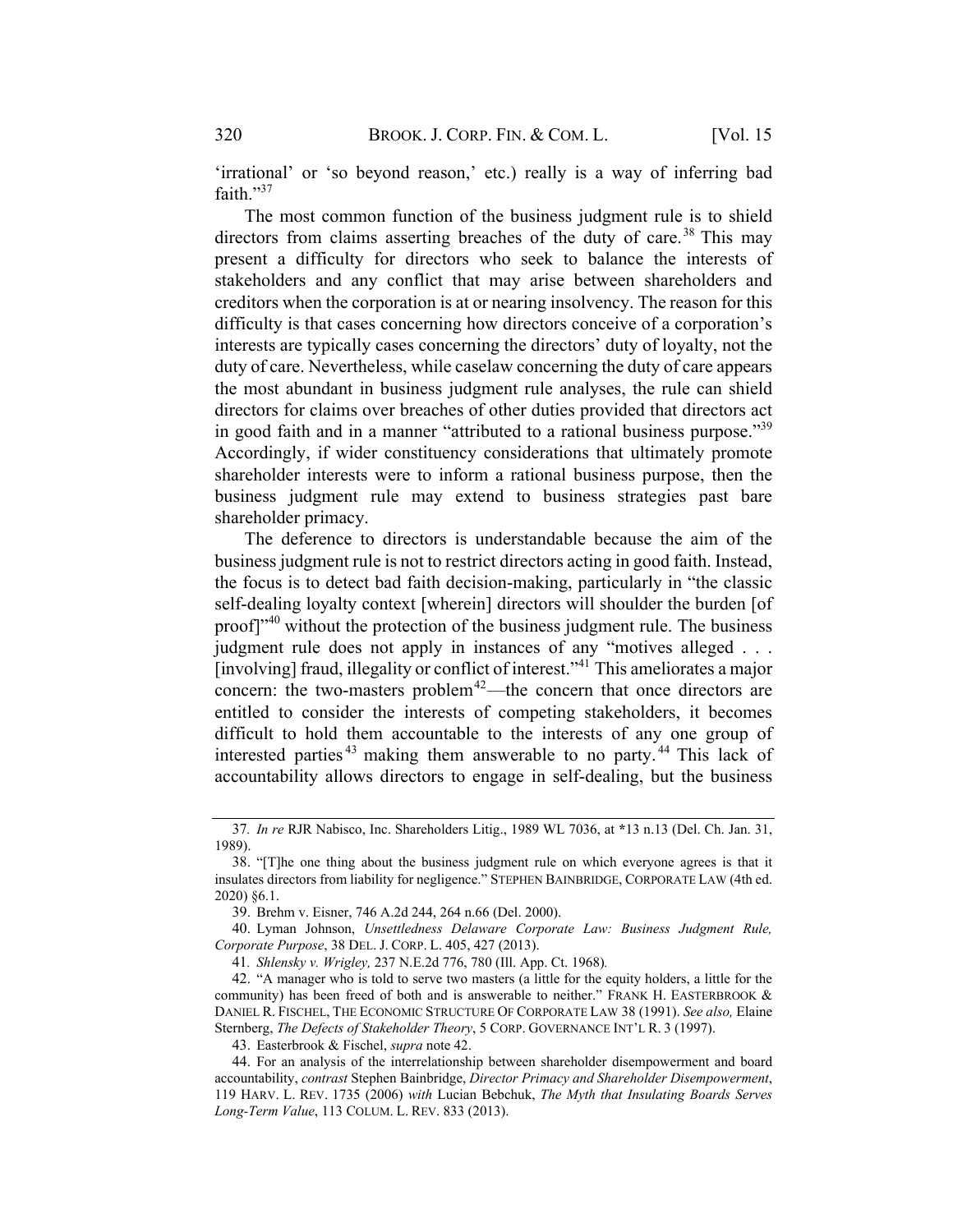'irrational' or 'so beyond reason,' etc.) really is a way of inferring bad faith."37

The most common function of the business judgment rule is to shield directors from claims asserting breaches of the duty of care.<sup>38</sup> This may present a difficulty for directors who seek to balance the interests of stakeholders and any conflict that may arise between shareholders and creditors when the corporation is at or nearing insolvency. The reason for this difficulty is that cases concerning how directors conceive of a corporation's interests are typically cases concerning the directors' duty of loyalty, not the duty of care. Nevertheless, while caselaw concerning the duty of care appears the most abundant in business judgment rule analyses, the rule can shield directors for claims over breaches of other duties provided that directors act in good faith and in a manner "attributed to a rational business purpose."<sup>39</sup> Accordingly, if wider constituency considerations that ultimately promote shareholder interests were to inform a rational business purpose, then the business judgment rule may extend to business strategies past bare shareholder primacy.

The deference to directors is understandable because the aim of the business judgment rule is not to restrict directors acting in good faith. Instead, the focus is to detect bad faith decision-making, particularly in "the classic self-dealing loyalty context [wherein] directors will shoulder the burden [of proof]"<sup>40</sup> without the protection of the business judgment rule. The business judgment rule does not apply in instances of any "motives alleged . . . [involving] fraud, illegality or conflict of interest."<sup>41</sup> This ameliorates a major concern: the two-masters problem<sup>42</sup>—the concern that once directors are entitled to consider the interests of competing stakeholders, it becomes difficult to hold them accountable to the interests of any one group of interested parties<sup>43</sup> making them answerable to no party.<sup>44</sup> This lack of accountability allows directors to engage in self-dealing, but the business

<sup>37</sup>. In re RJR Nabisco, Inc. Shareholders Litig., 1989 WL 7036, at \*13 n.13 (Del. Ch. Jan. 31, 1989).

<sup>38.</sup> "[T]he one thing about the business judgment rule on which everyone agrees is that it insulates directors from liability for negligence." STEPHEN BAINBRIDGE, CORPORATE LAW (4th ed. 2020) §6.1.

<sup>39.</sup> Brehm v. Eisner, 746 A.2d 244, 264 n.66 (Del. 2000).

<sup>40.</sup> Lyman Johnson, Unsettledness Delaware Corporate Law: Business Judgment Rule, Corporate Purpose, 38 DEL. J. CORP. L. 405, 427 (2013).

<sup>41</sup>. Shlensky v. Wrigley, 237 N.E.2d 776, 780 (Ill. App. Ct. 1968).

<sup>42.</sup> "A manager who is told to serve two masters (a little for the equity holders, a little for the community) has been freed of both and is answerable to neither." FRANK H. EASTERBROOK & DANIEL R. FISCHEL, THE ECONOMIC STRUCTURE OF CORPORATE LAW 38 (1991). See also, Elaine Sternberg, The Defects of Stakeholder Theory, 5 CORP. GOVERNANCE INT'L R. 3 (1997).

<sup>43.</sup> Easterbrook & Fischel, supra note 42.

<sup>44.</sup> For an analysis of the interrelationship between shareholder disempowerment and board accountability, contrast Stephen Bainbridge, Director Primacy and Shareholder Disempowerment, 119 HARV. L. REV. 1735 (2006) with Lucian Bebchuk, The Myth that Insulating Boards Serves Long-Term Value, 113 COLUM. L. REV. 833 (2013).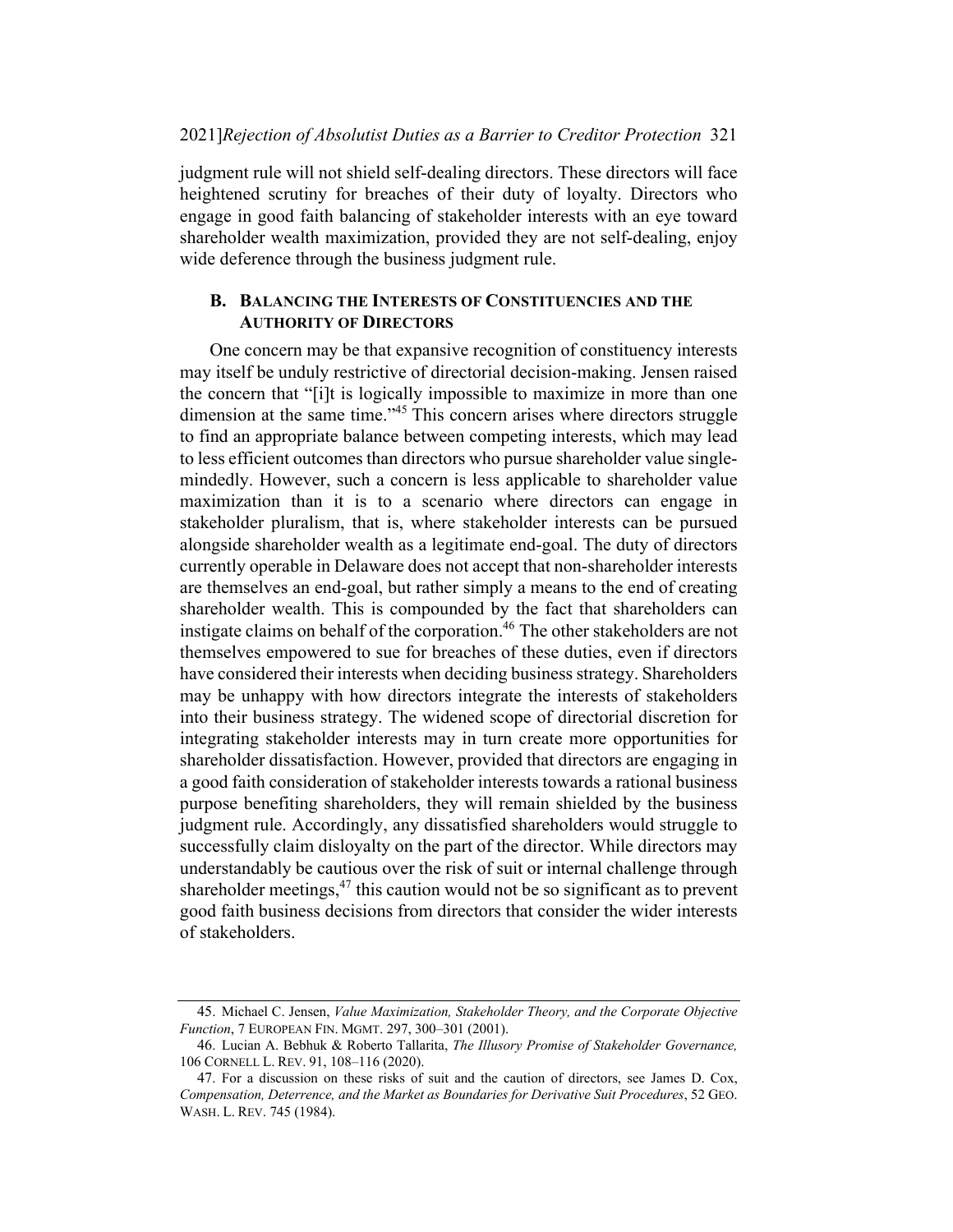judgment rule will not shield self-dealing directors. These directors will face heightened scrutiny for breaches of their duty of loyalty. Directors who engage in good faith balancing of stakeholder interests with an eye toward shareholder wealth maximization, provided they are not self-dealing, enjoy wide deference through the business judgment rule.

#### B. BALANCING THE INTERESTS OF CONSTITUENCIES AND THE AUTHORITY OF DIRECTORS

One concern may be that expansive recognition of constituency interests may itself be unduly restrictive of directorial decision-making. Jensen raised the concern that "[i]t is logically impossible to maximize in more than one dimension at the same time."<sup>45</sup> This concern arises where directors struggle to find an appropriate balance between competing interests, which may lead to less efficient outcomes than directors who pursue shareholder value singlemindedly. However, such a concern is less applicable to shareholder value maximization than it is to a scenario where directors can engage in stakeholder pluralism, that is, where stakeholder interests can be pursued alongside shareholder wealth as a legitimate end-goal. The duty of directors currently operable in Delaware does not accept that non-shareholder interests are themselves an end-goal, but rather simply a means to the end of creating shareholder wealth. This is compounded by the fact that shareholders can instigate claims on behalf of the corporation.<sup>46</sup> The other stakeholders are not themselves empowered to sue for breaches of these duties, even if directors have considered their interests when deciding business strategy. Shareholders may be unhappy with how directors integrate the interests of stakeholders into their business strategy. The widened scope of directorial discretion for integrating stakeholder interests may in turn create more opportunities for shareholder dissatisfaction. However, provided that directors are engaging in a good faith consideration of stakeholder interests towards a rational business purpose benefiting shareholders, they will remain shielded by the business judgment rule. Accordingly, any dissatisfied shareholders would struggle to successfully claim disloyalty on the part of the director. While directors may understandably be cautious over the risk of suit or internal challenge through shareholder meetings,<sup>47</sup> this caution would not be so significant as to prevent good faith business decisions from directors that consider the wider interests of stakeholders.

<sup>45.</sup> Michael C. Jensen, Value Maximization, Stakeholder Theory, and the Corporate Objective Function, 7 EUROPEAN FIN. MGMT. 297, 300–301 (2001).

<sup>46.</sup> Lucian A. Bebhuk & Roberto Tallarita, The Illusory Promise of Stakeholder Governance, 106 CORNELL L. REV. 91, 108–116 (2020).

<sup>47.</sup> For a discussion on these risks of suit and the caution of directors, see James D. Cox, Compensation, Deterrence, and the Market as Boundaries for Derivative Suit Procedures, 52 GEO. WASH. L. REV. 745 (1984).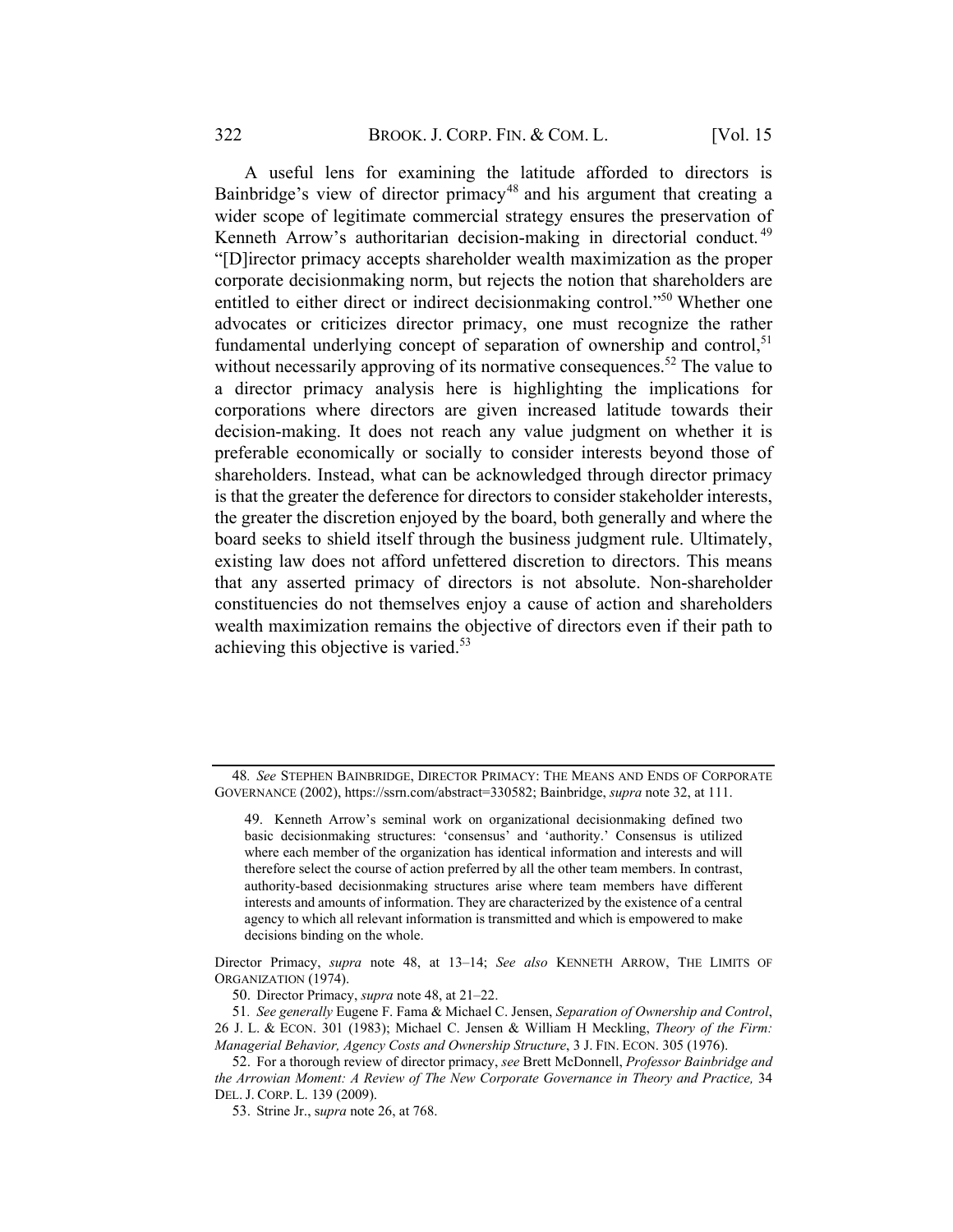A useful lens for examining the latitude afforded to directors is Bainbridge's view of director primacy<sup>48</sup> and his argument that creating a wider scope of legitimate commercial strategy ensures the preservation of Kenneth Arrow's authoritarian decision-making in directorial conduct.<sup>49</sup> "[D]irector primacy accepts shareholder wealth maximization as the proper corporate decisionmaking norm, but rejects the notion that shareholders are entitled to either direct or indirect decision making control."<sup>50</sup> Whether one advocates or criticizes director primacy, one must recognize the rather fundamental underlying concept of separation of ownership and control, $51$ without necessarily approving of its normative consequences.<sup>52</sup> The value to a director primacy analysis here is highlighting the implications for corporations where directors are given increased latitude towards their decision-making. It does not reach any value judgment on whether it is preferable economically or socially to consider interests beyond those of shareholders. Instead, what can be acknowledged through director primacy is that the greater the deference for directors to consider stakeholder interests, the greater the discretion enjoyed by the board, both generally and where the board seeks to shield itself through the business judgment rule. Ultimately, existing law does not afford unfettered discretion to directors. This means that any asserted primacy of directors is not absolute. Non-shareholder constituencies do not themselves enjoy a cause of action and shareholders wealth maximization remains the objective of directors even if their path to achieving this objective is varied.<sup>53</sup>

50. Director Primacy, supra note 48, at 21–22.

<sup>48</sup>. See STEPHEN BAINBRIDGE, DIRECTOR PRIMACY: THE MEANS AND ENDS OF CORPORATE GOVERNANCE (2002), https://ssrn.com/abstract=330582; Bainbridge, supra note 32, at 111.

<sup>49.</sup> Kenneth Arrow's seminal work on organizational decisionmaking defined two basic decisionmaking structures: 'consensus' and 'authority.' Consensus is utilized where each member of the organization has identical information and interests and will therefore select the course of action preferred by all the other team members. In contrast, authority-based decisionmaking structures arise where team members have different interests and amounts of information. They are characterized by the existence of a central agency to which all relevant information is transmitted and which is empowered to make decisions binding on the whole.

Director Primacy, supra note 48, at 13–14; See also KENNETH ARROW, THE LIMITS OF ORGANIZATION (1974).

<sup>51</sup>. See generally Eugene F. Fama & Michael C. Jensen, Separation of Ownership and Control, 26 J. L. & ECON. 301 (1983); Michael C. Jensen & William H Meckling, Theory of the Firm: Managerial Behavior, Agency Costs and Ownership Structure, 3 J. FIN. ECON. 305 (1976).

<sup>52.</sup> For a thorough review of director primacy, see Brett McDonnell, Professor Bainbridge and the Arrowian Moment: A Review of The New Corporate Governance in Theory and Practice, 34 DEL. J. CORP. L. 139 (2009).

<sup>53.</sup> Strine Jr., supra note 26, at 768.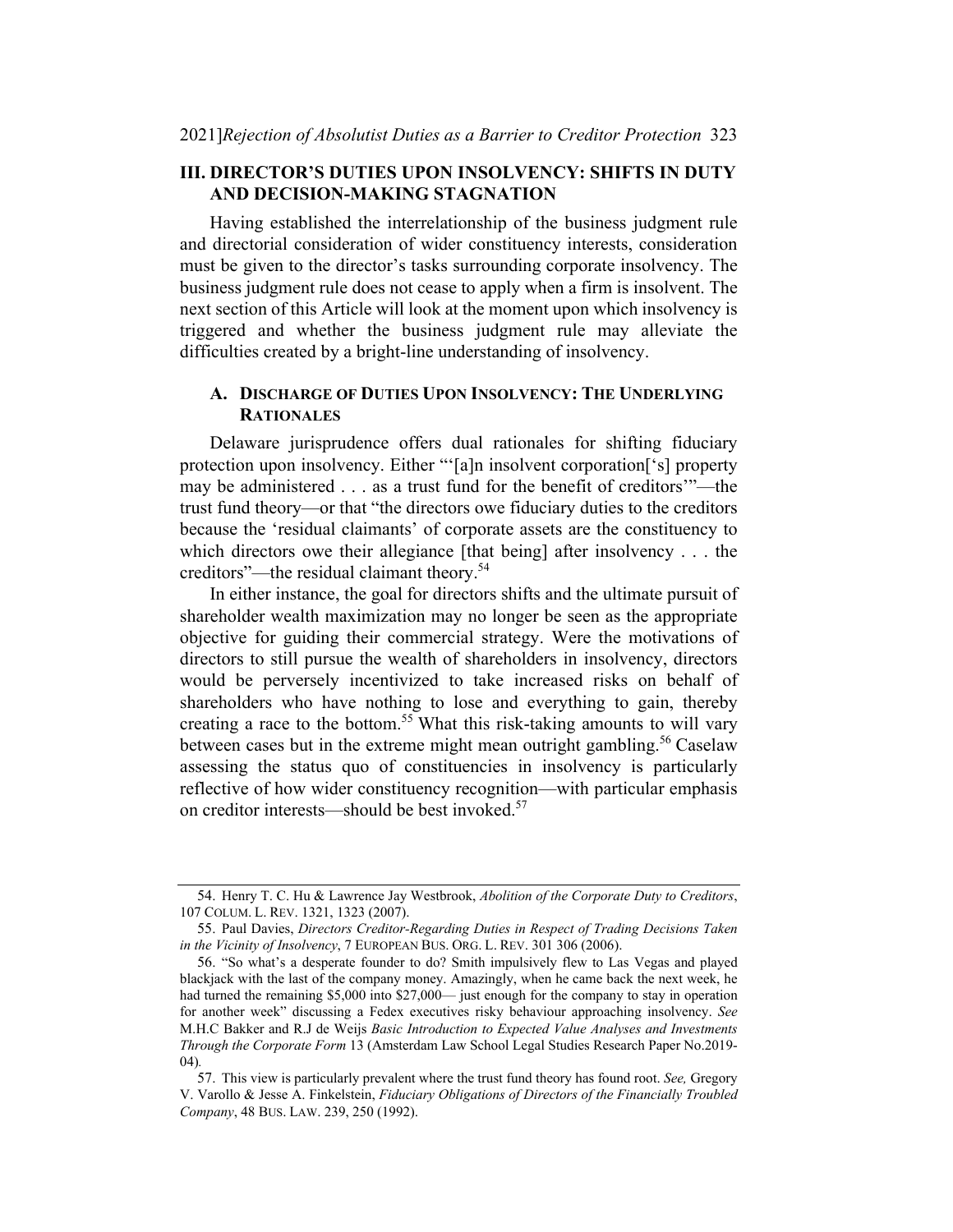## III. DIRECTOR'S DUTIES UPON INSOLVENCY: SHIFTS IN DUTY AND DECISION-MAKING STAGNATION

Having established the interrelationship of the business judgment rule and directorial consideration of wider constituency interests, consideration must be given to the director's tasks surrounding corporate insolvency. The business judgment rule does not cease to apply when a firm is insolvent. The next section of this Article will look at the moment upon which insolvency is triggered and whether the business judgment rule may alleviate the difficulties created by a bright-line understanding of insolvency.

## A. DISCHARGE OF DUTIES UPON INSOLVENCY: THE UNDERLYING RATIONALES

Delaware jurisprudence offers dual rationales for shifting fiduciary protection upon insolvency. Either "'[a]n insolvent corporation['s] property may be administered . . . as a trust fund for the benefit of creditors'"—the trust fund theory—or that "the directors owe fiduciary duties to the creditors because the 'residual claimants' of corporate assets are the constituency to which directors owe their allegiance [that being] after insolvency . . . the creditors"—the residual claimant theory.54

In either instance, the goal for directors shifts and the ultimate pursuit of shareholder wealth maximization may no longer be seen as the appropriate objective for guiding their commercial strategy. Were the motivations of directors to still pursue the wealth of shareholders in insolvency, directors would be perversely incentivized to take increased risks on behalf of shareholders who have nothing to lose and everything to gain, thereby creating a race to the bottom.<sup>55</sup> What this risk-taking amounts to will vary between cases but in the extreme might mean outright gambling.<sup>56</sup> Caselaw assessing the status quo of constituencies in insolvency is particularly reflective of how wider constituency recognition—with particular emphasis on creditor interests—should be best invoked.57

<sup>54.</sup> Henry T. C. Hu & Lawrence Jay Westbrook, Abolition of the Corporate Duty to Creditors, 107 COLUM. L. REV. 1321, 1323 (2007).

<sup>55.</sup> Paul Davies, Directors Creditor-Regarding Duties in Respect of Trading Decisions Taken in the Vicinity of Insolvency, 7 EUROPEAN BUS. ORG. L. REV. 301 306 (2006).

<sup>56.</sup> "So what's a desperate founder to do? Smith impulsively flew to Las Vegas and played blackjack with the last of the company money. Amazingly, when he came back the next week, he had turned the remaining \$5,000 into \$27,000— just enough for the company to stay in operation for another week" discussing a Fedex executives risky behaviour approaching insolvency. See M.H.C Bakker and R.J de Weijs Basic Introduction to Expected Value Analyses and Investments Through the Corporate Form 13 (Amsterdam Law School Legal Studies Research Paper No.2019- 04).

<sup>57.</sup> This view is particularly prevalent where the trust fund theory has found root. See, Gregory V. Varollo & Jesse A. Finkelstein, Fiduciary Obligations of Directors of the Financially Troubled Company, 48 BUS. LAW. 239, 250 (1992).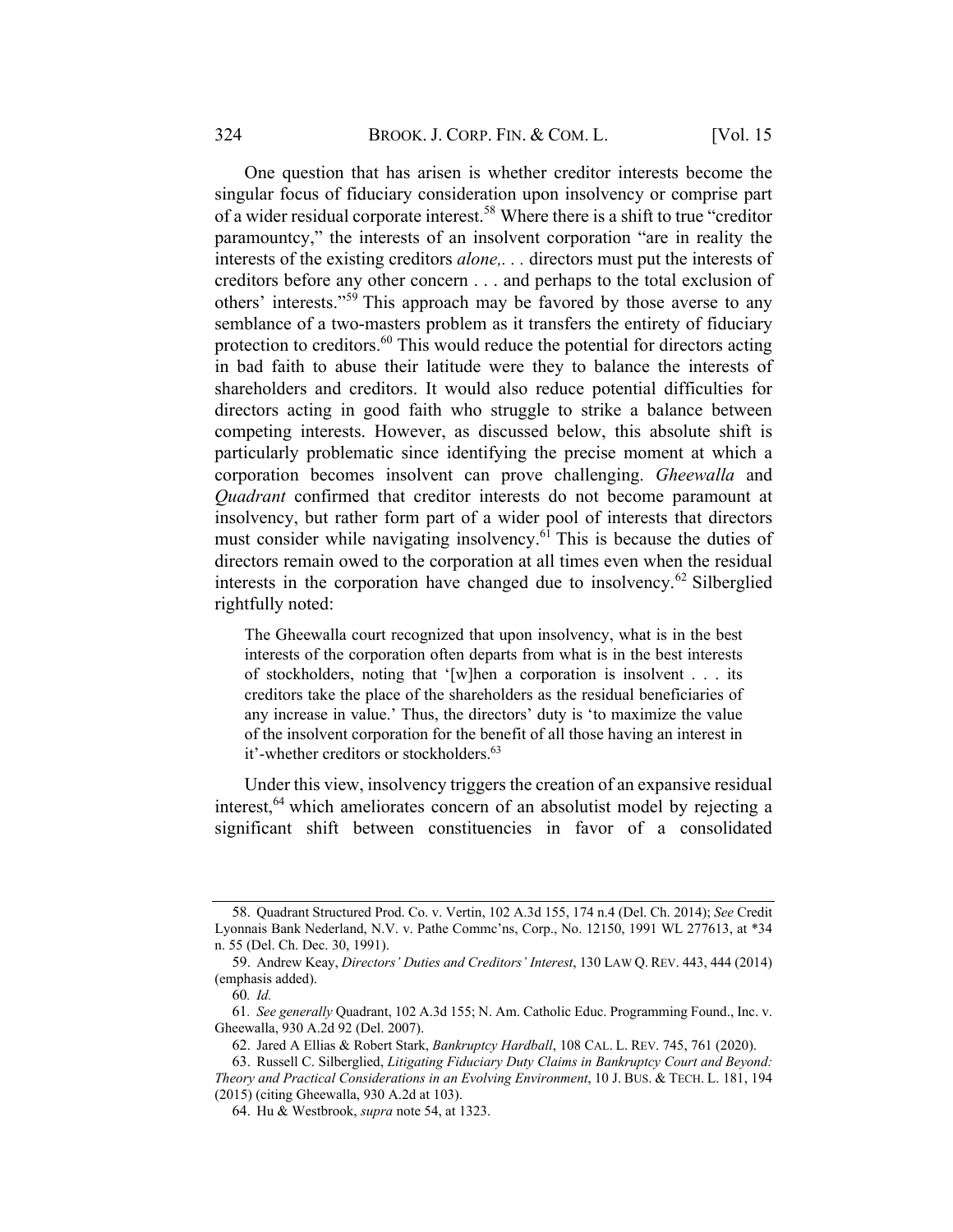One question that has arisen is whether creditor interests become the singular focus of fiduciary consideration upon insolvency or comprise part of a wider residual corporate interest.<sup>58</sup> Where there is a shift to true "creditor paramountcy," the interests of an insolvent corporation "are in reality the interests of the existing creditors alone,. . . directors must put the interests of creditors before any other concern . . . and perhaps to the total exclusion of others' interests."<sup>59</sup> This approach may be favored by those averse to any semblance of a two-masters problem as it transfers the entirety of fiduciary protection to creditors. $60$  This would reduce the potential for directors acting in bad faith to abuse their latitude were they to balance the interests of shareholders and creditors. It would also reduce potential difficulties for directors acting in good faith who struggle to strike a balance between competing interests. However, as discussed below, this absolute shift is particularly problematic since identifying the precise moment at which a corporation becomes insolvent can prove challenging. Gheewalla and Quadrant confirmed that creditor interests do not become paramount at insolvency, but rather form part of a wider pool of interests that directors must consider while navigating insolvency.<sup>61</sup> This is because the duties of directors remain owed to the corporation at all times even when the residual interests in the corporation have changed due to insolvency.<sup>62</sup> Silberglied rightfully noted:

The Gheewalla court recognized that upon insolvency, what is in the best interests of the corporation often departs from what is in the best interests of stockholders, noting that '[w]hen a corporation is insolvent . . . its creditors take the place of the shareholders as the residual beneficiaries of any increase in value.' Thus, the directors' duty is 'to maximize the value of the insolvent corporation for the benefit of all those having an interest in it'-whether creditors or stockholders. 63

Under this view, insolvency triggers the creation of an expansive residual interest,  $64$  which ameliorates concern of an absolutist model by rejecting a significant shift between constituencies in favor of a consolidated

<sup>58.</sup> Quadrant Structured Prod. Co. v. Vertin, 102 A.3d 155, 174 n.4 (Del. Ch. 2014); See Credit Lyonnais Bank Nederland, N.V. v. Pathe Commc'ns, Corp., No. 12150, 1991 WL 277613, at \*34 n. 55 (Del. Ch. Dec. 30, 1991).

<sup>59.</sup> Andrew Keay, Directors' Duties and Creditors' Interest, 130 LAW Q. REV. 443, 444 (2014) (emphasis added).

<sup>60</sup>. Id.

<sup>61</sup>. See generally Quadrant, 102 A.3d 155; N. Am. Catholic Educ. Programming Found., Inc. v. Gheewalla, 930 A.2d 92 (Del. 2007).

<sup>62.</sup> Jared A Ellias & Robert Stark, Bankruptcy Hardball, 108 CAL. L. REV. 745, 761 (2020).

<sup>63.</sup> Russell C. Silberglied, Litigating Fiduciary Duty Claims in Bankruptcy Court and Beyond: Theory and Practical Considerations in an Evolving Environment, 10 J. BUS. & TECH. L. 181, 194 (2015) (citing Gheewalla, 930 A.2d at 103).

<sup>64.</sup> Hu & Westbrook, supra note 54, at 1323.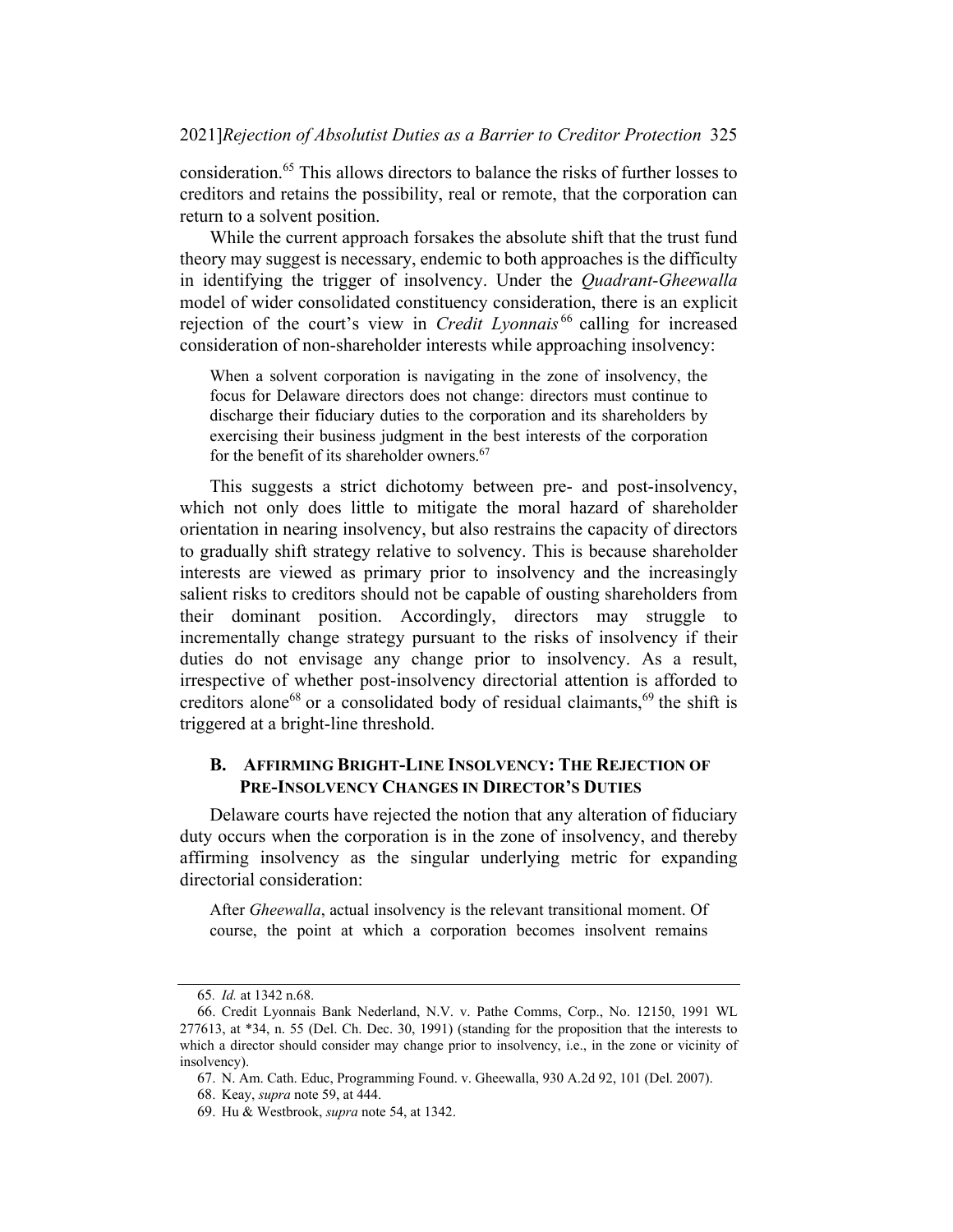consideration.65 This allows directors to balance the risks of further losses to creditors and retains the possibility, real or remote, that the corporation can return to a solvent position.

While the current approach forsakes the absolute shift that the trust fund theory may suggest is necessary, endemic to both approaches is the difficulty in identifying the trigger of insolvency. Under the Quadrant-Gheewalla model of wider consolidated constituency consideration, there is an explicit rejection of the court's view in *Credit Lyonnais*<sup>66</sup> calling for increased consideration of non-shareholder interests while approaching insolvency:

When a solvent corporation is navigating in the zone of insolvency, the focus for Delaware directors does not change: directors must continue to discharge their fiduciary duties to the corporation and its shareholders by exercising their business judgment in the best interests of the corporation for the benefit of its shareholder owners. 67

This suggests a strict dichotomy between pre- and post-insolvency, which not only does little to mitigate the moral hazard of shareholder orientation in nearing insolvency, but also restrains the capacity of directors to gradually shift strategy relative to solvency. This is because shareholder interests are viewed as primary prior to insolvency and the increasingly salient risks to creditors should not be capable of ousting shareholders from their dominant position. Accordingly, directors may struggle to incrementally change strategy pursuant to the risks of insolvency if their duties do not envisage any change prior to insolvency. As a result, irrespective of whether post-insolvency directorial attention is afforded to creditors alone<sup>68</sup> or a consolidated body of residual claimants,<sup>69</sup> the shift is triggered at a bright-line threshold.

## B. AFFIRMING BRIGHT-LINE INSOLVENCY: THE REJECTION OF PRE-INSOLVENCY CHANGES IN DIRECTOR'S DUTIES

Delaware courts have rejected the notion that any alteration of fiduciary duty occurs when the corporation is in the zone of insolvency, and thereby affirming insolvency as the singular underlying metric for expanding directorial consideration:

After Gheewalla, actual insolvency is the relevant transitional moment. Of course, the point at which a corporation becomes insolvent remains

<sup>65</sup>. Id. at 1342 n.68.

<sup>66.</sup> Credit Lyonnais Bank Nederland, N.V. v. Pathe Comms, Corp., No. 12150, 1991 WL 277613, at \*34, n. 55 (Del. Ch. Dec. 30, 1991) (standing for the proposition that the interests to which a director should consider may change prior to insolvency, i.e., in the zone or vicinity of insolvency).

<sup>67.</sup> N. Am. Cath. Educ, Programming Found. v. Gheewalla, 930 A.2d 92, 101 (Del. 2007).

<sup>68.</sup> Keay, supra note 59, at 444.

<sup>69.</sup> Hu & Westbrook, supra note 54, at 1342.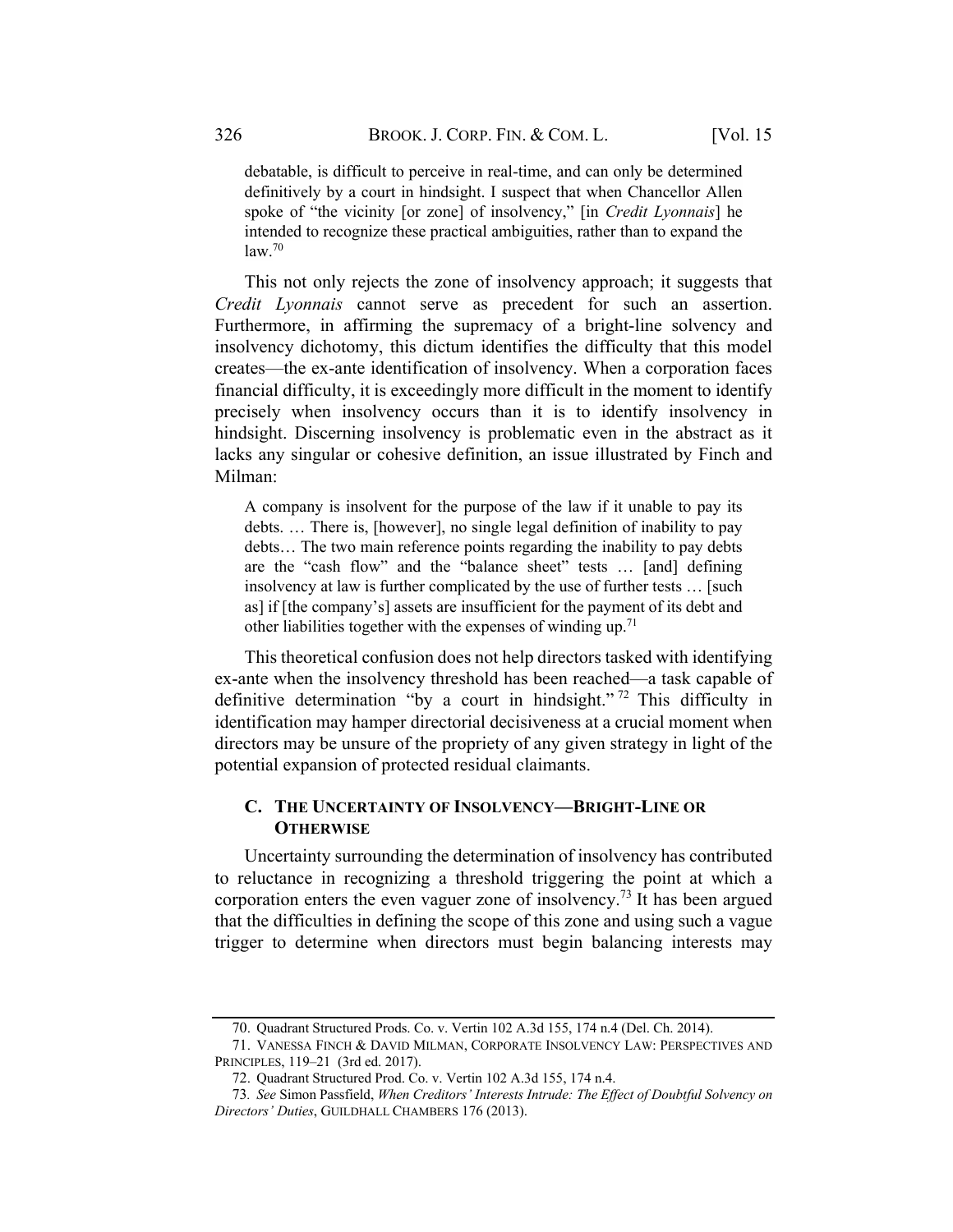debatable, is difficult to perceive in real-time, and can only be determined definitively by a court in hindsight. I suspect that when Chancellor Allen spoke of "the vicinity [or zone] of insolvency," [in *Credit Lyonnais*] he intended to recognize these practical ambiguities, rather than to expand the law. 70

This not only rejects the zone of insolvency approach; it suggests that Credit Lyonnais cannot serve as precedent for such an assertion. Furthermore, in affirming the supremacy of a bright-line solvency and insolvency dichotomy, this dictum identifies the difficulty that this model creates—the ex-ante identification of insolvency. When a corporation faces financial difficulty, it is exceedingly more difficult in the moment to identify precisely when insolvency occurs than it is to identify insolvency in hindsight. Discerning insolvency is problematic even in the abstract as it lacks any singular or cohesive definition, an issue illustrated by Finch and Milman:

A company is insolvent for the purpose of the law if it unable to pay its debts. … There is, [however], no single legal definition of inability to pay debts… The two main reference points regarding the inability to pay debts are the "cash flow" and the "balance sheet" tests … [and] defining insolvency at law is further complicated by the use of further tests … [such as] if [the company's] assets are insufficient for the payment of its debt and other liabilities together with the expenses of winding up.<sup>71</sup>

This theoretical confusion does not help directors tasked with identifying ex-ante when the insolvency threshold has been reached—a task capable of definitive determination "by a court in hindsight."<sup>72</sup> This difficulty in identification may hamper directorial decisiveness at a crucial moment when directors may be unsure of the propriety of any given strategy in light of the potential expansion of protected residual claimants.

## C. THE UNCERTAINTY OF INSOLVENCY—BRIGHT-LINE OR **OTHERWISE**

Uncertainty surrounding the determination of insolvency has contributed to reluctance in recognizing a threshold triggering the point at which a corporation enters the even vaguer zone of insolvency.<sup>73</sup> It has been argued that the difficulties in defining the scope of this zone and using such a vague trigger to determine when directors must begin balancing interests may

<sup>70.</sup> Quadrant Structured Prods. Co. v. Vertin 102 A.3d 155, 174 n.4 (Del. Ch. 2014).

<sup>71.</sup> VANESSA FINCH & DAVID MILMAN, CORPORATE INSOLVENCY LAW: PERSPECTIVES AND PRINCIPLES, 119–21 (3rd ed. 2017).

<sup>72.</sup> Quadrant Structured Prod. Co. v. Vertin 102 A.3d 155, 174 n.4.

<sup>73</sup>. See Simon Passfield, When Creditors' Interests Intrude: The Effect of Doubtful Solvency on Directors' Duties, GUILDHALL CHAMBERS 176 (2013).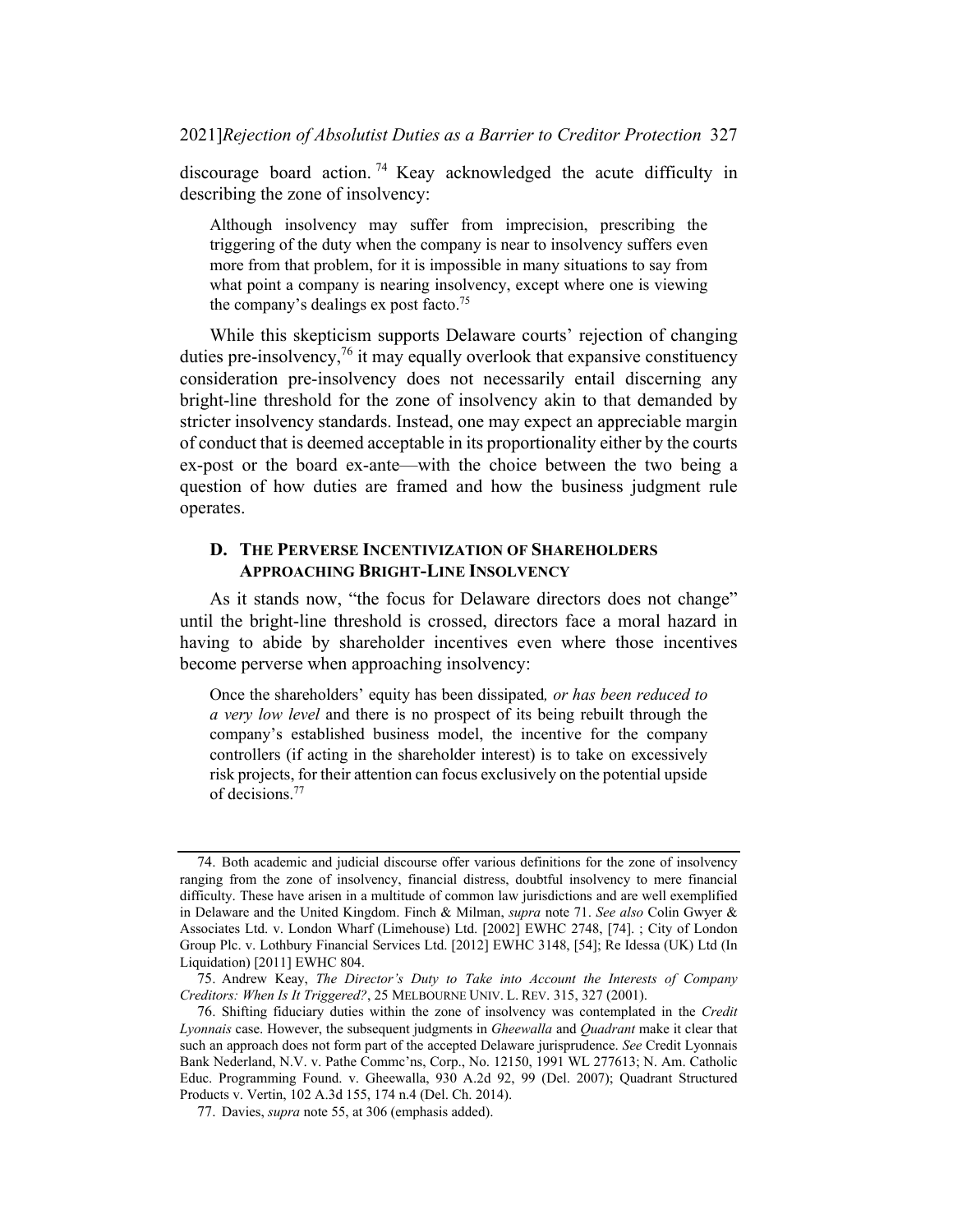discourage board action. <sup>74</sup> Keay acknowledged the acute difficulty in describing the zone of insolvency:

Although insolvency may suffer from imprecision, prescribing the triggering of the duty when the company is near to insolvency suffers even more from that problem, for it is impossible in many situations to say from what point a company is nearing insolvency, except where one is viewing the company's dealings  $ex$  post facto.<sup>75</sup>

While this skepticism supports Delaware courts' rejection of changing duties pre-insolvency,  $\frac{76}{11}$  it may equally overlook that expansive constituency consideration pre-insolvency does not necessarily entail discerning any bright-line threshold for the zone of insolvency akin to that demanded by stricter insolvency standards. Instead, one may expect an appreciable margin of conduct that is deemed acceptable in its proportionality either by the courts ex-post or the board ex-ante—with the choice between the two being a question of how duties are framed and how the business judgment rule operates.

#### D. THE PERVERSE INCENTIVIZATION OF SHAREHOLDERS APPROACHING BRIGHT-LINE INSOLVENCY

As it stands now, "the focus for Delaware directors does not change" until the bright-line threshold is crossed, directors face a moral hazard in having to abide by shareholder incentives even where those incentives become perverse when approaching insolvency:

Once the shareholders' equity has been dissipated, or has been reduced to a very low level and there is no prospect of its being rebuilt through the company's established business model, the incentive for the company controllers (if acting in the shareholder interest) is to take on excessively risk projects, for their attention can focus exclusively on the potential upside of decisions. 77

<sup>74.</sup> Both academic and judicial discourse offer various definitions for the zone of insolvency ranging from the zone of insolvency, financial distress, doubtful insolvency to mere financial difficulty. These have arisen in a multitude of common law jurisdictions and are well exemplified in Delaware and the United Kingdom. Finch & Milman, *supra* note 71. See also Colin Gwyer & Associates Ltd. v. London Wharf (Limehouse) Ltd. [2002] EWHC 2748, [74]. ; City of London Group Plc. v. Lothbury Financial Services Ltd. [2012] EWHC 3148, [54]; Re Idessa (UK) Ltd (In Liquidation) [2011] EWHC 804.

<sup>75.</sup> Andrew Keay, The Director's Duty to Take into Account the Interests of Company Creditors: When Is It Triggered?, 25 MELBOURNE UNIV. L. REV. 315, 327 (2001).

<sup>76.</sup> Shifting fiduciary duties within the zone of insolvency was contemplated in the Credit Lyonnais case. However, the subsequent judgments in Gheewalla and Quadrant make it clear that such an approach does not form part of the accepted Delaware jurisprudence. See Credit Lyonnais Bank Nederland, N.V. v. Pathe Commc'ns, Corp., No. 12150, 1991 WL 277613; N. Am. Catholic Educ. Programming Found. v. Gheewalla, 930 A.2d 92, 99 (Del. 2007); Quadrant Structured Products v. Vertin, 102 A.3d 155, 174 n.4 (Del. Ch. 2014).

<sup>77.</sup> Davies, supra note 55, at 306 (emphasis added).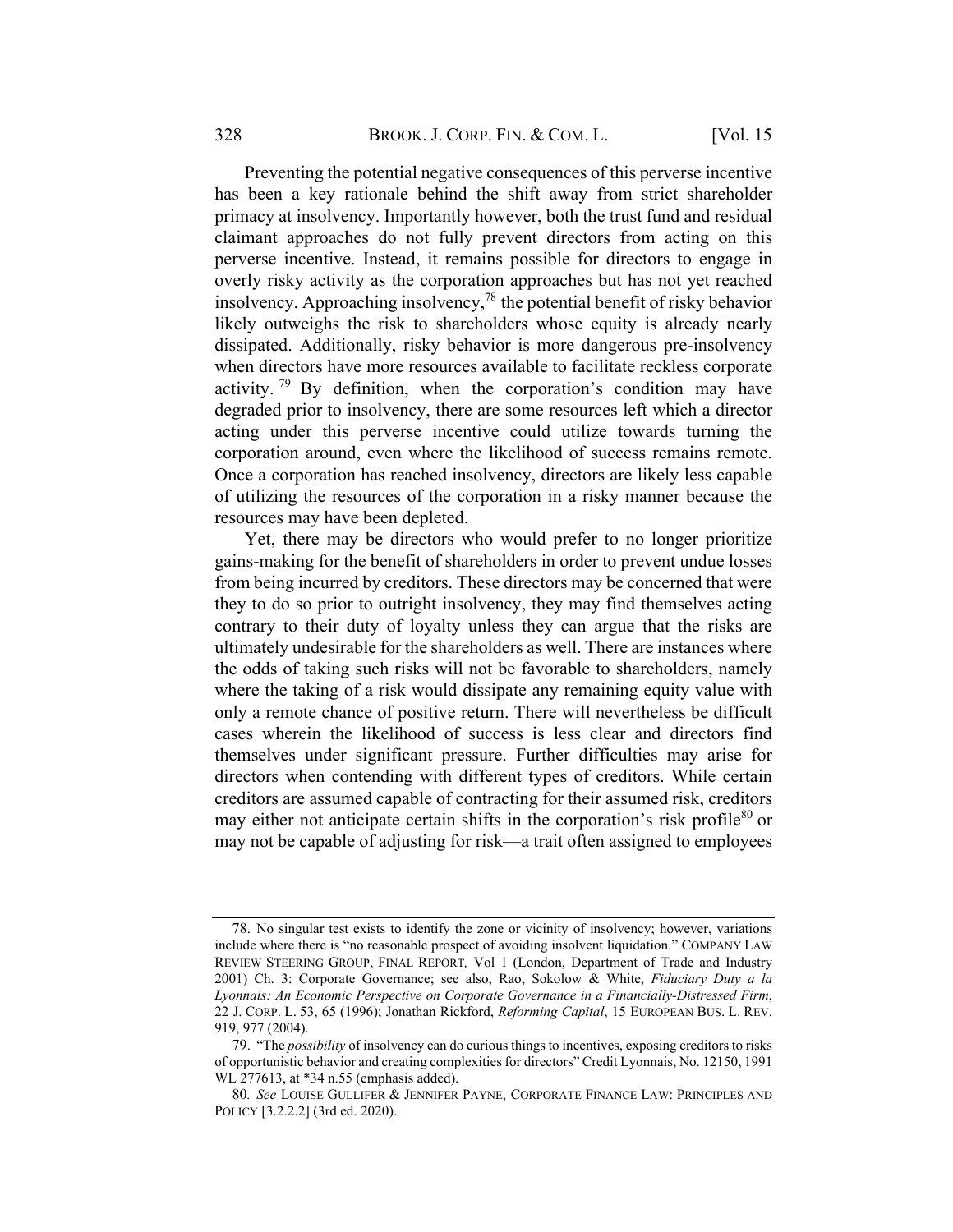Preventing the potential negative consequences of this perverse incentive has been a key rationale behind the shift away from strict shareholder primacy at insolvency. Importantly however, both the trust fund and residual claimant approaches do not fully prevent directors from acting on this perverse incentive. Instead, it remains possible for directors to engage in overly risky activity as the corporation approaches but has not yet reached insolvency. Approaching insolvency, <sup>78</sup> the potential benefit of risky behavior likely outweighs the risk to shareholders whose equity is already nearly dissipated. Additionally, risky behavior is more dangerous pre-insolvency when directors have more resources available to facilitate reckless corporate activity. <sup>79</sup> By definition, when the corporation's condition may have degraded prior to insolvency, there are some resources left which a director acting under this perverse incentive could utilize towards turning the corporation around, even where the likelihood of success remains remote. Once a corporation has reached insolvency, directors are likely less capable of utilizing the resources of the corporation in a risky manner because the resources may have been depleted.

Yet, there may be directors who would prefer to no longer prioritize gains-making for the benefit of shareholders in order to prevent undue losses from being incurred by creditors. These directors may be concerned that were they to do so prior to outright insolvency, they may find themselves acting contrary to their duty of loyalty unless they can argue that the risks are ultimately undesirable for the shareholders as well. There are instances where the odds of taking such risks will not be favorable to shareholders, namely where the taking of a risk would dissipate any remaining equity value with only a remote chance of positive return. There will nevertheless be difficult cases wherein the likelihood of success is less clear and directors find themselves under significant pressure. Further difficulties may arise for directors when contending with different types of creditors. While certain creditors are assumed capable of contracting for their assumed risk, creditors may either not anticipate certain shifts in the corporation's risk profile<sup>80</sup> or may not be capable of adjusting for risk—a trait often assigned to employees

<sup>78.</sup> No singular test exists to identify the zone or vicinity of insolvency; however, variations include where there is "no reasonable prospect of avoiding insolvent liquidation." COMPANY LAW REVIEW STEERING GROUP, FINAL REPORT, Vol 1 (London, Department of Trade and Industry 2001) Ch. 3: Corporate Governance; see also, Rao, Sokolow & White, Fiduciary Duty a la Lyonnais: An Economic Perspective on Corporate Governance in a Financially-Distressed Firm, 22 J. CORP. L. 53, 65 (1996); Jonathan Rickford, Reforming Capital, 15 EUROPEAN BUS. L. REV. 919, 977 (2004).

<sup>79.</sup> "The possibility of insolvency can do curious things to incentives, exposing creditors to risks of opportunistic behavior and creating complexities for directors" Credit Lyonnais, No. 12150, 1991 WL 277613, at \*34 n.55 (emphasis added).

<sup>80</sup>. See LOUISE GULLIFER & JENNIFER PAYNE, CORPORATE FINANCE LAW: PRINCIPLES AND POLICY [3.2.2.2] (3rd ed. 2020).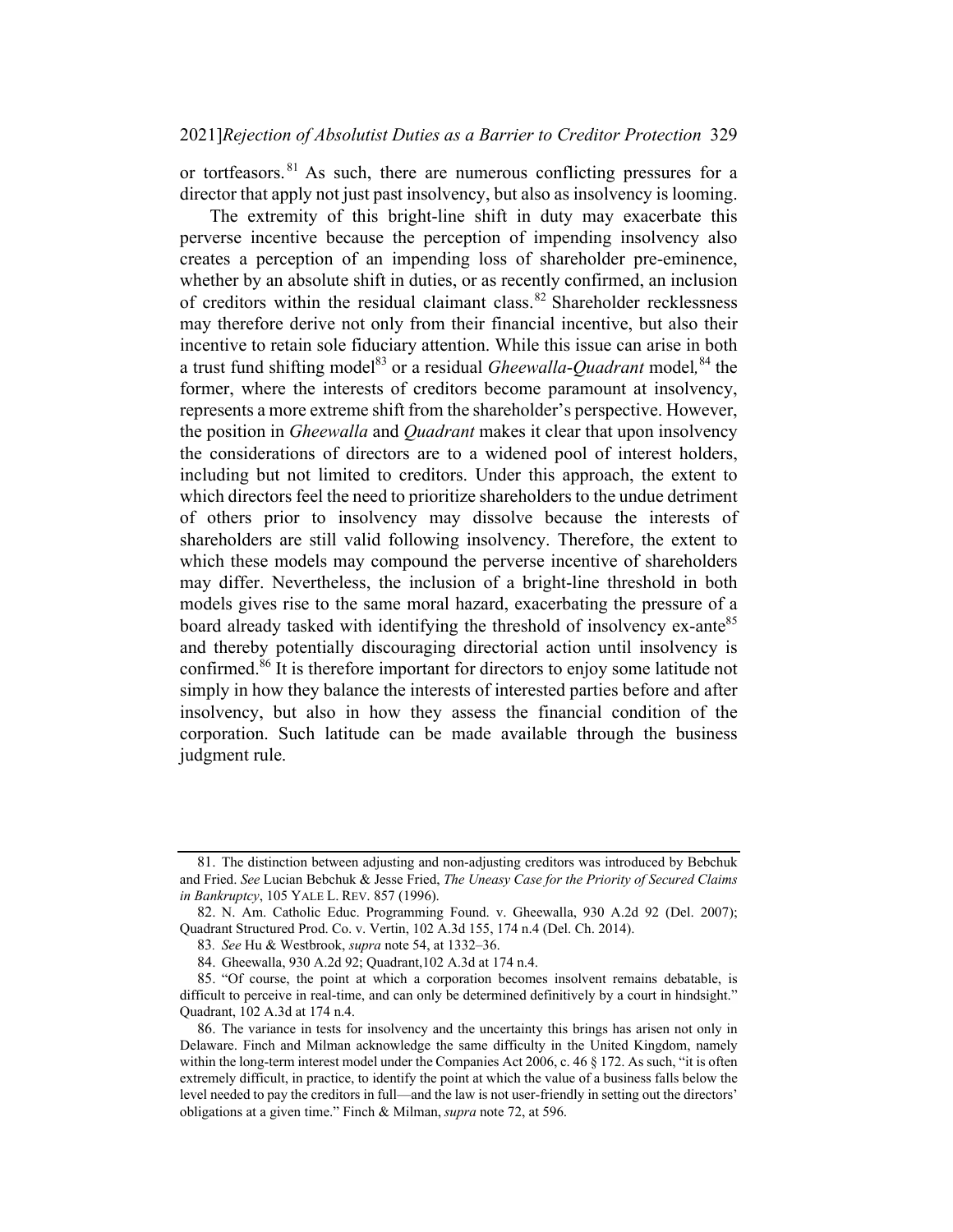or tortfeasors. <sup>81</sup> As such, there are numerous conflicting pressures for a director that apply not just past insolvency, but also as insolvency is looming.

The extremity of this bright-line shift in duty may exacerbate this perverse incentive because the perception of impending insolvency also creates a perception of an impending loss of shareholder pre-eminence, whether by an absolute shift in duties, or as recently confirmed, an inclusion of creditors within the residual claimant class.<sup>82</sup> Shareholder recklessness may therefore derive not only from their financial incentive, but also their incentive to retain sole fiduciary attention. While this issue can arise in both a trust fund shifting model<sup>83</sup> or a residual *Gheewalla-Quadrant* model, <sup>84</sup> the former, where the interests of creditors become paramount at insolvency, represents a more extreme shift from the shareholder's perspective. However, the position in *Gheewalla* and *Quadrant* makes it clear that upon insolvency the considerations of directors are to a widened pool of interest holders, including but not limited to creditors. Under this approach, the extent to which directors feel the need to prioritize shareholders to the undue detriment of others prior to insolvency may dissolve because the interests of shareholders are still valid following insolvency. Therefore, the extent to which these models may compound the perverse incentive of shareholders may differ. Nevertheless, the inclusion of a bright-line threshold in both models gives rise to the same moral hazard, exacerbating the pressure of a board already tasked with identifying the threshold of insolvency ex-ante<sup>85</sup> and thereby potentially discouraging directorial action until insolvency is confirmed. $86$  It is therefore important for directors to enjoy some latitude not simply in how they balance the interests of interested parties before and after insolvency, but also in how they assess the financial condition of the corporation. Such latitude can be made available through the business judgment rule.

<sup>81.</sup> The distinction between adjusting and non-adjusting creditors was introduced by Bebchuk and Fried. See Lucian Bebchuk & Jesse Fried, The Uneasy Case for the Priority of Secured Claims in Bankruptcy, 105 YALE L. REV. 857 (1996).

<sup>82.</sup> N. Am. Catholic Educ. Programming Found. v. Gheewalla, 930 A.2d 92 (Del. 2007); Quadrant Structured Prod. Co. v. Vertin, 102 A.3d 155, 174 n.4 (Del. Ch. 2014).

<sup>83</sup>. See Hu & Westbrook, supra note 54, at 1332–36.

<sup>84.</sup> Gheewalla, 930 A.2d 92; Quadrant,102 A.3d at 174 n.4.

<sup>85.</sup> "Of course, the point at which a corporation becomes insolvent remains debatable, is difficult to perceive in real-time, and can only be determined definitively by a court in hindsight." Quadrant, 102 A.3d at 174 n.4.

<sup>86.</sup> The variance in tests for insolvency and the uncertainty this brings has arisen not only in Delaware. Finch and Milman acknowledge the same difficulty in the United Kingdom, namely within the long-term interest model under the Companies Act 2006, c. 46 § 172. As such, "it is often extremely difficult, in practice, to identify the point at which the value of a business falls below the level needed to pay the creditors in full—and the law is not user-friendly in setting out the directors' obligations at a given time." Finch & Milman, supra note 72, at 596.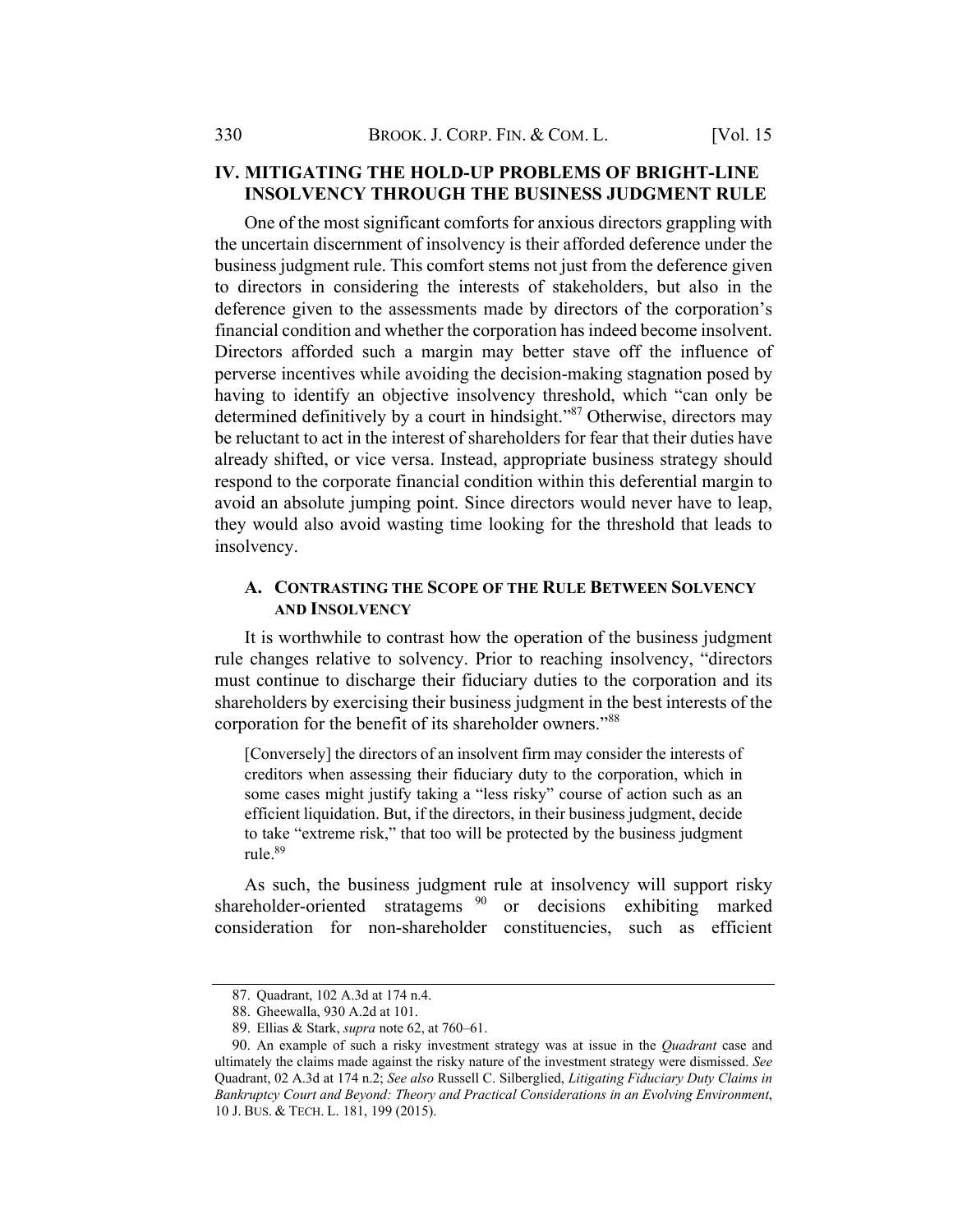## IV. MITIGATING THE HOLD-UP PROBLEMS OF BRIGHT-LINE INSOLVENCY THROUGH THE BUSINESS JUDGMENT RULE

One of the most significant comforts for anxious directors grappling with the uncertain discernment of insolvency is their afforded deference under the business judgment rule. This comfort stems not just from the deference given to directors in considering the interests of stakeholders, but also in the deference given to the assessments made by directors of the corporation's financial condition and whether the corporation has indeed become insolvent. Directors afforded such a margin may better stave off the influence of perverse incentives while avoiding the decision-making stagnation posed by having to identify an objective insolvency threshold, which "can only be determined definitively by a court in hindsight."<sup>87</sup> Otherwise, directors may be reluctant to act in the interest of shareholders for fear that their duties have already shifted, or vice versa. Instead, appropriate business strategy should respond to the corporate financial condition within this deferential margin to avoid an absolute jumping point. Since directors would never have to leap, they would also avoid wasting time looking for the threshold that leads to insolvency.

#### A. CONTRASTING THE SCOPE OF THE RULE BETWEEN SOLVENCY AND INSOLVENCY

It is worthwhile to contrast how the operation of the business judgment rule changes relative to solvency. Prior to reaching insolvency, "directors must continue to discharge their fiduciary duties to the corporation and its shareholders by exercising their business judgment in the best interests of the corporation for the benefit of its shareholder owners."88

[Conversely] the directors of an insolvent firm may consider the interests of creditors when assessing their fiduciary duty to the corporation, which in some cases might justify taking a "less risky" course of action such as an efficient liquidation. But, if the directors, in their business judgment, decide to take "extreme risk," that too will be protected by the business judgment rule.89

As such, the business judgment rule at insolvency will support risky shareholder-oriented stratagems  $90$  or decisions exhibiting marked consideration for non-shareholder constituencies, such as efficient

<sup>87.</sup> Quadrant, 102 A.3d at 174 n.4.

<sup>88.</sup> Gheewalla, 930 A.2d at 101.

<sup>89.</sup> Ellias & Stark, supra note 62, at 760–61.

<sup>90.</sup> An example of such a risky investment strategy was at issue in the *Quadrant* case and ultimately the claims made against the risky nature of the investment strategy were dismissed. See Quadrant, 02 A.3d at 174 n.2; See also Russell C. Silberglied, Litigating Fiduciary Duty Claims in Bankruptcy Court and Beyond: Theory and Practical Considerations in an Evolving Environment, 10 J. BUS. & TECH. L. 181, 199 (2015).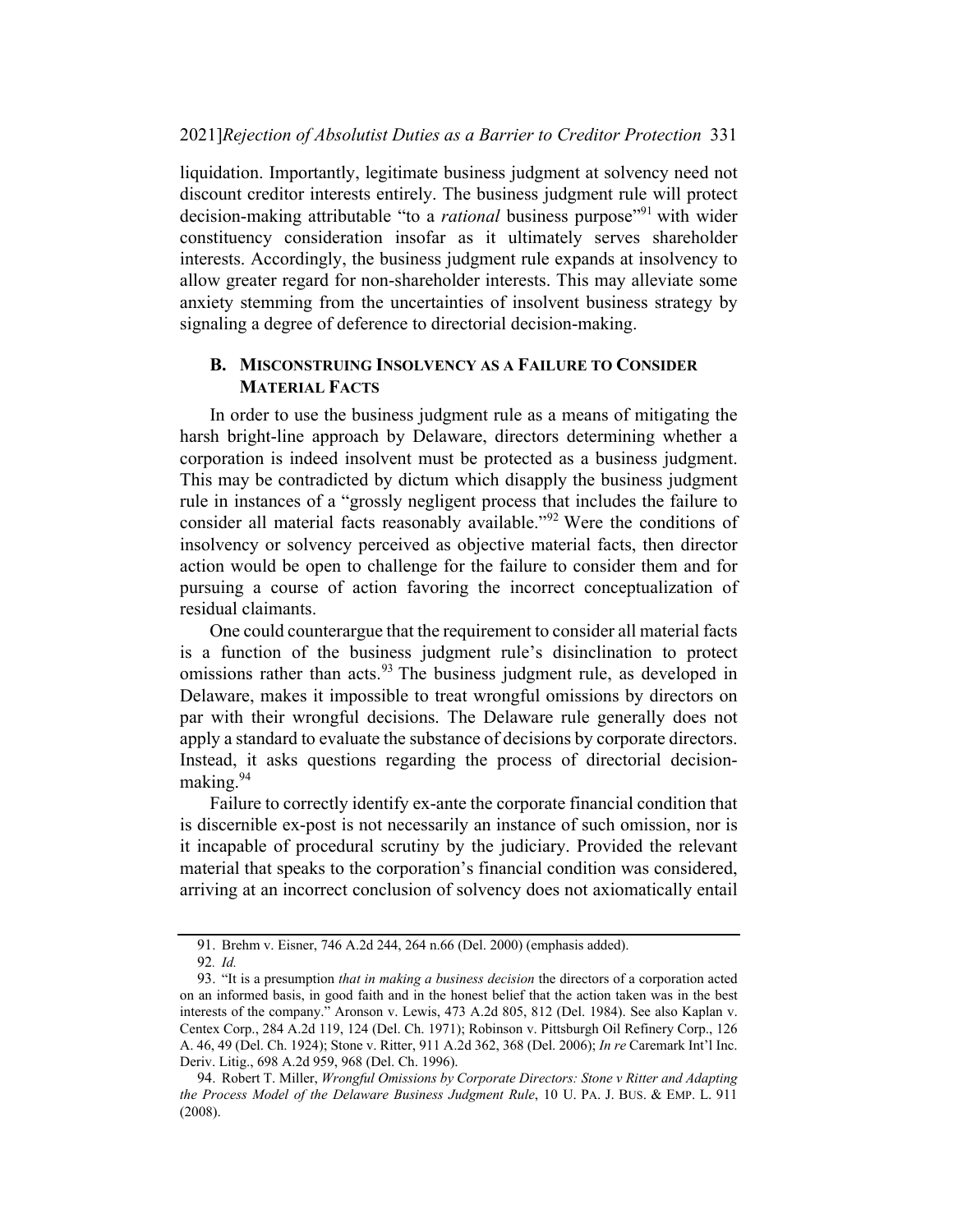#### 2021]Rejection of Absolutist Duties as a Barrier to Creditor Protection 331

liquidation. Importantly, legitimate business judgment at solvency need not discount creditor interests entirely. The business judgment rule will protect decision-making attributable "to a *rational* business purpose"<sup>91</sup> with wider constituency consideration insofar as it ultimately serves shareholder interests. Accordingly, the business judgment rule expands at insolvency to allow greater regard for non-shareholder interests. This may alleviate some anxiety stemming from the uncertainties of insolvent business strategy by signaling a degree of deference to directorial decision-making.

#### B. MISCONSTRUING INSOLVENCY AS A FAILURE TO CONSIDER MATERIAL FACTS

In order to use the business judgment rule as a means of mitigating the harsh bright-line approach by Delaware, directors determining whether a corporation is indeed insolvent must be protected as a business judgment. This may be contradicted by dictum which disapply the business judgment rule in instances of a "grossly negligent process that includes the failure to consider all material facts reasonably available."<sup>92</sup> Were the conditions of insolvency or solvency perceived as objective material facts, then director action would be open to challenge for the failure to consider them and for pursuing a course of action favoring the incorrect conceptualization of residual claimants.

One could counterargue that the requirement to consider all material facts is a function of the business judgment rule's disinclination to protect omissions rather than acts.<sup>93</sup> The business judgment rule, as developed in Delaware, makes it impossible to treat wrongful omissions by directors on par with their wrongful decisions. The Delaware rule generally does not apply a standard to evaluate the substance of decisions by corporate directors. Instead, it asks questions regarding the process of directorial decisionmaking.<sup>94</sup>

Failure to correctly identify ex-ante the corporate financial condition that is discernible ex-post is not necessarily an instance of such omission, nor is it incapable of procedural scrutiny by the judiciary. Provided the relevant material that speaks to the corporation's financial condition was considered, arriving at an incorrect conclusion of solvency does not axiomatically entail

<sup>91.</sup> Brehm v. Eisner, 746 A.2d 244, 264 n.66 (Del. 2000) (emphasis added).

<sup>92</sup>. Id.

<sup>93.</sup> "It is a presumption that in making a business decision the directors of a corporation acted on an informed basis, in good faith and in the honest belief that the action taken was in the best interests of the company." Aronson v. Lewis, 473 A.2d 805, 812 (Del. 1984). See also Kaplan v. Centex Corp., 284 A.2d 119, 124 (Del. Ch. 1971); Robinson v. Pittsburgh Oil Refinery Corp., 126 A. 46, 49 (Del. Ch. 1924); Stone v. Ritter, 911 A.2d 362, 368 (Del. 2006); In re Caremark Int'l Inc. Deriv. Litig., 698 A.2d 959, 968 (Del. Ch. 1996).

<sup>94.</sup> Robert T. Miller, Wrongful Omissions by Corporate Directors: Stone v Ritter and Adapting the Process Model of the Delaware Business Judgment Rule, 10 U. PA. J. BUS. & EMP. L. 911 (2008).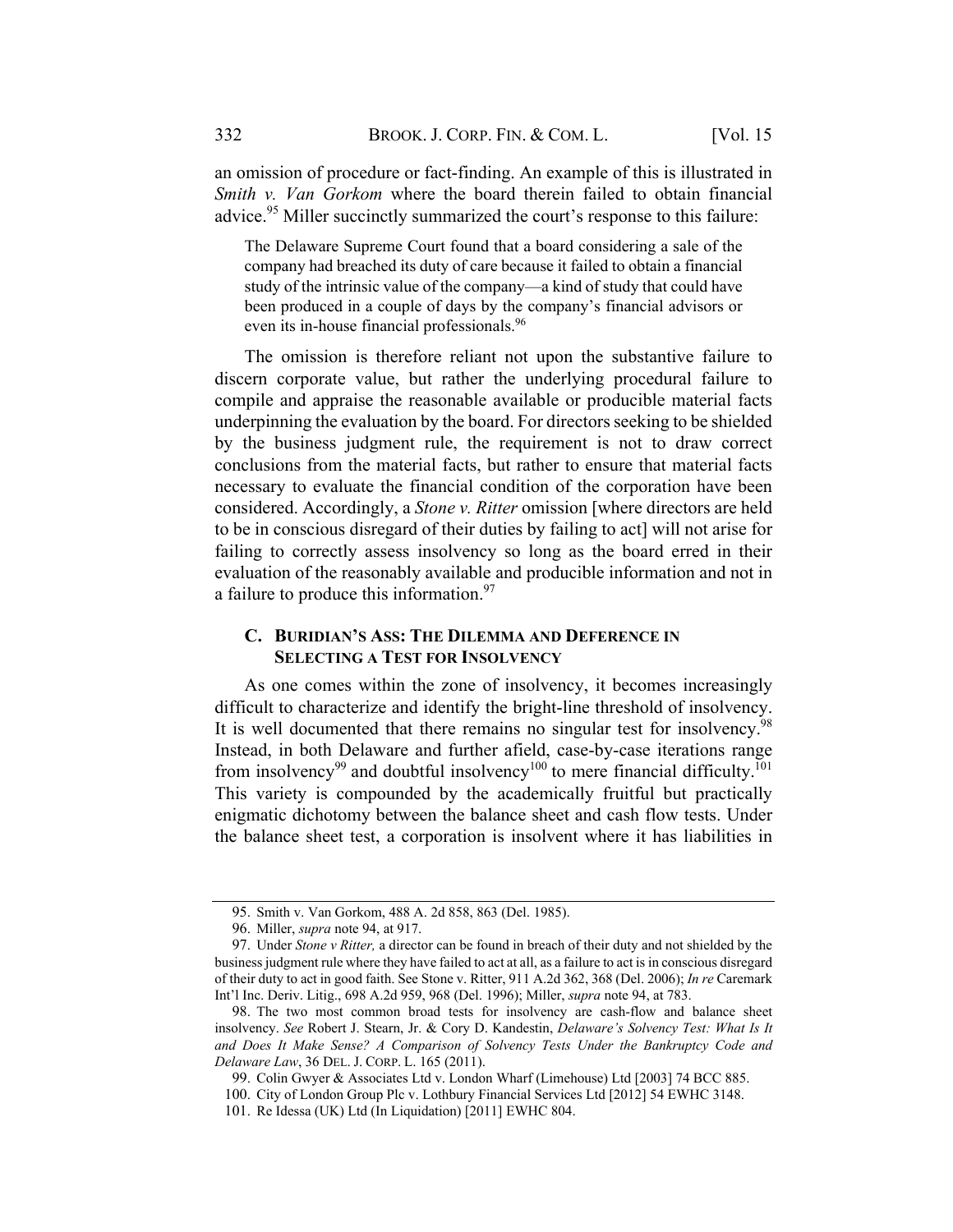an omission of procedure or fact-finding. An example of this is illustrated in Smith v. Van Gorkom where the board therein failed to obtain financial advice.<sup>95</sup> Miller succinctly summarized the court's response to this failure:

The Delaware Supreme Court found that a board considering a sale of the company had breached its duty of care because it failed to obtain a financial study of the intrinsic value of the company—a kind of study that could have been produced in a couple of days by the company's financial advisors or even its in-house financial professionals.96

The omission is therefore reliant not upon the substantive failure to discern corporate value, but rather the underlying procedural failure to compile and appraise the reasonable available or producible material facts underpinning the evaluation by the board. For directors seeking to be shielded by the business judgment rule, the requirement is not to draw correct conclusions from the material facts, but rather to ensure that material facts necessary to evaluate the financial condition of the corporation have been considered. Accordingly, a Stone v. Ritter omission [where directors are held to be in conscious disregard of their duties by failing to act] will not arise for failing to correctly assess insolvency so long as the board erred in their evaluation of the reasonably available and producible information and not in a failure to produce this information.<sup>97</sup>

#### C. BURIDIAN'S ASS: THE DILEMMA AND DEFERENCE IN SELECTING A TEST FOR INSOLVENCY

As one comes within the zone of insolvency, it becomes increasingly difficult to characterize and identify the bright-line threshold of insolvency. It is well documented that there remains no singular test for insolvency.<sup>98</sup> Instead, in both Delaware and further afield, case-by-case iterations range from insolvency<sup>99</sup> and doubtful insolvency<sup>100</sup> to mere financial difficulty.<sup>101</sup> This variety is compounded by the academically fruitful but practically enigmatic dichotomy between the balance sheet and cash flow tests. Under the balance sheet test, a corporation is insolvent where it has liabilities in

<sup>95.</sup> Smith v. Van Gorkom, 488 A. 2d 858, 863 (Del. 1985).

<sup>96.</sup> Miller, supra note 94, at 917.

<sup>97.</sup> Under *Stone v Ritter*, a director can be found in breach of their duty and not shielded by the business judgment rule where they have failed to act at all, as a failure to act is in conscious disregard of their duty to act in good faith. See Stone v. Ritter, 911 A.2d 362, 368 (Del. 2006); In re Caremark Int'l Inc. Deriv. Litig., 698 A.2d 959, 968 (Del. 1996); Miller, supra note 94, at 783.

<sup>98.</sup> The two most common broad tests for insolvency are cash-flow and balance sheet insolvency. See Robert J. Stearn, Jr. & Cory D. Kandestin, Delaware's Solvency Test: What Is It and Does It Make Sense? A Comparison of Solvency Tests Under the Bankruptcy Code and Delaware Law, 36 DEL. J. CORP. L. 165 (2011).

<sup>99.</sup> Colin Gwyer & Associates Ltd v. London Wharf (Limehouse) Ltd [2003] 74 BCC 885.

<sup>100.</sup> City of London Group Plc v. Lothbury Financial Services Ltd [2012] 54 EWHC 3148.

<sup>101.</sup> Re Idessa (UK) Ltd (In Liquidation) [2011] EWHC 804.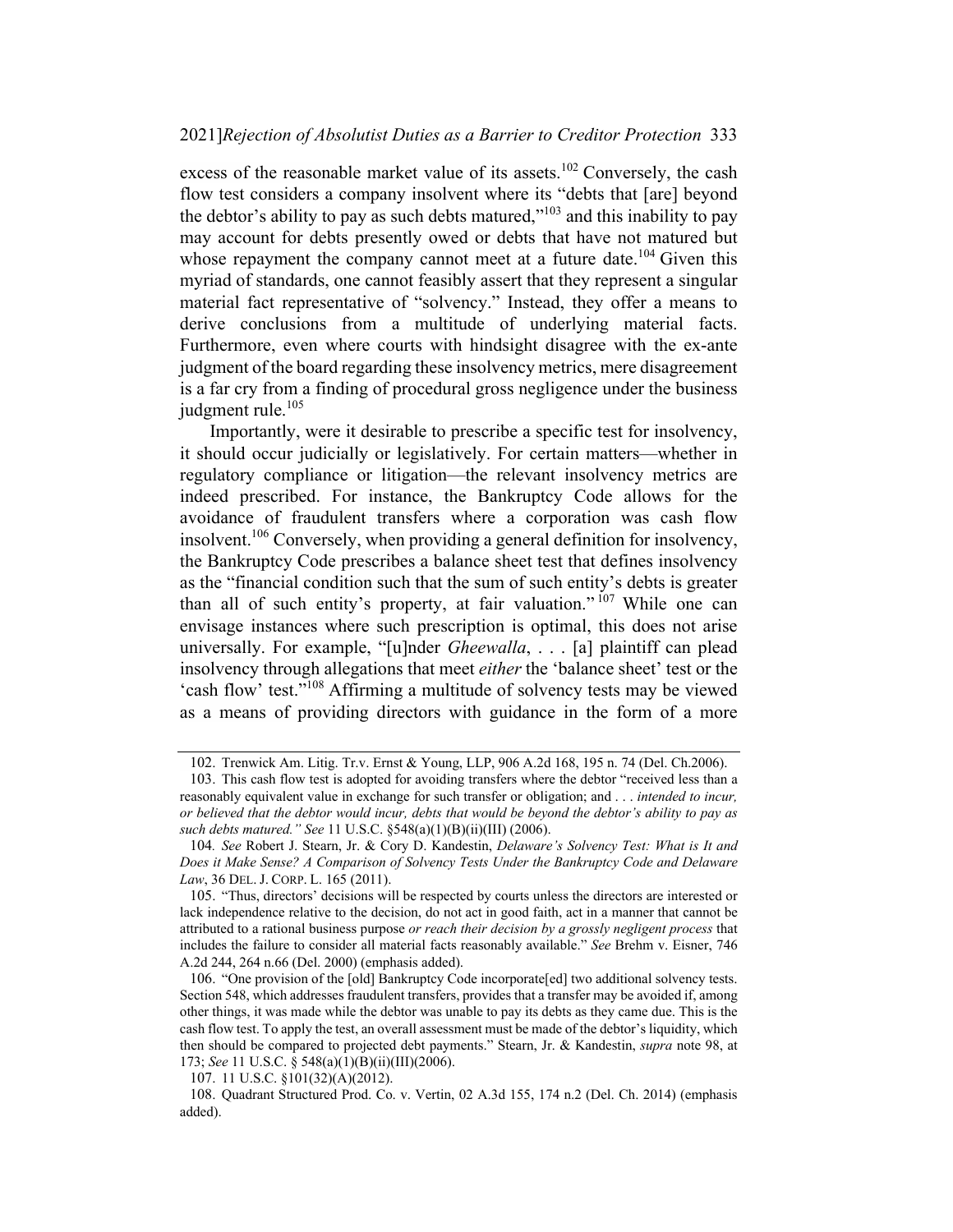excess of the reasonable market value of its assets.<sup>102</sup> Conversely, the cash flow test considers a company insolvent where its "debts that [are] beyond the debtor's ability to pay as such debts matured, $v^{103}$  and this inability to pay may account for debts presently owed or debts that have not matured but whose repayment the company cannot meet at a future date.<sup>104</sup> Given this myriad of standards, one cannot feasibly assert that they represent a singular material fact representative of "solvency." Instead, they offer a means to derive conclusions from a multitude of underlying material facts. Furthermore, even where courts with hindsight disagree with the ex-ante judgment of the board regarding these insolvency metrics, mere disagreement is a far cry from a finding of procedural gross negligence under the business judgment rule.<sup>105</sup>

Importantly, were it desirable to prescribe a specific test for insolvency, it should occur judicially or legislatively. For certain matters—whether in regulatory compliance or litigation—the relevant insolvency metrics are indeed prescribed. For instance, the Bankruptcy Code allows for the avoidance of fraudulent transfers where a corporation was cash flow insolvent.106 Conversely, when providing a general definition for insolvency, the Bankruptcy Code prescribes a balance sheet test that defines insolvency as the "financial condition such that the sum of such entity's debts is greater than all of such entity's property, at fair valuation." <sup>107</sup> While one can envisage instances where such prescription is optimal, this does not arise universally. For example, "[u]nder *Gheewalla*, . . . [a] plaintiff can plead insolvency through allegations that meet either the 'balance sheet' test or the 'cash flow' test."<sup>108</sup> Affirming a multitude of solvency tests may be viewed as a means of providing directors with guidance in the form of a more

<sup>102.</sup> Trenwick Am. Litig. Tr.v. Ernst & Young, LLP, 906 A.2d 168, 195 n. 74 (Del. Ch.2006).

<sup>103.</sup> This cash flow test is adopted for avoiding transfers where the debtor "received less than a reasonably equivalent value in exchange for such transfer or obligation; and . . . *intended to incur,* or believed that the debtor would incur, debts that would be beyond the debtor's ability to pay as such debts matured." See 11 U.S.C. §548(a)(1)(B)(ii)(III) (2006).

<sup>104</sup>. See Robert J. Stearn, Jr. & Cory D. Kandestin, Delaware's Solvency Test: What is It and Does it Make Sense? A Comparison of Solvency Tests Under the Bankruptcy Code and Delaware Law, 36 DEL. J. CORP. L. 165 (2011).

<sup>105.</sup> "Thus, directors' decisions will be respected by courts unless the directors are interested or lack independence relative to the decision, do not act in good faith, act in a manner that cannot be attributed to a rational business purpose or reach their decision by a grossly negligent process that includes the failure to consider all material facts reasonably available." See Brehm v. Eisner, 746 A.2d 244, 264 n.66 (Del. 2000) (emphasis added).

<sup>106.</sup> "One provision of the [old] Bankruptcy Code incorporate[ed] two additional solvency tests. Section 548, which addresses fraudulent transfers, provides that a transfer may be avoided if, among other things, it was made while the debtor was unable to pay its debts as they came due. This is the cash flow test. To apply the test, an overall assessment must be made of the debtor's liquidity, which then should be compared to projected debt payments." Stearn, Jr. & Kandestin, supra note 98, at 173; See 11 U.S.C. § 548(a)(1)(B)(ii)(III)(2006).

<sup>107.</sup> 11 U.S.C. §101(32)(A)(2012).

<sup>108.</sup> Quadrant Structured Prod. Co. v. Vertin, 02 A.3d 155, 174 n.2 (Del. Ch. 2014) (emphasis added).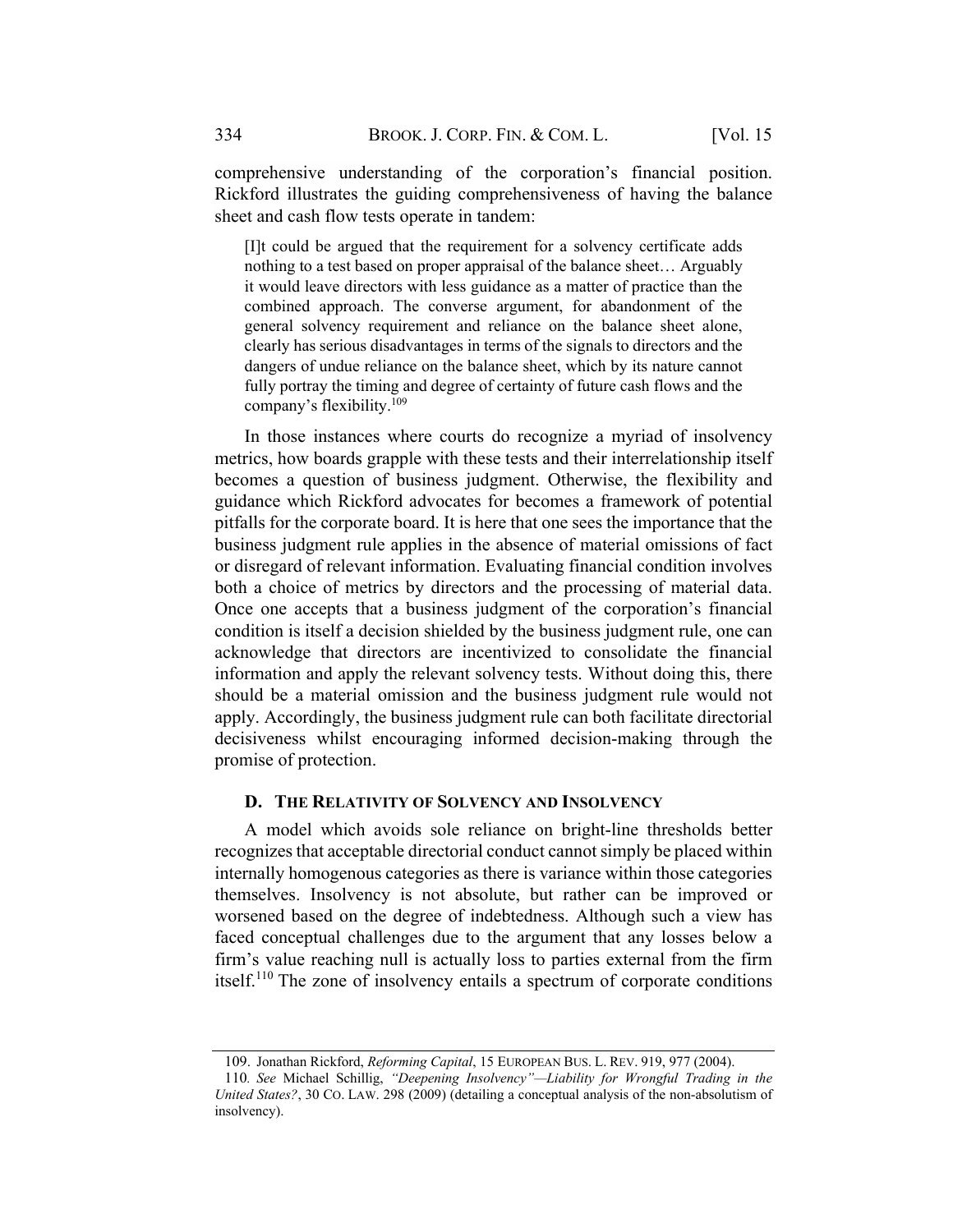comprehensive understanding of the corporation's financial position. Rickford illustrates the guiding comprehensiveness of having the balance sheet and cash flow tests operate in tandem:

[I]t could be argued that the requirement for a solvency certificate adds nothing to a test based on proper appraisal of the balance sheet… Arguably it would leave directors with less guidance as a matter of practice than the combined approach. The converse argument, for abandonment of the general solvency requirement and reliance on the balance sheet alone, clearly has serious disadvantages in terms of the signals to directors and the dangers of undue reliance on the balance sheet, which by its nature cannot fully portray the timing and degree of certainty of future cash flows and the company's flexibility.109

In those instances where courts do recognize a myriad of insolvency metrics, how boards grapple with these tests and their interrelationship itself becomes a question of business judgment. Otherwise, the flexibility and guidance which Rickford advocates for becomes a framework of potential pitfalls for the corporate board. It is here that one sees the importance that the business judgment rule applies in the absence of material omissions of fact or disregard of relevant information. Evaluating financial condition involves both a choice of metrics by directors and the processing of material data. Once one accepts that a business judgment of the corporation's financial condition is itself a decision shielded by the business judgment rule, one can acknowledge that directors are incentivized to consolidate the financial information and apply the relevant solvency tests. Without doing this, there should be a material omission and the business judgment rule would not apply. Accordingly, the business judgment rule can both facilitate directorial decisiveness whilst encouraging informed decision-making through the promise of protection.

#### D. THE RELATIVITY OF SOLVENCY AND INSOLVENCY

A model which avoids sole reliance on bright-line thresholds better recognizes that acceptable directorial conduct cannotsimply be placed within internally homogenous categories as there is variance within those categories themselves. Insolvency is not absolute, but rather can be improved or worsened based on the degree of indebtedness. Although such a view has faced conceptual challenges due to the argument that any losses below a firm's value reaching null is actually loss to parties external from the firm itself.<sup>110</sup> The zone of insolvency entails a spectrum of corporate conditions

<sup>109.</sup> Jonathan Rickford, Reforming Capital, 15 EUROPEAN BUS. L. REV. 919, 977 (2004).

<sup>110</sup>. See Michael Schillig, "Deepening Insolvency"—Liability for Wrongful Trading in the United States?, 30 CO. LAW. 298 (2009) (detailing a conceptual analysis of the non-absolutism of insolvency).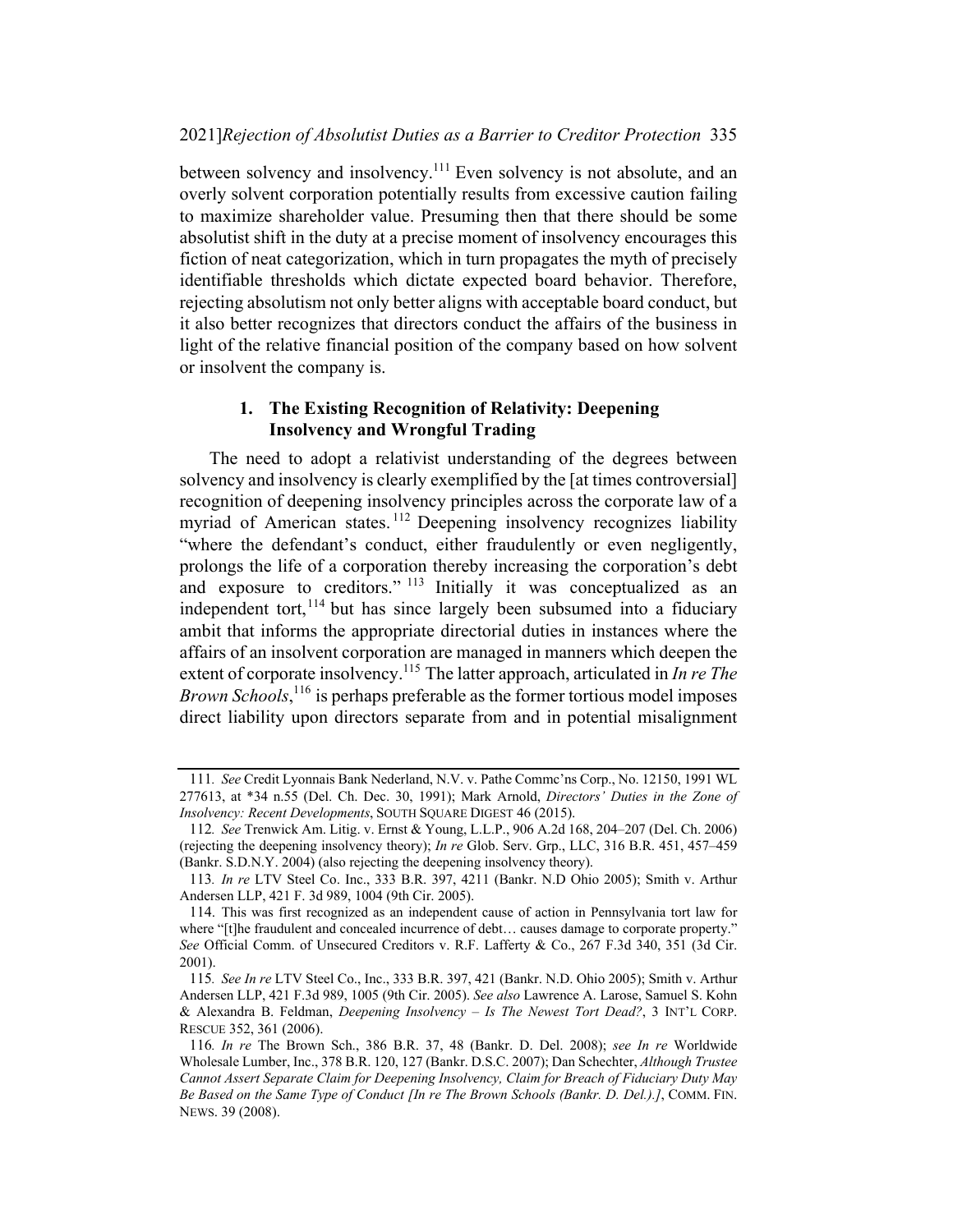between solvency and insolvency.111 Even solvency is not absolute, and an overly solvent corporation potentially results from excessive caution failing to maximize shareholder value. Presuming then that there should be some absolutist shift in the duty at a precise moment of insolvency encourages this fiction of neat categorization, which in turn propagates the myth of precisely identifiable thresholds which dictate expected board behavior. Therefore, rejecting absolutism not only better aligns with acceptable board conduct, but it also better recognizes that directors conduct the affairs of the business in light of the relative financial position of the company based on how solvent or insolvent the company is.

#### 1. The Existing Recognition of Relativity: Deepening Insolvency and Wrongful Trading

The need to adopt a relativist understanding of the degrees between solvency and insolvency is clearly exemplified by the [at times controversial] recognition of deepening insolvency principles across the corporate law of a myriad of American states.<sup>112</sup> Deepening insolvency recognizes liability "where the defendant's conduct, either fraudulently or even negligently, prolongs the life of a corporation thereby increasing the corporation's debt and exposure to creditors." <sup>113</sup> Initially it was conceptualized as an independent tort, $114$  but has since largely been subsumed into a fiduciary ambit that informs the appropriate directorial duties in instances where the affairs of an insolvent corporation are managed in manners which deepen the extent of corporate insolvency.<sup>115</sup> The latter approach, articulated in *In re The* Brown Schools,<sup>116</sup> is perhaps preferable as the former tortious model imposes direct liability upon directors separate from and in potential misalignment

<sup>111</sup>. See Credit Lyonnais Bank Nederland, N.V. v. Pathe Commc'ns Corp., No. 12150, 1991 WL 277613, at \*34 n.55 (Del. Ch. Dec. 30, 1991); Mark Arnold, Directors' Duties in the Zone of Insolvency: Recent Developments, SOUTH SQUARE DIGEST 46 (2015).

<sup>112</sup>. See Trenwick Am. Litig. v. Ernst & Young, L.L.P., 906 A.2d 168, 204–207 (Del. Ch. 2006) (rejecting the deepening insolvency theory); In re Glob. Serv. Grp., LLC, 316 B.R. 451, 457–459 (Bankr. S.D.N.Y. 2004) (also rejecting the deepening insolvency theory).

<sup>113</sup>. In re LTV Steel Co. Inc., 333 B.R. 397, 4211 (Bankr. N.D Ohio 2005); Smith v. Arthur Andersen LLP, 421 F. 3d 989, 1004 (9th Cir. 2005).

<sup>114.</sup> This was first recognized as an independent cause of action in Pennsylvania tort law for where "[t]he fraudulent and concealed incurrence of debt... causes damage to corporate property." See Official Comm. of Unsecured Creditors v. R.F. Lafferty & Co., 267 F.3d 340, 351 (3d Cir. 2001).

<sup>115</sup>. See In re LTV Steel Co., Inc., 333 B.R. 397, 421 (Bankr. N.D. Ohio 2005); Smith v. Arthur Andersen LLP, 421 F.3d 989, 1005 (9th Cir. 2005). See also Lawrence A. Larose, Samuel S. Kohn & Alexandra B. Feldman, *Deepening Insolvency – Is The Newest Tort Dead?*, 3 INT'L CORP. RESCUE 352, 361 (2006).

<sup>116</sup>. In re The Brown Sch., 386 B.R. 37, 48 (Bankr. D. Del. 2008); see In re Worldwide Wholesale Lumber, Inc., 378 B.R. 120, 127 (Bankr. D.S.C. 2007); Dan Schechter, Although Trustee Cannot Assert Separate Claim for Deepening Insolvency, Claim for Breach of Fiduciary Duty May Be Based on the Same Type of Conduct [In re The Brown Schools (Bankr. D. Del.).], COMM. FIN. NEWS. 39 (2008).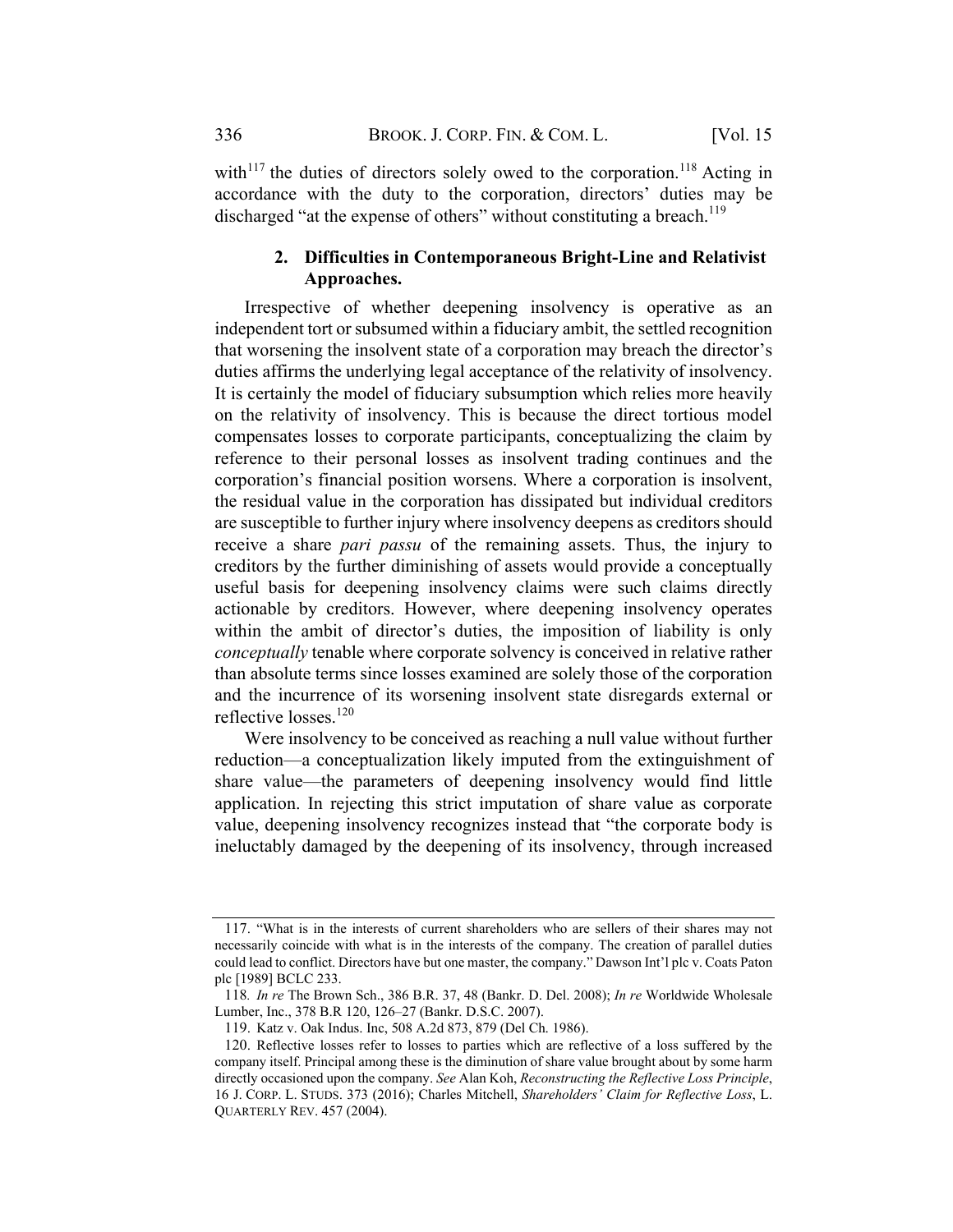with<sup>117</sup> the duties of directors solely owed to the corporation.<sup>118</sup> Acting in accordance with the duty to the corporation, directors' duties may be discharged "at the expense of others" without constituting a breach.<sup>119</sup>

### 2. Difficulties in Contemporaneous Bright-Line and Relativist Approaches.

Irrespective of whether deepening insolvency is operative as an independent tort or subsumed within a fiduciary ambit, the settled recognition that worsening the insolvent state of a corporation may breach the director's duties affirms the underlying legal acceptance of the relativity of insolvency. It is certainly the model of fiduciary subsumption which relies more heavily on the relativity of insolvency. This is because the direct tortious model compensates losses to corporate participants, conceptualizing the claim by reference to their personal losses as insolvent trading continues and the corporation's financial position worsens. Where a corporation is insolvent, the residual value in the corporation has dissipated but individual creditors are susceptible to further injury where insolvency deepens as creditors should receive a share *pari passu* of the remaining assets. Thus, the injury to creditors by the further diminishing of assets would provide a conceptually useful basis for deepening insolvency claims were such claims directly actionable by creditors. However, where deepening insolvency operates within the ambit of director's duties, the imposition of liability is only conceptually tenable where corporate solvency is conceived in relative rather than absolute terms since losses examined are solely those of the corporation and the incurrence of its worsening insolvent state disregards external or reflective losses.<sup>120</sup>

Were insolvency to be conceived as reaching a null value without further reduction—a conceptualization likely imputed from the extinguishment of share value—the parameters of deepening insolvency would find little application. In rejecting this strict imputation of share value as corporate value, deepening insolvency recognizes instead that "the corporate body is ineluctably damaged by the deepening of its insolvency, through increased

<sup>117.</sup> "What is in the interests of current shareholders who are sellers of their shares may not necessarily coincide with what is in the interests of the company. The creation of parallel duties could lead to conflict. Directors have but one master, the company." Dawson Int'l plc v. Coats Paton plc [1989] BCLC 233.

<sup>118</sup>. In re The Brown Sch., 386 B.R. 37, 48 (Bankr. D. Del. 2008); In re Worldwide Wholesale Lumber, Inc., 378 B.R 120, 126–27 (Bankr. D.S.C. 2007).

<sup>119.</sup> Katz v. Oak Indus. Inc, 508 A.2d 873, 879 (Del Ch. 1986).

<sup>120.</sup> Reflective losses refer to losses to parties which are reflective of a loss suffered by the company itself. Principal among these is the diminution of share value brought about by some harm directly occasioned upon the company. See Alan Koh, Reconstructing the Reflective Loss Principle, 16 J. CORP. L. STUDS. 373 (2016); Charles Mitchell, Shareholders' Claim for Reflective Loss, L. QUARTERLY REV. 457 (2004).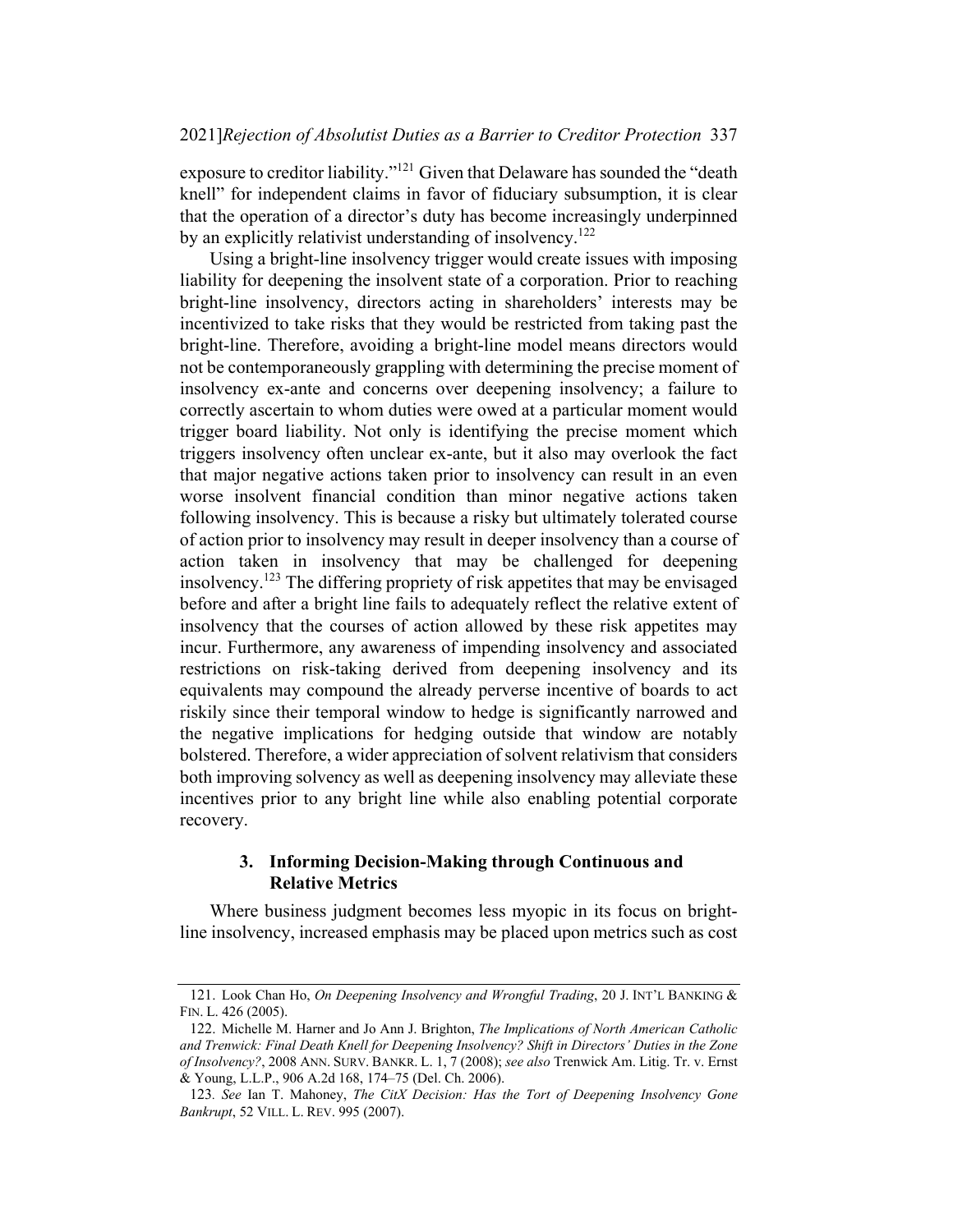exposure to creditor liability."<sup>121</sup> Given that Delaware has sounded the "death" knell" for independent claims in favor of fiduciary subsumption, it is clear that the operation of a director's duty has become increasingly underpinned by an explicitly relativist understanding of insolvency.<sup>122</sup>

Using a bright-line insolvency trigger would create issues with imposing liability for deepening the insolvent state of a corporation. Prior to reaching bright-line insolvency, directors acting in shareholders' interests may be incentivized to take risks that they would be restricted from taking past the bright-line. Therefore, avoiding a bright-line model means directors would not be contemporaneously grappling with determining the precise moment of insolvency ex-ante and concerns over deepening insolvency; a failure to correctly ascertain to whom duties were owed at a particular moment would trigger board liability. Not only is identifying the precise moment which triggers insolvency often unclear ex-ante, but it also may overlook the fact that major negative actions taken prior to insolvency can result in an even worse insolvent financial condition than minor negative actions taken following insolvency. This is because a risky but ultimately tolerated course of action prior to insolvency may result in deeper insolvency than a course of action taken in insolvency that may be challenged for deepening insolvency.<sup>123</sup> The differing propriety of risk appetites that may be envisaged before and after a bright line fails to adequately reflect the relative extent of insolvency that the courses of action allowed by these risk appetites may incur. Furthermore, any awareness of impending insolvency and associated restrictions on risk-taking derived from deepening insolvency and its equivalents may compound the already perverse incentive of boards to act riskily since their temporal window to hedge is significantly narrowed and the negative implications for hedging outside that window are notably bolstered. Therefore, a wider appreciation of solvent relativism that considers both improving solvency as well as deepening insolvency may alleviate these incentives prior to any bright line while also enabling potential corporate recovery.

## 3. Informing Decision-Making through Continuous and Relative Metrics

Where business judgment becomes less myopic in its focus on brightline insolvency, increased emphasis may be placed upon metrics such as cost

<sup>121.</sup> Look Chan Ho, On Deepening Insolvency and Wrongful Trading, 20 J. INT'L BANKING & FIN. L. 426 (2005).

<sup>122.</sup> Michelle M. Harner and Jo Ann J. Brighton, The Implications of North American Catholic and Trenwick: Final Death Knell for Deepening Insolvency? Shift in Directors' Duties in the Zone of Insolvency?, 2008 ANN. SURV. BANKR. L. 1, 7 (2008); see also Trenwick Am. Litig. Tr. v. Ernst & Young, L.L.P., 906 A.2d 168, 174–75 (Del. Ch. 2006).

<sup>123</sup>. See Ian T. Mahoney, The CitX Decision: Has the Tort of Deepening Insolvency Gone Bankrupt, 52 VILL. L. REV. 995 (2007).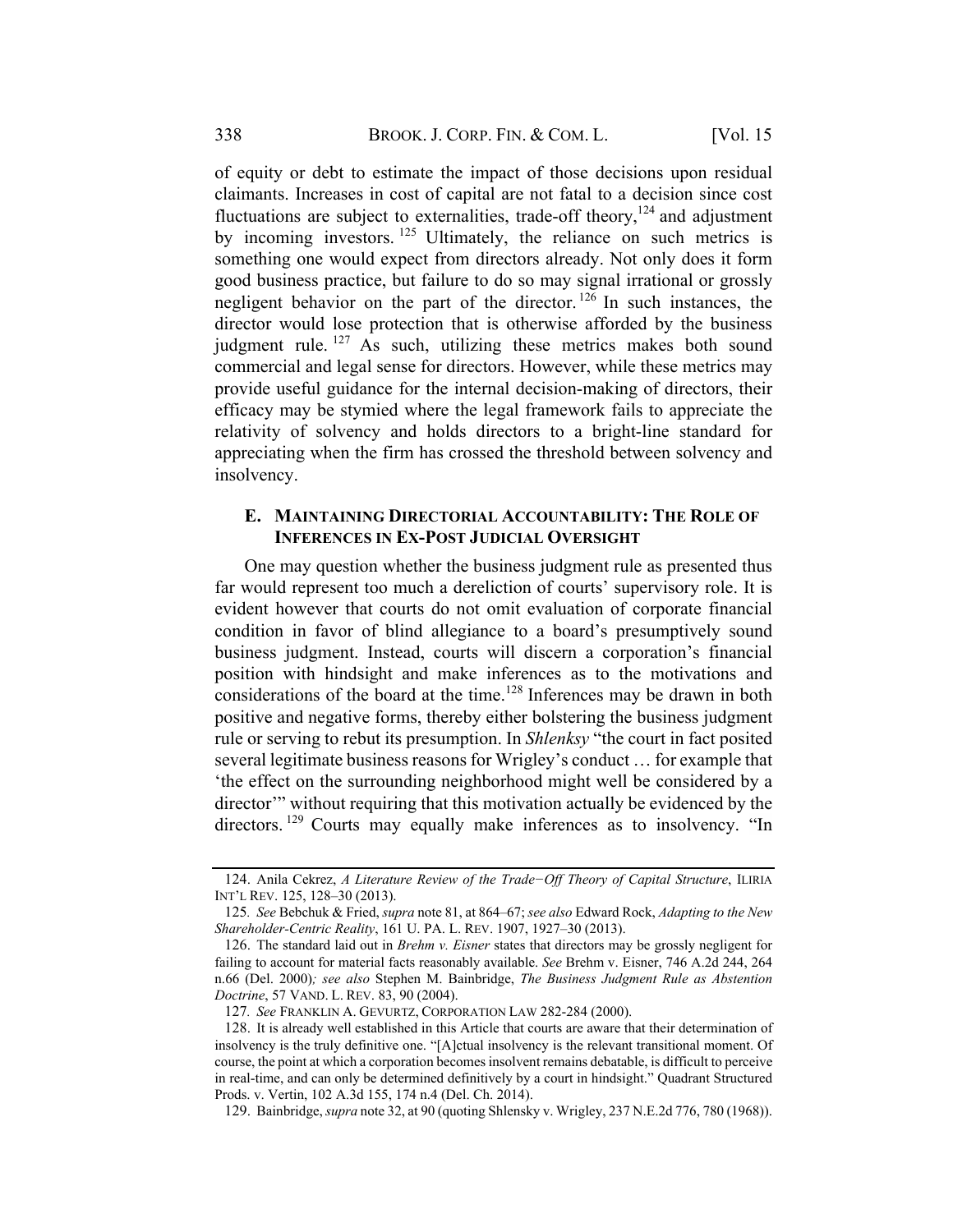of equity or debt to estimate the impact of those decisions upon residual claimants. Increases in cost of capital are not fatal to a decision since cost fluctuations are subject to externalities, trade-off theory,  $124$  and adjustment by incoming investors. <sup>125</sup> Ultimately, the reliance on such metrics is something one would expect from directors already. Not only does it form good business practice, but failure to do so may signal irrational or grossly negligent behavior on the part of the director.<sup>126</sup> In such instances, the director would lose protection that is otherwise afforded by the business judgment rule.  $127$  As such, utilizing these metrics makes both sound commercial and legal sense for directors. However, while these metrics may provide useful guidance for the internal decision-making of directors, their efficacy may be stymied where the legal framework fails to appreciate the relativity of solvency and holds directors to a bright-line standard for appreciating when the firm has crossed the threshold between solvency and insolvency.

#### E. MAINTAINING DIRECTORIAL ACCOUNTABILITY: THE ROLE OF INFERENCES IN EX-POST JUDICIAL OVERSIGHT

One may question whether the business judgment rule as presented thus far would represent too much a dereliction of courts' supervisory role. It is evident however that courts do not omit evaluation of corporate financial condition in favor of blind allegiance to a board's presumptively sound business judgment. Instead, courts will discern a corporation's financial position with hindsight and make inferences as to the motivations and considerations of the board at the time.<sup>128</sup> Inferences may be drawn in both positive and negative forms, thereby either bolstering the business judgment rule or serving to rebut its presumption. In Shlenksy "the court in fact posited several legitimate business reasons for Wrigley's conduct … for example that 'the effect on the surrounding neighborhood might well be considered by a director'" without requiring that this motivation actually be evidenced by the directors.<sup>129</sup> Courts may equally make inferences as to insolvency. "In

<sup>124.</sup> Anila Cekrez, A Literature Review of the Trade−Off Theory of Capital Structure, ILIRIA INT'L REV. 125, 128–30 (2013).

<sup>125</sup>. See Bebchuk & Fried, supra note 81, at 864–67; see also Edward Rock, Adapting to the New Shareholder-Centric Reality, 161 U. PA. L. REV. 1907, 1927–30 (2013).

<sup>126.</sup> The standard laid out in *Brehm v. Eisner* states that directors may be grossly negligent for failing to account for material facts reasonably available. See Brehm v. Eisner, 746 A.2d 244, 264 n.66 (Del. 2000); see also Stephen M. Bainbridge, The Business Judgment Rule as Abstention Doctrine, 57 VAND. L. REV. 83, 90 (2004).

<sup>127</sup>. See FRANKLIN A. GEVURTZ, CORPORATION LAW 282-284 (2000).

<sup>128.</sup> It is already well established in this Article that courts are aware that their determination of insolvency is the truly definitive one. "[A]ctual insolvency is the relevant transitional moment. Of course, the point at which a corporation becomesinsolvent remains debatable, is difficult to perceive in real-time, and can only be determined definitively by a court in hindsight." Quadrant Structured Prods. v. Vertin, 102 A.3d 155, 174 n.4 (Del. Ch. 2014).

<sup>129.</sup> Bainbridge, *supra* note 32, at 90 (quoting Shlensky v. Wrigley, 237 N.E.2d 776, 780 (1968)).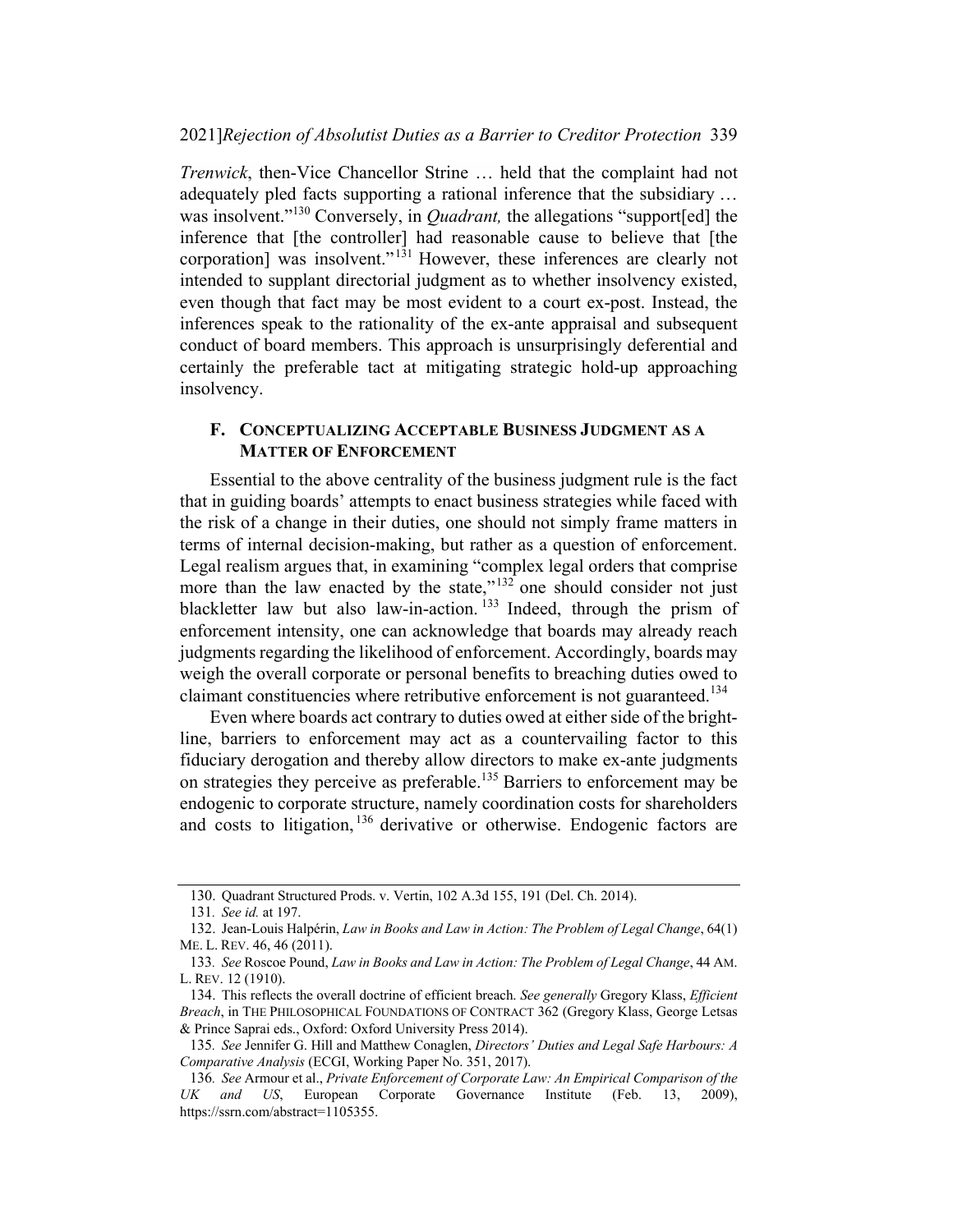Trenwick, then-Vice Chancellor Strine … held that the complaint had not adequately pled facts supporting a rational inference that the subsidiary … was insolvent."<sup>130</sup> Conversely, in *Quadrant*, the allegations "support[ed] the inference that [the controller] had reasonable cause to believe that [the corporation] was insolvent."<sup>131</sup> However, these inferences are clearly not intended to supplant directorial judgment as to whether insolvency existed, even though that fact may be most evident to a court ex-post. Instead, the inferences speak to the rationality of the ex-ante appraisal and subsequent conduct of board members. This approach is unsurprisingly deferential and certainly the preferable tact at mitigating strategic hold-up approaching insolvency.

#### F. CONCEPTUALIZING ACCEPTABLE BUSINESS JUDGMENT AS A MATTER OF ENFORCEMENT

Essential to the above centrality of the business judgment rule is the fact that in guiding boards' attempts to enact business strategies while faced with the risk of a change in their duties, one should not simply frame matters in terms of internal decision-making, but rather as a question of enforcement. Legal realism argues that, in examining "complex legal orders that comprise more than the law enacted by the state," $132$  one should consider not just blackletter law but also law-in-action.  $133$  Indeed, through the prism of enforcement intensity, one can acknowledge that boards may already reach judgments regarding the likelihood of enforcement. Accordingly, boards may weigh the overall corporate or personal benefits to breaching duties owed to claimant constituencies where retributive enforcement is not guaranteed.<sup>134</sup>

Even where boards act contrary to duties owed at either side of the brightline, barriers to enforcement may act as a countervailing factor to this fiduciary derogation and thereby allow directors to make ex-ante judgments on strategies they perceive as preferable.135 Barriers to enforcement may be endogenic to corporate structure, namely coordination costs for shareholders and costs to litigation,  $136$  derivative or otherwise. Endogenic factors are

<sup>130.</sup> Quadrant Structured Prods. v. Vertin, 102 A.3d 155, 191 (Del. Ch. 2014).

<sup>131</sup>. See id. at 197.

<sup>132.</sup> Jean-Louis Halpérin, Law in Books and Law in Action: The Problem of Legal Change, 64(1) ME. L. REV. 46, 46 (2011).

<sup>133</sup>. See Roscoe Pound, Law in Books and Law in Action: The Problem of Legal Change, 44 AM. L. REV. 12 (1910).

<sup>134.</sup> This reflects the overall doctrine of efficient breach. See generally Gregory Klass, Efficient Breach, in THE PHILOSOPHICAL FOUNDATIONS OF CONTRACT 362 (Gregory Klass, George Letsas & Prince Saprai eds., Oxford: Oxford University Press 2014).

<sup>135.</sup> See Jennifer G. Hill and Matthew Conaglen, Directors' Duties and Legal Safe Harbours: A Comparative Analysis (ECGI, Working Paper No. 351, 2017).

<sup>136</sup>. See Armour et al., Private Enforcement of Corporate Law: An Empirical Comparison of the UK and US, European Corporate Governance Institute (Feb. 13, 2009), https://ssrn.com/abstract=1105355.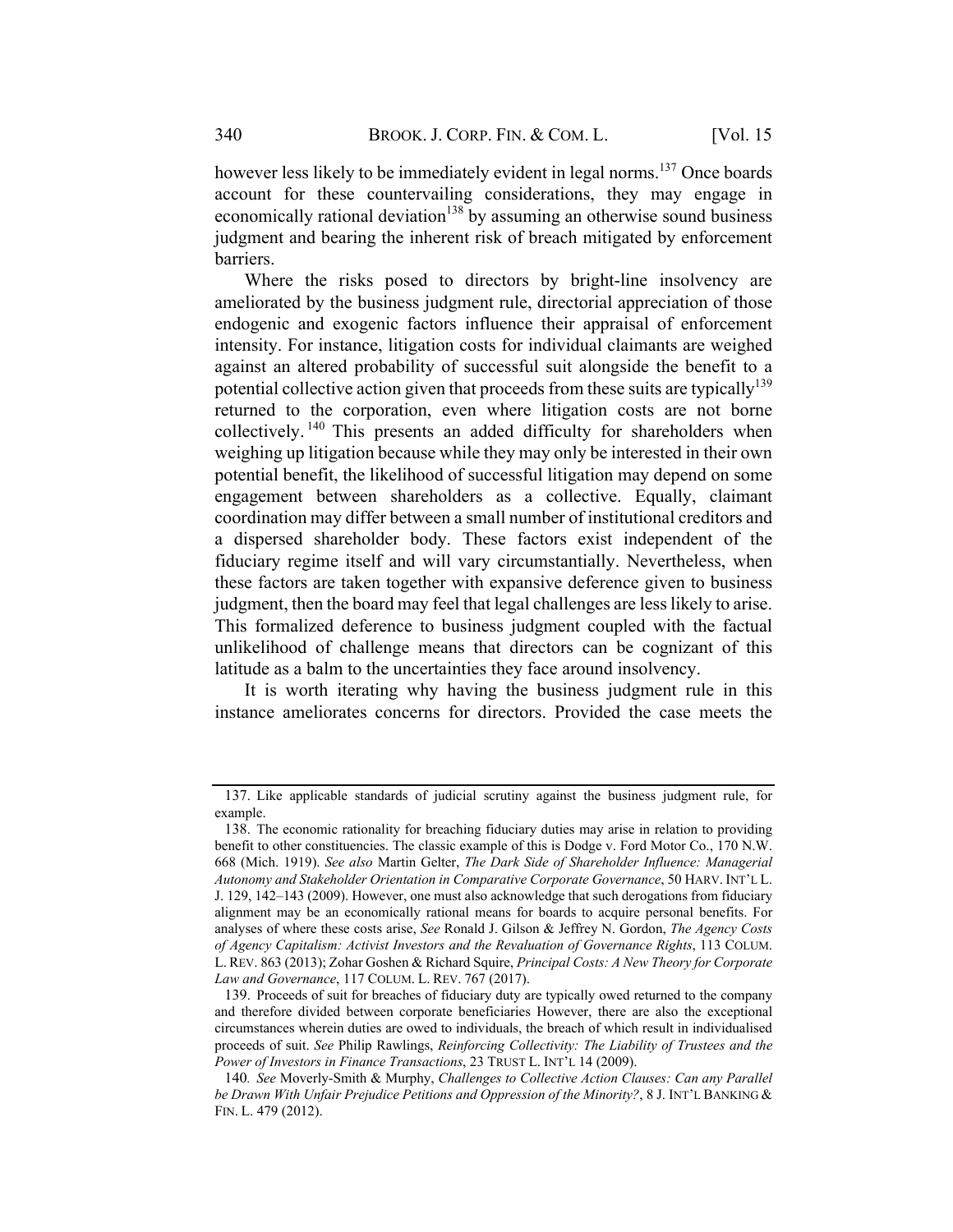however less likely to be immediately evident in legal norms.<sup>137</sup> Once boards account for these countervailing considerations, they may engage in economically rational deviation<sup>138</sup> by assuming an otherwise sound business judgment and bearing the inherent risk of breach mitigated by enforcement barriers.

Where the risks posed to directors by bright-line insolvency are ameliorated by the business judgment rule, directorial appreciation of those endogenic and exogenic factors influence their appraisal of enforcement intensity. For instance, litigation costs for individual claimants are weighed against an altered probability of successful suit alongside the benefit to a potential collective action given that proceeds from these suits are typically<sup>139</sup> returned to the corporation, even where litigation costs are not borne collectively. <sup>140</sup> This presents an added difficulty for shareholders when weighing up litigation because while they may only be interested in their own potential benefit, the likelihood of successful litigation may depend on some engagement between shareholders as a collective. Equally, claimant coordination may differ between a small number of institutional creditors and a dispersed shareholder body. These factors exist independent of the fiduciary regime itself and will vary circumstantially. Nevertheless, when these factors are taken together with expansive deference given to business judgment, then the board may feel that legal challenges are less likely to arise. This formalized deference to business judgment coupled with the factual unlikelihood of challenge means that directors can be cognizant of this latitude as a balm to the uncertainties they face around insolvency.

It is worth iterating why having the business judgment rule in this instance ameliorates concerns for directors. Provided the case meets the

<sup>137.</sup> Like applicable standards of judicial scrutiny against the business judgment rule, for example.

<sup>138.</sup> The economic rationality for breaching fiduciary duties may arise in relation to providing benefit to other constituencies. The classic example of this is Dodge v. Ford Motor Co., 170 N.W. 668 (Mich. 1919). See also Martin Gelter, The Dark Side of Shareholder Influence: Managerial Autonomy and Stakeholder Orientation in Comparative Corporate Governance, 50 HARV. INT'L L. J. 129, 142–143 (2009). However, one must also acknowledge that such derogations from fiduciary alignment may be an economically rational means for boards to acquire personal benefits. For analyses of where these costs arise, See Ronald J. Gilson & Jeffrey N. Gordon, The Agency Costs of Agency Capitalism: Activist Investors and the Revaluation of Governance Rights, 113 COLUM. L. REV. 863 (2013); Zohar Goshen & Richard Squire, Principal Costs: A New Theory for Corporate Law and Governance, 117 COLUM. L. REV. 767 (2017).

<sup>139.</sup> Proceeds of suit for breaches of fiduciary duty are typically owed returned to the company and therefore divided between corporate beneficiaries However, there are also the exceptional circumstances wherein duties are owed to individuals, the breach of which result in individualised proceeds of suit. See Philip Rawlings, Reinforcing Collectivity: The Liability of Trustees and the Power of Investors in Finance Transactions, 23 TRUST L. INT'L 14 (2009).

<sup>140</sup>. See Moverly-Smith & Murphy, Challenges to Collective Action Clauses: Can any Parallel be Drawn With Unfair Prejudice Petitions and Oppression of the Minority?, 8 J. INT'L BANKING & FIN. L. 479 (2012).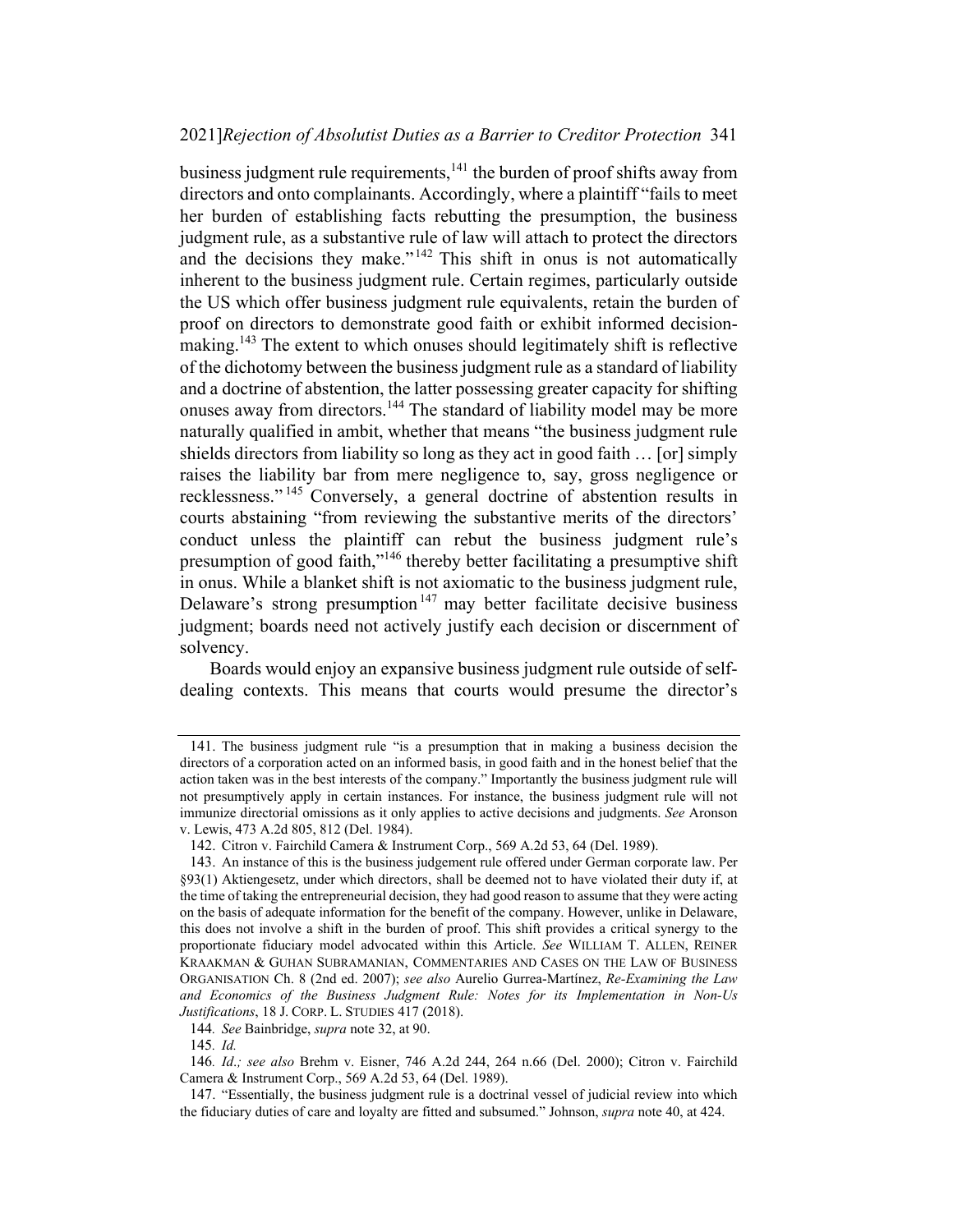#### 2021]Rejection of Absolutist Duties as a Barrier to Creditor Protection 341

business judgment rule requirements, $141$  the burden of proof shifts away from directors and onto complainants. Accordingly, where a plaintiff "fails to meet her burden of establishing facts rebutting the presumption, the business judgment rule, as a substantive rule of law will attach to protect the directors and the decisions they make."<sup>142</sup> This shift in onus is not automatically inherent to the business judgment rule. Certain regimes, particularly outside the US which offer business judgment rule equivalents, retain the burden of proof on directors to demonstrate good faith or exhibit informed decisionmaking.<sup>143</sup> The extent to which onuses should legitimately shift is reflective of the dichotomy between the business judgment rule as a standard of liability and a doctrine of abstention, the latter possessing greater capacity for shifting onuses away from directors.<sup>144</sup> The standard of liability model may be more naturally qualified in ambit, whether that means "the business judgment rule shields directors from liability so long as they act in good faith … [or] simply raises the liability bar from mere negligence to, say, gross negligence or recklessness." <sup>145</sup> Conversely, a general doctrine of abstention results in courts abstaining "from reviewing the substantive merits of the directors' conduct unless the plaintiff can rebut the business judgment rule's presumption of good faith,"<sup>146</sup> thereby better facilitating a presumptive shift in onus. While a blanket shift is not axiomatic to the business judgment rule, Delaware's strong presumption<sup>147</sup> may better facilitate decisive business judgment; boards need not actively justify each decision or discernment of solvency.

Boards would enjoy an expansive business judgment rule outside of selfdealing contexts. This means that courts would presume the director's

<sup>141.</sup> The business judgment rule "is a presumption that in making a business decision the directors of a corporation acted on an informed basis, in good faith and in the honest belief that the action taken was in the best interests of the company." Importantly the business judgment rule will not presumptively apply in certain instances. For instance, the business judgment rule will not immunize directorial omissions as it only applies to active decisions and judgments. See Aronson v. Lewis, 473 A.2d 805, 812 (Del. 1984).

<sup>142.</sup> Citron v. Fairchild Camera & Instrument Corp., 569 A.2d 53, 64 (Del. 1989).

<sup>143.</sup> An instance of this is the business judgement rule offered under German corporate law. Per §93(1) Aktiengesetz, under which directors, shall be deemed not to have violated their duty if, at the time of taking the entrepreneurial decision, they had good reason to assume that they were acting on the basis of adequate information for the benefit of the company. However, unlike in Delaware, this does not involve a shift in the burden of proof. This shift provides a critical synergy to the proportionate fiduciary model advocated within this Article. See WILLIAM T. ALLEN, REINER KRAAKMAN & GUHAN SUBRAMANIAN, COMMENTARIES AND CASES ON THE LAW OF BUSINESS ORGANISATION Ch. 8 (2nd ed. 2007); see also Aurelio Gurrea-Martínez, Re-Examining the Law and Economics of the Business Judgment Rule: Notes for its Implementation in Non-Us Justifications, 18 J. CORP. L. STUDIES 417 (2018).

<sup>144</sup>. See Bainbridge, supra note 32, at 90.

<sup>145</sup>. Id.

<sup>146</sup>. Id.; see also Brehm v. Eisner, 746 A.2d 244, 264 n.66 (Del. 2000); Citron v. Fairchild Camera & Instrument Corp., 569 A.2d 53, 64 (Del. 1989).

<sup>147.</sup> "Essentially, the business judgment rule is a doctrinal vessel of judicial review into which the fiduciary duties of care and loyalty are fitted and subsumed." Johnson, *supra* note 40, at 424.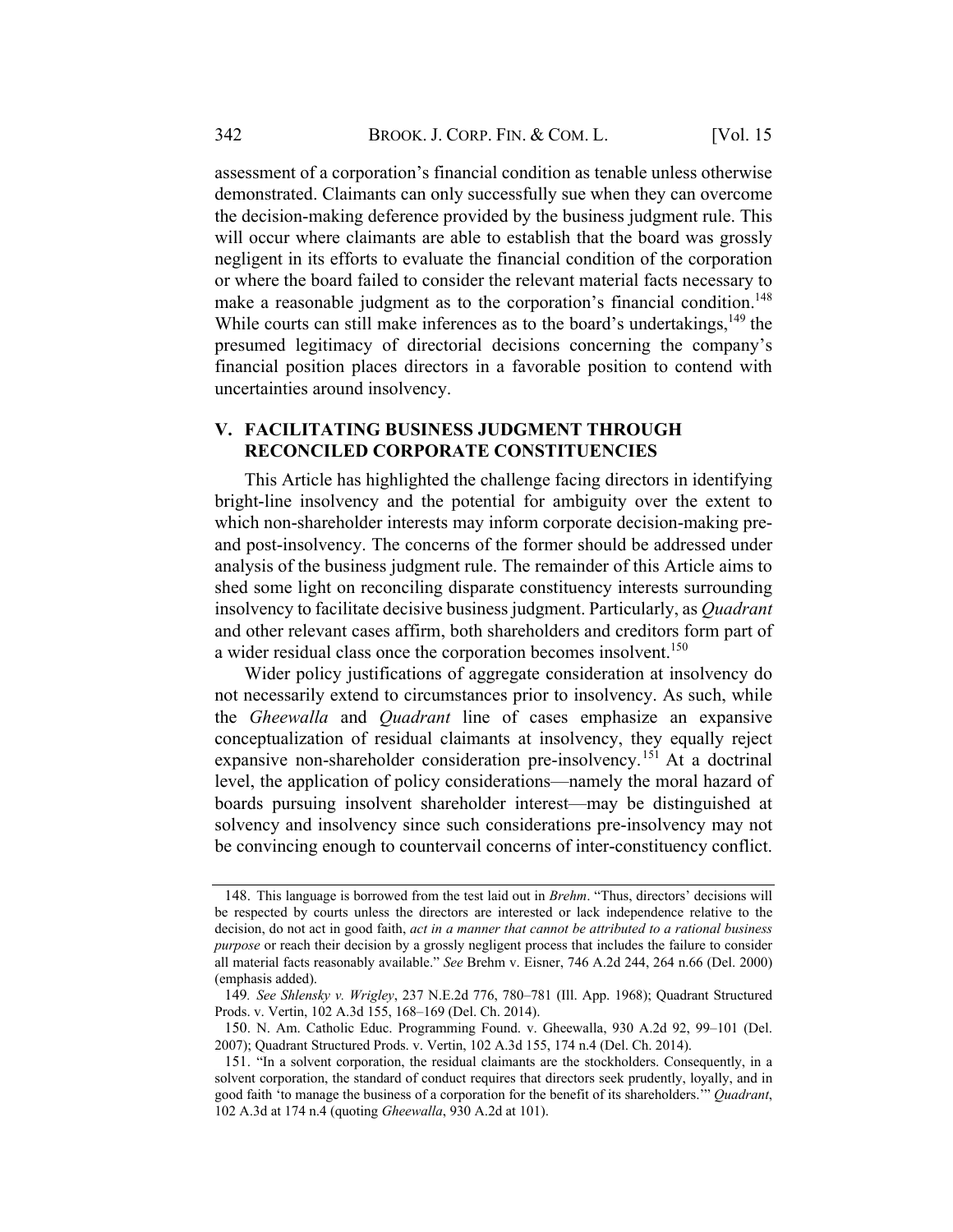assessment of a corporation's financial condition as tenable unless otherwise demonstrated. Claimants can only successfully sue when they can overcome the decision-making deference provided by the business judgment rule. This will occur where claimants are able to establish that the board was grossly negligent in its efforts to evaluate the financial condition of the corporation or where the board failed to consider the relevant material facts necessary to make a reasonable judgment as to the corporation's financial condition.<sup>148</sup> While courts can still make inferences as to the board's undertakings,  $149$  the presumed legitimacy of directorial decisions concerning the company's financial position places directors in a favorable position to contend with uncertainties around insolvency.

#### V. FACILITATING BUSINESS JUDGMENT THROUGH RECONCILED CORPORATE CONSTITUENCIES

This Article has highlighted the challenge facing directors in identifying bright-line insolvency and the potential for ambiguity over the extent to which non-shareholder interests may inform corporate decision-making preand post-insolvency. The concerns of the former should be addressed under analysis of the business judgment rule. The remainder of this Article aims to shed some light on reconciling disparate constituency interests surrounding insolvency to facilitate decisive business judgment. Particularly, as Quadrant and other relevant cases affirm, both shareholders and creditors form part of a wider residual class once the corporation becomes insolvent.<sup>150</sup>

Wider policy justifications of aggregate consideration at insolvency do not necessarily extend to circumstances prior to insolvency. As such, while the Gheewalla and Quadrant line of cases emphasize an expansive conceptualization of residual claimants at insolvency, they equally reject expansive non-shareholder consideration pre-insolvency.<sup>151</sup> At a doctrinal level, the application of policy considerations—namely the moral hazard of boards pursuing insolvent shareholder interest—may be distinguished at solvency and insolvency since such considerations pre-insolvency may not be convincing enough to countervail concerns of inter-constituency conflict.

<sup>148.</sup> This language is borrowed from the test laid out in Brehm. "Thus, directors' decisions will be respected by courts unless the directors are interested or lack independence relative to the decision, do not act in good faith, *act in a manner that cannot be attributed to a rational business* purpose or reach their decision by a grossly negligent process that includes the failure to consider all material facts reasonably available." See Brehm v. Eisner, 746 A.2d 244, 264 n.66 (Del. 2000) (emphasis added).

<sup>149</sup>. See Shlensky v. Wrigley, 237 N.E.2d 776, 780–781 (Ill. App. 1968); Quadrant Structured Prods. v. Vertin, 102 A.3d 155, 168–169 (Del. Ch. 2014).

<sup>150.</sup> N. Am. Catholic Educ. Programming Found. v. Gheewalla, 930 A.2d 92, 99–101 (Del. 2007); Quadrant Structured Prods. v. Vertin, 102 A.3d 155, 174 n.4 (Del. Ch. 2014).

<sup>151.</sup> "In a solvent corporation, the residual claimants are the stockholders. Consequently, in a solvent corporation, the standard of conduct requires that directors seek prudently, loyally, and in good faith 'to manage the business of a corporation for the benefit of its shareholders.'" Quadrant, 102 A.3d at 174 n.4 (quoting Gheewalla, 930 A.2d at 101).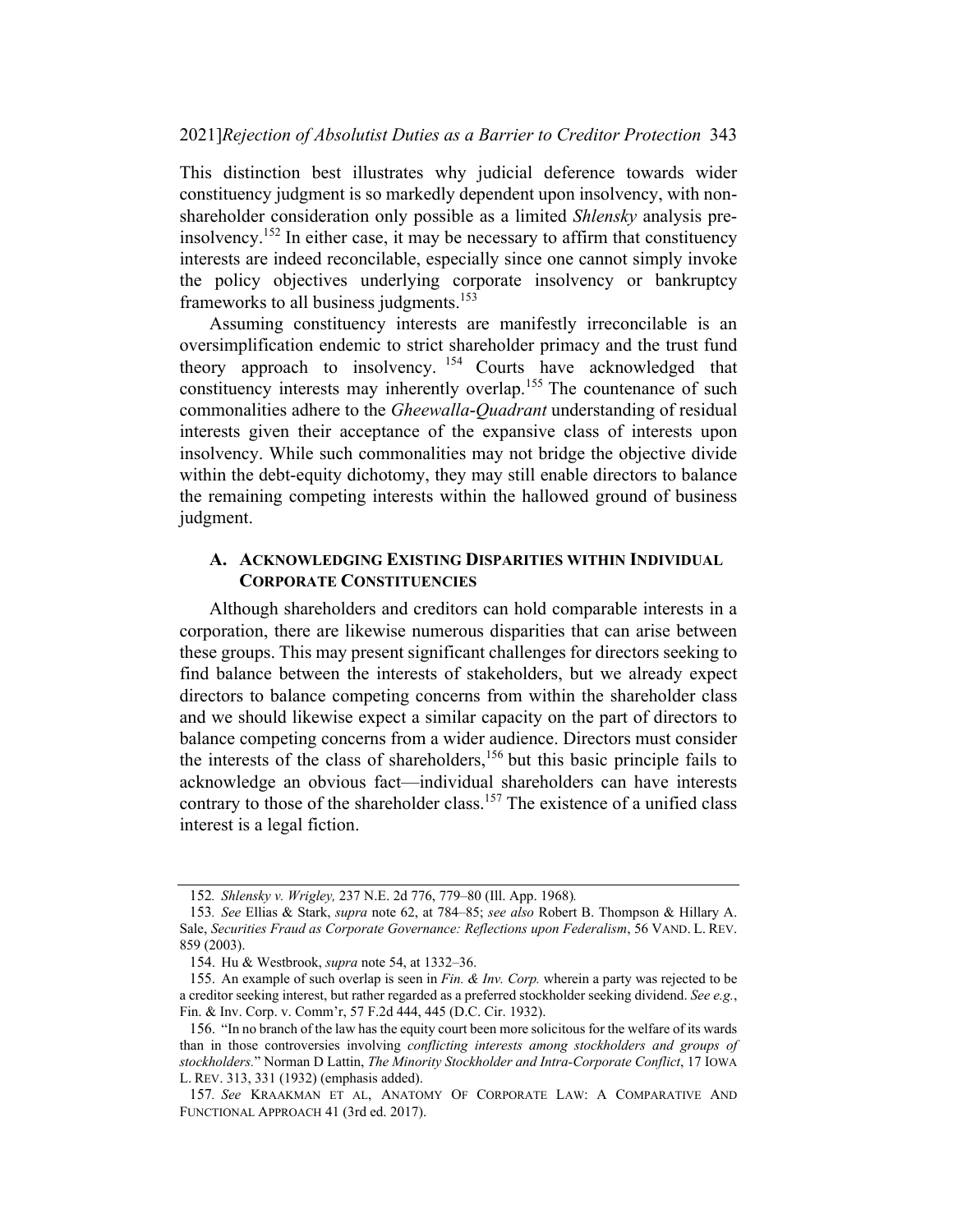This distinction best illustrates why judicial deference towards wider constituency judgment is so markedly dependent upon insolvency, with nonshareholder consideration only possible as a limited Shlensky analysis preinsolvency.152 In either case, it may be necessary to affirm that constituency interests are indeed reconcilable, especially since one cannot simply invoke the policy objectives underlying corporate insolvency or bankruptcy frameworks to all business judgments.<sup>153</sup>

Assuming constituency interests are manifestly irreconcilable is an oversimplification endemic to strict shareholder primacy and the trust fund theory approach to insolvency. <sup>154</sup> Courts have acknowledged that constituency interests may inherently overlap.<sup>155</sup> The countenance of such commonalities adhere to the Gheewalla-Quadrant understanding of residual interests given their acceptance of the expansive class of interests upon insolvency. While such commonalities may not bridge the objective divide within the debt-equity dichotomy, they may still enable directors to balance the remaining competing interests within the hallowed ground of business judgment.

### A. ACKNOWLEDGING EXISTING DISPARITIES WITHIN INDIVIDUAL CORPORATE CONSTITUENCIES

Although shareholders and creditors can hold comparable interests in a corporation, there are likewise numerous disparities that can arise between these groups. This may present significant challenges for directors seeking to find balance between the interests of stakeholders, but we already expect directors to balance competing concerns from within the shareholder class and we should likewise expect a similar capacity on the part of directors to balance competing concerns from a wider audience. Directors must consider the interests of the class of shareholders,<sup>156</sup> but this basic principle fails to acknowledge an obvious fact—individual shareholders can have interests contrary to those of the shareholder class.<sup>157</sup> The existence of a unified class interest is a legal fiction.

<sup>152</sup>. Shlensky v. Wrigley, 237 N.E. 2d 776, 779–80 (Ill. App. 1968).

<sup>153.</sup> See Ellias & Stark, *supra* note 62, at 784–85; see also Robert B. Thompson & Hillary A. Sale, Securities Fraud as Corporate Governance: Reflections upon Federalism, 56 VAND. L. REV. 859 (2003).

<sup>154.</sup> Hu & Westbrook, supra note 54, at 1332–36.

<sup>155.</sup> An example of such overlap is seen in Fin.  $\&$  Inv. Corp. wherein a party was rejected to be a creditor seeking interest, but rather regarded as a preferred stockholder seeking dividend. See e.g., Fin. & Inv. Corp. v. Comm'r, 57 F.2d 444, 445 (D.C. Cir. 1932).

<sup>156.</sup> "In no branch of the law has the equity court been more solicitous for the welfare of its wards than in those controversies involving conflicting interests among stockholders and groups of stockholders." Norman D Lattin, The Minority Stockholder and Intra-Corporate Conflict, 17 IOWA L. REV. 313, 331 (1932) (emphasis added).

<sup>157</sup>. See KRAAKMAN ET AL, ANATOMY OF CORPORATE LAW: A COMPARATIVE AND FUNCTIONAL APPROACH 41 (3rd ed. 2017).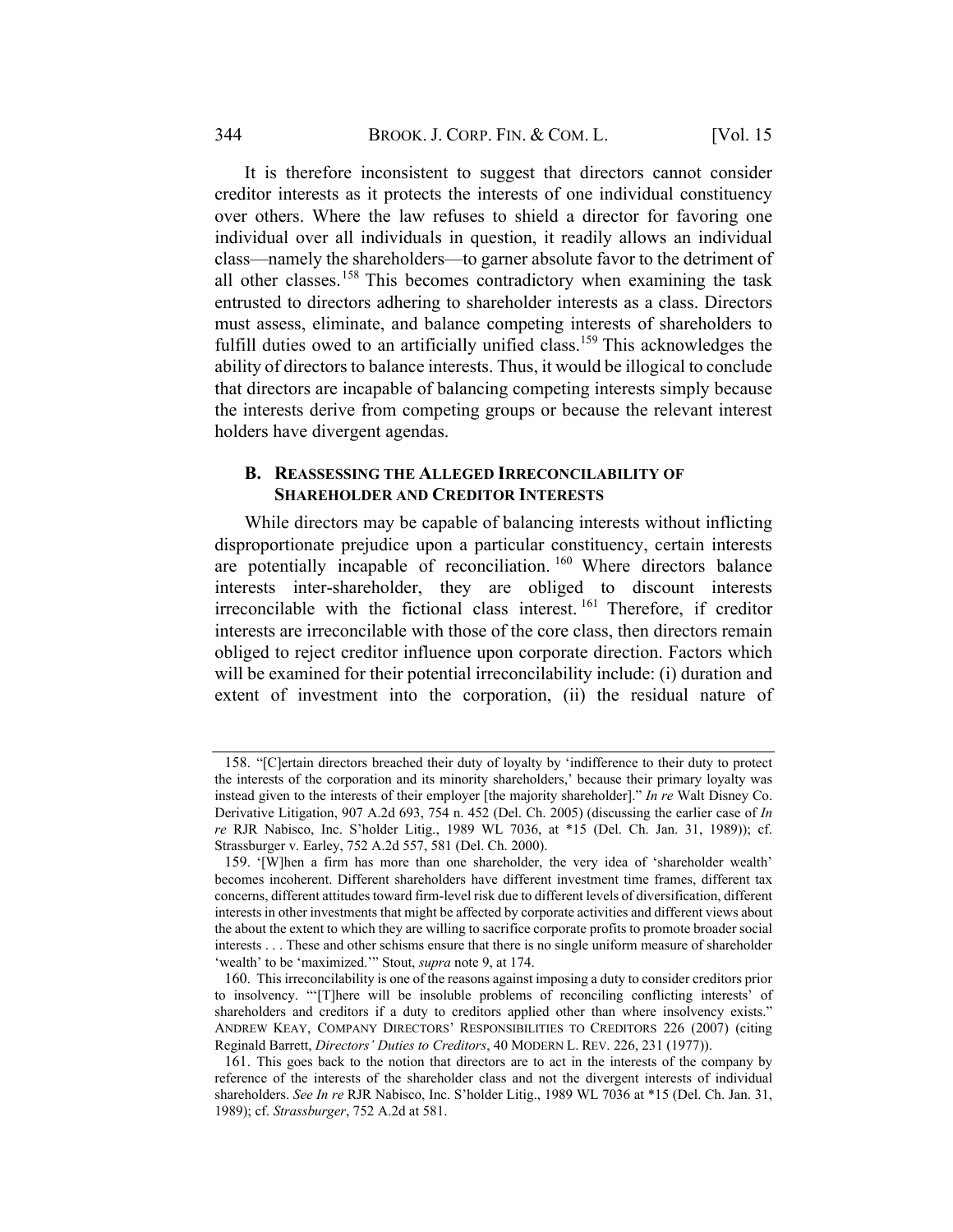It is therefore inconsistent to suggest that directors cannot consider creditor interests as it protects the interests of one individual constituency over others. Where the law refuses to shield a director for favoring one individual over all individuals in question, it readily allows an individual class—namely the shareholders—to garner absolute favor to the detriment of all other classes.<sup>158</sup> This becomes contradictory when examining the task entrusted to directors adhering to shareholder interests as a class. Directors must assess, eliminate, and balance competing interests of shareholders to fulfill duties owed to an artificially unified class.<sup>159</sup> This acknowledges the ability of directors to balance interests. Thus, it would be illogical to conclude that directors are incapable of balancing competing interests simply because the interests derive from competing groups or because the relevant interest holders have divergent agendas.

#### B. REASSESSING THE ALLEGED IRRECONCILABILITY OF SHAREHOLDER AND CREDITOR INTERESTS

While directors may be capable of balancing interests without inflicting disproportionate prejudice upon a particular constituency, certain interests are potentially incapable of reconciliation. <sup>160</sup> Where directors balance interests inter-shareholder, they are obliged to discount interests irreconcilable with the fictional class interest. <sup>161</sup> Therefore, if creditor interests are irreconcilable with those of the core class, then directors remain obliged to reject creditor influence upon corporate direction. Factors which will be examined for their potential irreconcilability include: (i) duration and extent of investment into the corporation, (ii) the residual nature of

<sup>158.</sup> "[C]ertain directors breached their duty of loyalty by 'indifference to their duty to protect the interests of the corporation and its minority shareholders,' because their primary loyalty was instead given to the interests of their employer [the majority shareholder]." In re Walt Disney Co. Derivative Litigation, 907 A.2d 693, 754 n. 452 (Del. Ch. 2005) (discussing the earlier case of In re RJR Nabisco, Inc. S'holder Litig., 1989 WL 7036, at \*15 (Del. Ch. Jan. 31, 1989)); cf. Strassburger v. Earley, 752 A.2d 557, 581 (Del. Ch. 2000).

<sup>159.</sup> '[W]hen a firm has more than one shareholder, the very idea of 'shareholder wealth' becomes incoherent. Different shareholders have different investment time frames, different tax concerns, different attitudes toward firm-level risk due to different levels of diversification, different interests in other investments that might be affected by corporate activities and different views about the about the extent to which they are willing to sacrifice corporate profits to promote broader social interests . . . These and other schisms ensure that there is no single uniform measure of shareholder 'wealth' to be 'maximized.'" Stout, *supra* note 9, at 174.

<sup>160.</sup> This irreconcilability is one of the reasons against imposing a duty to consider creditors prior to insolvency. "'[T]here will be insoluble problems of reconciling conflicting interests' of shareholders and creditors if a duty to creditors applied other than where insolvency exists." ANDREW KEAY, COMPANY DIRECTORS' RESPONSIBILITIES TO CREDITORS 226 (2007) (citing Reginald Barrett, Directors' Duties to Creditors, 40 MODERN L. REV. 226, 231 (1977)).

<sup>161.</sup> This goes back to the notion that directors are to act in the interests of the company by reference of the interests of the shareholder class and not the divergent interests of individual shareholders. See In re RJR Nabisco, Inc. S'holder Litig., 1989 WL 7036 at \*15 (Del. Ch. Jan. 31, 1989); cf. Strassburger, 752 A.2d at 581.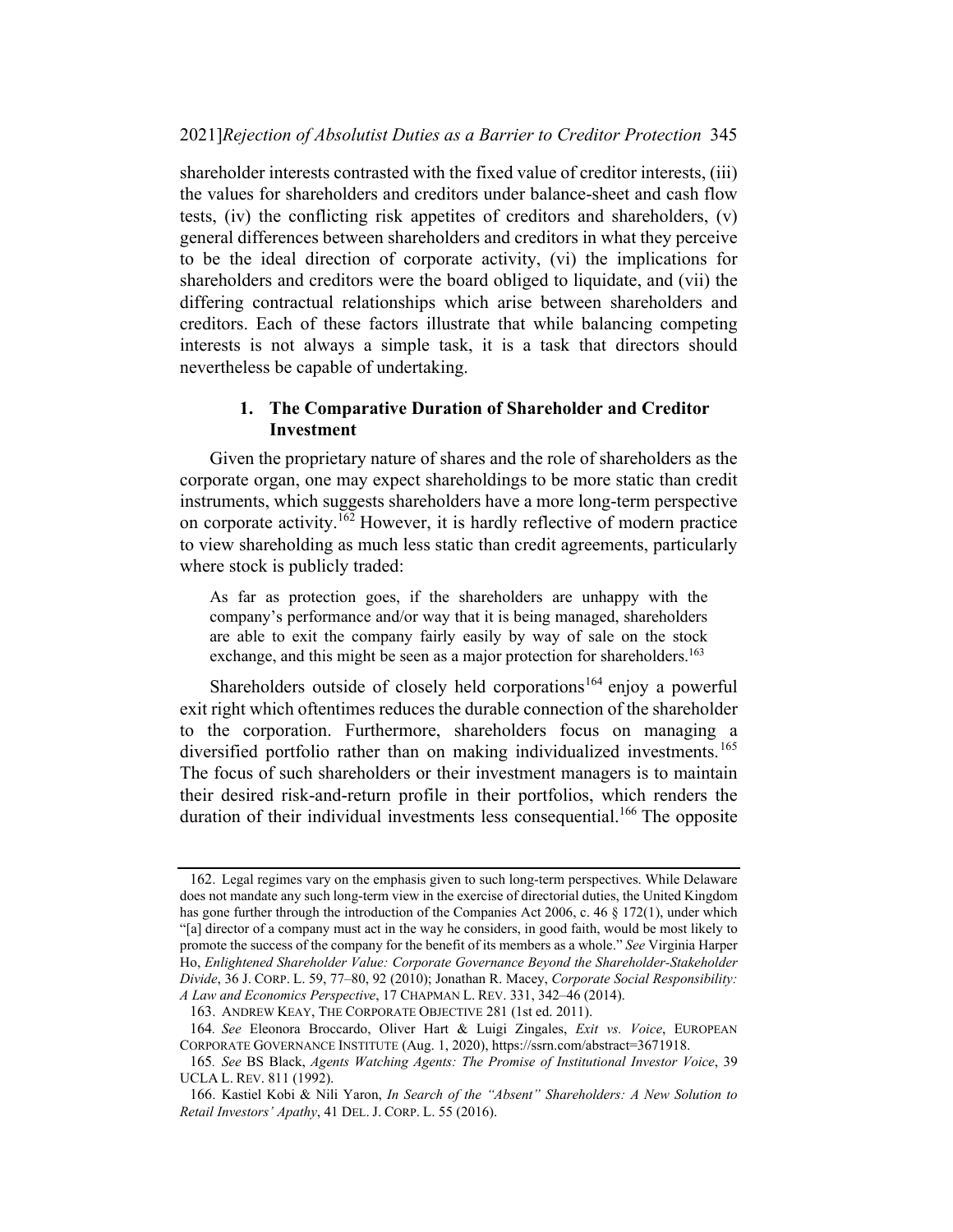shareholder interests contrasted with the fixed value of creditor interests, (iii) the values for shareholders and creditors under balance-sheet and cash flow tests, (iv) the conflicting risk appetites of creditors and shareholders, (v) general differences between shareholders and creditors in what they perceive to be the ideal direction of corporate activity, (vi) the implications for shareholders and creditors were the board obliged to liquidate, and (vii) the differing contractual relationships which arise between shareholders and creditors. Each of these factors illustrate that while balancing competing interests is not always a simple task, it is a task that directors should nevertheless be capable of undertaking.

## 1. The Comparative Duration of Shareholder and Creditor Investment

Given the proprietary nature of shares and the role of shareholders as the corporate organ, one may expect shareholdings to be more static than credit instruments, which suggests shareholders have a more long-term perspective on corporate activity.<sup>162</sup> However, it is hardly reflective of modern practice to view shareholding as much less static than credit agreements, particularly where stock is publicly traded:

As far as protection goes, if the shareholders are unhappy with the company's performance and/or way that it is being managed, shareholders are able to exit the company fairly easily by way of sale on the stock exchange, and this might be seen as a major protection for shareholders.<sup>163</sup>

Shareholders outside of closely held corporations<sup>164</sup> enjoy a powerful exit right which oftentimes reduces the durable connection of the shareholder to the corporation. Furthermore, shareholders focus on managing a diversified portfolio rather than on making individualized investments. 165 The focus of such shareholders or their investment managers is to maintain their desired risk-and-return profile in their portfolios, which renders the duration of their individual investments less consequential.<sup>166</sup> The opposite

<sup>162.</sup> Legal regimes vary on the emphasis given to such long-term perspectives. While Delaware does not mandate any such long-term view in the exercise of directorial duties, the United Kingdom has gone further through the introduction of the Companies Act 2006, c. 46  $\S$  172(1), under which "[a] director of a company must act in the way he considers, in good faith, would be most likely to promote the success of the company for the benefit of its members as a whole." See Virginia Harper Ho, Enlightened Shareholder Value: Corporate Governance Beyond the Shareholder-Stakeholder Divide, 36 J. CORP. L. 59, 77–80, 92 (2010); Jonathan R. Macey, Corporate Social Responsibility: A Law and Economics Perspective, 17 CHAPMAN L. REV. 331, 342–46 (2014).

<sup>163.</sup> ANDREW KEAY, THE CORPORATE OBJECTIVE 281 (1st ed. 2011).

<sup>164</sup>. See Eleonora Broccardo, Oliver Hart & Luigi Zingales, Exit vs. Voice, EUROPEAN CORPORATE GOVERNANCE INSTITUTE (Aug. 1, 2020), https://ssrn.com/abstract=3671918.

<sup>165</sup>. See BS Black, Agents Watching Agents: The Promise of Institutional Investor Voice, 39 UCLA L. REV. 811 (1992).

<sup>166.</sup> Kastiel Kobi & Nili Yaron, In Search of the "Absent" Shareholders: A New Solution to Retail Investors' Apathy, 41 DEL. J. CORP. L. 55 (2016).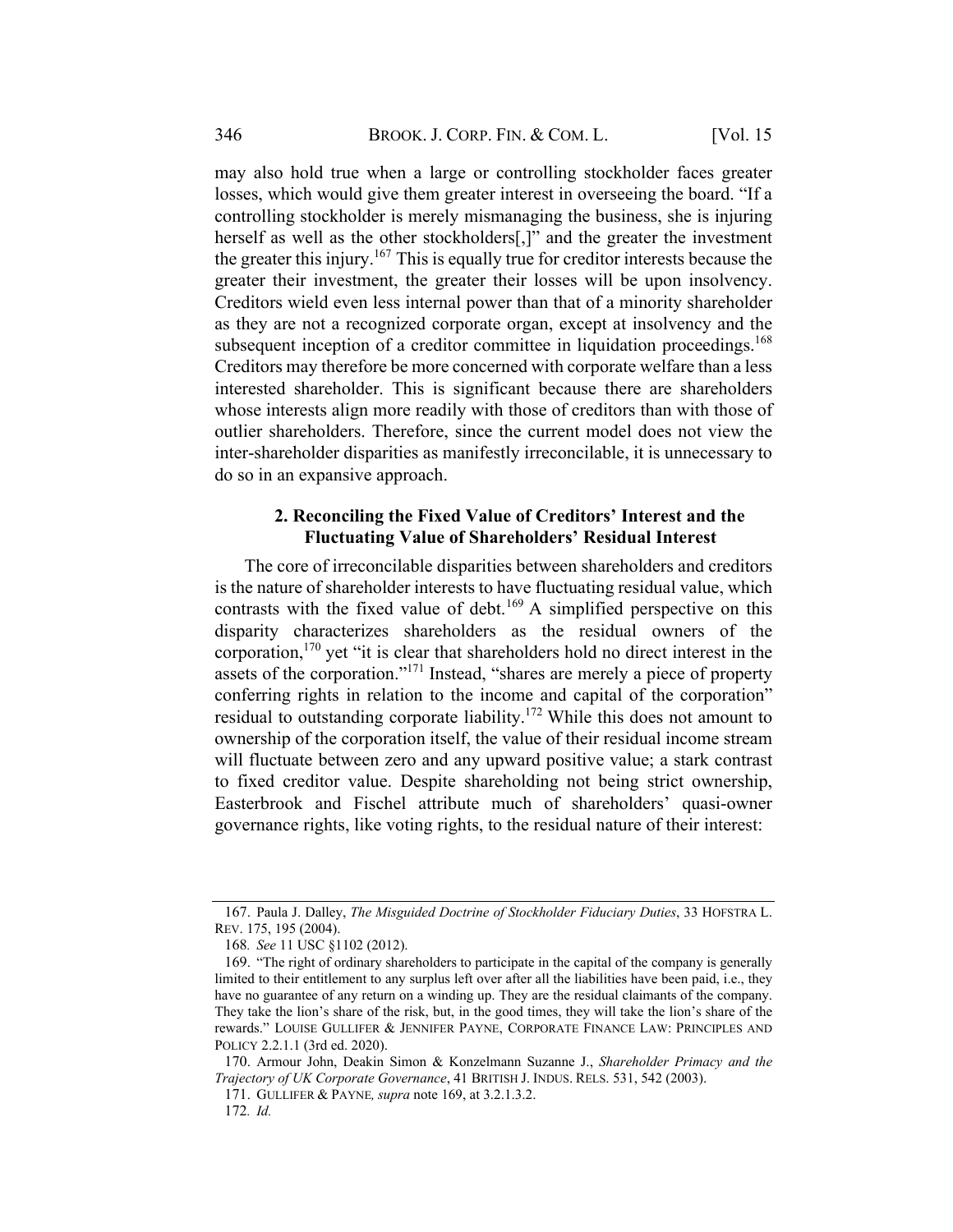may also hold true when a large or controlling stockholder faces greater losses, which would give them greater interest in overseeing the board. "If a controlling stockholder is merely mismanaging the business, she is injuring herself as well as the other stockholders[,]" and the greater the investment the greater this injury.<sup>167</sup> This is equally true for creditor interests because the greater their investment, the greater their losses will be upon insolvency. Creditors wield even less internal power than that of a minority shareholder as they are not a recognized corporate organ, except at insolvency and the subsequent inception of a creditor committee in liquidation proceedings.<sup>168</sup> Creditors may therefore be more concerned with corporate welfare than a less interested shareholder. This is significant because there are shareholders whose interests align more readily with those of creditors than with those of outlier shareholders. Therefore, since the current model does not view the inter-shareholder disparities as manifestly irreconcilable, it is unnecessary to do so in an expansive approach.

#### 2. Reconciling the Fixed Value of Creditors' Interest and the Fluctuating Value of Shareholders' Residual Interest

The core of irreconcilable disparities between shareholders and creditors is the nature of shareholder interests to have fluctuating residual value, which contrasts with the fixed value of debt.<sup>169</sup> A simplified perspective on this disparity characterizes shareholders as the residual owners of the corporation, <sup>170</sup> yet "it is clear that shareholders hold no direct interest in the assets of the corporation."171 Instead, "shares are merely a piece of property conferring rights in relation to the income and capital of the corporation" residual to outstanding corporate liability.<sup>172</sup> While this does not amount to ownership of the corporation itself, the value of their residual income stream will fluctuate between zero and any upward positive value; a stark contrast to fixed creditor value. Despite shareholding not being strict ownership, Easterbrook and Fischel attribute much of shareholders' quasi-owner governance rights, like voting rights, to the residual nature of their interest:

<sup>167.</sup> Paula J. Dalley, The Misguided Doctrine of Stockholder Fiduciary Duties, 33 HOFSTRA L. REV. 175, 195 (2004).

<sup>168</sup>. See 11 USC §1102 (2012).

<sup>169.</sup> "The right of ordinary shareholders to participate in the capital of the company is generally limited to their entitlement to any surplus left over after all the liabilities have been paid, i.e., they have no guarantee of any return on a winding up. They are the residual claimants of the company. They take the lion's share of the risk, but, in the good times, they will take the lion's share of the rewards." LOUISE GULLIFER & JENNIFER PAYNE, CORPORATE FINANCE LAW: PRINCIPLES AND POLICY 2.2.1.1 (3rd ed. 2020).

<sup>170.</sup> Armour John, Deakin Simon & Konzelmann Suzanne J., Shareholder Primacy and the Trajectory of UK Corporate Governance, 41 BRITISH J. INDUS. RELS. 531, 542 (2003).

<sup>171.</sup> GULLIFER & PAYNE, supra note 169, at 3.2.1.3.2.

<sup>172</sup>. Id.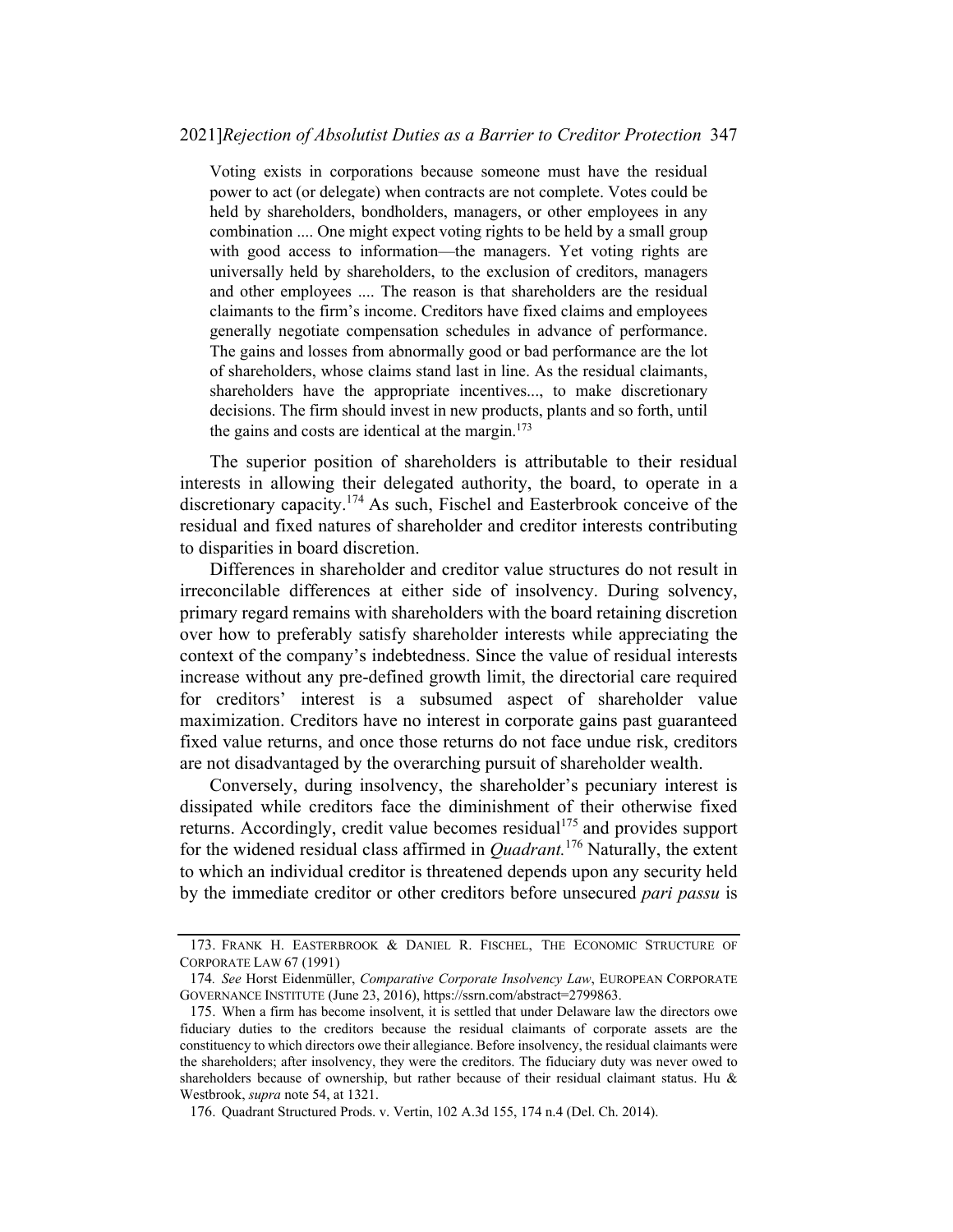Voting exists in corporations because someone must have the residual power to act (or delegate) when contracts are not complete. Votes could be held by shareholders, bondholders, managers, or other employees in any combination .... One might expect voting rights to be held by a small group with good access to information—the managers. Yet voting rights are universally held by shareholders, to the exclusion of creditors, managers and other employees .... The reason is that shareholders are the residual claimants to the firm's income. Creditors have fixed claims and employees generally negotiate compensation schedules in advance of performance. The gains and losses from abnormally good or bad performance are the lot of shareholders, whose claims stand last in line. As the residual claimants, shareholders have the appropriate incentives..., to make discretionary decisions. The firm should invest in new products, plants and so forth, until the gains and costs are identical at the margin. 173

The superior position of shareholders is attributable to their residual interests in allowing their delegated authority, the board, to operate in a discretionary capacity.<sup>174</sup> As such, Fischel and Easterbrook conceive of the residual and fixed natures of shareholder and creditor interests contributing to disparities in board discretion.

Differences in shareholder and creditor value structures do not result in irreconcilable differences at either side of insolvency. During solvency, primary regard remains with shareholders with the board retaining discretion over how to preferably satisfy shareholder interests while appreciating the context of the company's indebtedness. Since the value of residual interests increase without any pre-defined growth limit, the directorial care required for creditors' interest is a subsumed aspect of shareholder value maximization. Creditors have no interest in corporate gains past guaranteed fixed value returns, and once those returns do not face undue risk, creditors are not disadvantaged by the overarching pursuit of shareholder wealth.

Conversely, during insolvency, the shareholder's pecuniary interest is dissipated while creditors face the diminishment of their otherwise fixed returns. Accordingly, credit value becomes residual<sup>175</sup> and provides support for the widened residual class affirmed in  $Quadrant$ .<sup>176</sup> Naturally, the extent to which an individual creditor is threatened depends upon any security held by the immediate creditor or other creditors before unsecured *pari passu* is

<sup>173.</sup> FRANK H. EASTERBROOK & DANIEL R. FISCHEL, THE ECONOMIC STRUCTURE OF CORPORATE LAW 67 (1991)

<sup>174.</sup> See Horst Eidenmüller, Comparative Corporate Insolvency Law, EUROPEAN CORPORATE GOVERNANCE INSTITUTE (June 23, 2016), https://ssrn.com/abstract=2799863.

<sup>175.</sup> When a firm has become insolvent, it is settled that under Delaware law the directors owe fiduciary duties to the creditors because the residual claimants of corporate assets are the constituency to which directors owe their allegiance. Before insolvency, the residual claimants were the shareholders; after insolvency, they were the creditors. The fiduciary duty was never owed to shareholders because of ownership, but rather because of their residual claimant status. Hu & Westbrook, supra note 54, at 1321.

<sup>176.</sup> Quadrant Structured Prods. v. Vertin, 102 A.3d 155, 174 n.4 (Del. Ch. 2014).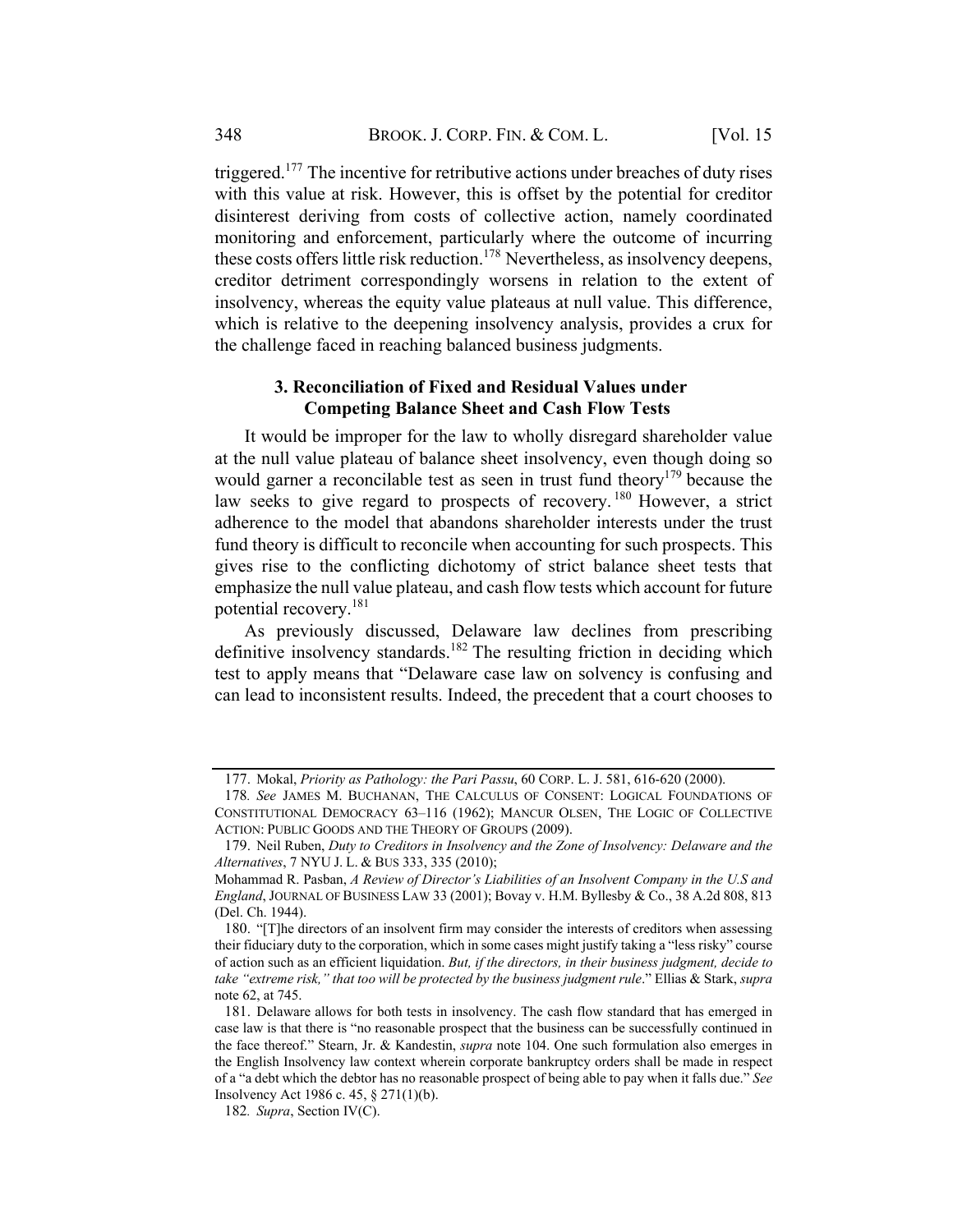triggered.<sup>177</sup> The incentive for retributive actions under breaches of duty rises with this value at risk. However, this is offset by the potential for creditor disinterest deriving from costs of collective action, namely coordinated monitoring and enforcement, particularly where the outcome of incurring these costs offers little risk reduction.<sup>178</sup> Nevertheless, as insolvency deepens, creditor detriment correspondingly worsens in relation to the extent of insolvency, whereas the equity value plateaus at null value. This difference, which is relative to the deepening insolvency analysis, provides a crux for the challenge faced in reaching balanced business judgments.

#### 3. Reconciliation of Fixed and Residual Values under Competing Balance Sheet and Cash Flow Tests

It would be improper for the law to wholly disregard shareholder value at the null value plateau of balance sheet insolvency, even though doing so would garner a reconcilable test as seen in trust fund theory<sup>179</sup> because the law seeks to give regard to prospects of recovery.<sup>180</sup> However, a strict adherence to the model that abandons shareholder interests under the trust fund theory is difficult to reconcile when accounting for such prospects. This gives rise to the conflicting dichotomy of strict balance sheet tests that emphasize the null value plateau, and cash flow tests which account for future potential recovery.<sup>181</sup>

As previously discussed, Delaware law declines from prescribing definitive insolvency standards.<sup>182</sup> The resulting friction in deciding which test to apply means that "Delaware case law on solvency is confusing and can lead to inconsistent results. Indeed, the precedent that a court chooses to

<sup>177.</sup> Mokal, Priority as Pathology: the Pari Passu, 60 CORP. L. J. 581, 616-620 (2000).

<sup>178</sup>. See JAMES M. BUCHANAN, THE CALCULUS OF CONSENT: LOGICAL FOUNDATIONS OF CONSTITUTIONAL DEMOCRACY 63–116 (1962); MANCUR OLSEN, THE LOGIC OF COLLECTIVE ACTION: PUBLIC GOODS AND THE THEORY OF GROUPS (2009).

<sup>179.</sup> Neil Ruben, Duty to Creditors in Insolvency and the Zone of Insolvency: Delaware and the Alternatives, 7 NYU J. L. & BUS 333, 335 (2010);

Mohammad R. Pasban, A Review of Director's Liabilities of an Insolvent Company in the U.S and England, JOURNAL OF BUSINESS LAW 33 (2001); Bovay v. H.M. Byllesby & Co., 38 A.2d 808, 813 (Del. Ch. 1944).

<sup>180.</sup> "[T]he directors of an insolvent firm may consider the interests of creditors when assessing their fiduciary duty to the corporation, which in some cases might justify taking a "less risky" course of action such as an efficient liquidation. But, if the directors, in their business judgment, decide to take "extreme risk," that too will be protected by the business judgment rule." Ellias & Stark, supra note 62, at 745.

<sup>181.</sup> Delaware allows for both tests in insolvency. The cash flow standard that has emerged in case law is that there is "no reasonable prospect that the business can be successfully continued in the face thereof." Stearn, Jr. & Kandestin, *supra* note 104. One such formulation also emerges in the English Insolvency law context wherein corporate bankruptcy orders shall be made in respect of a "a debt which the debtor has no reasonable prospect of being able to pay when it falls due." See Insolvency Act 1986 c. 45, § 271(1)(b).

<sup>182</sup>. Supra, Section IV(C).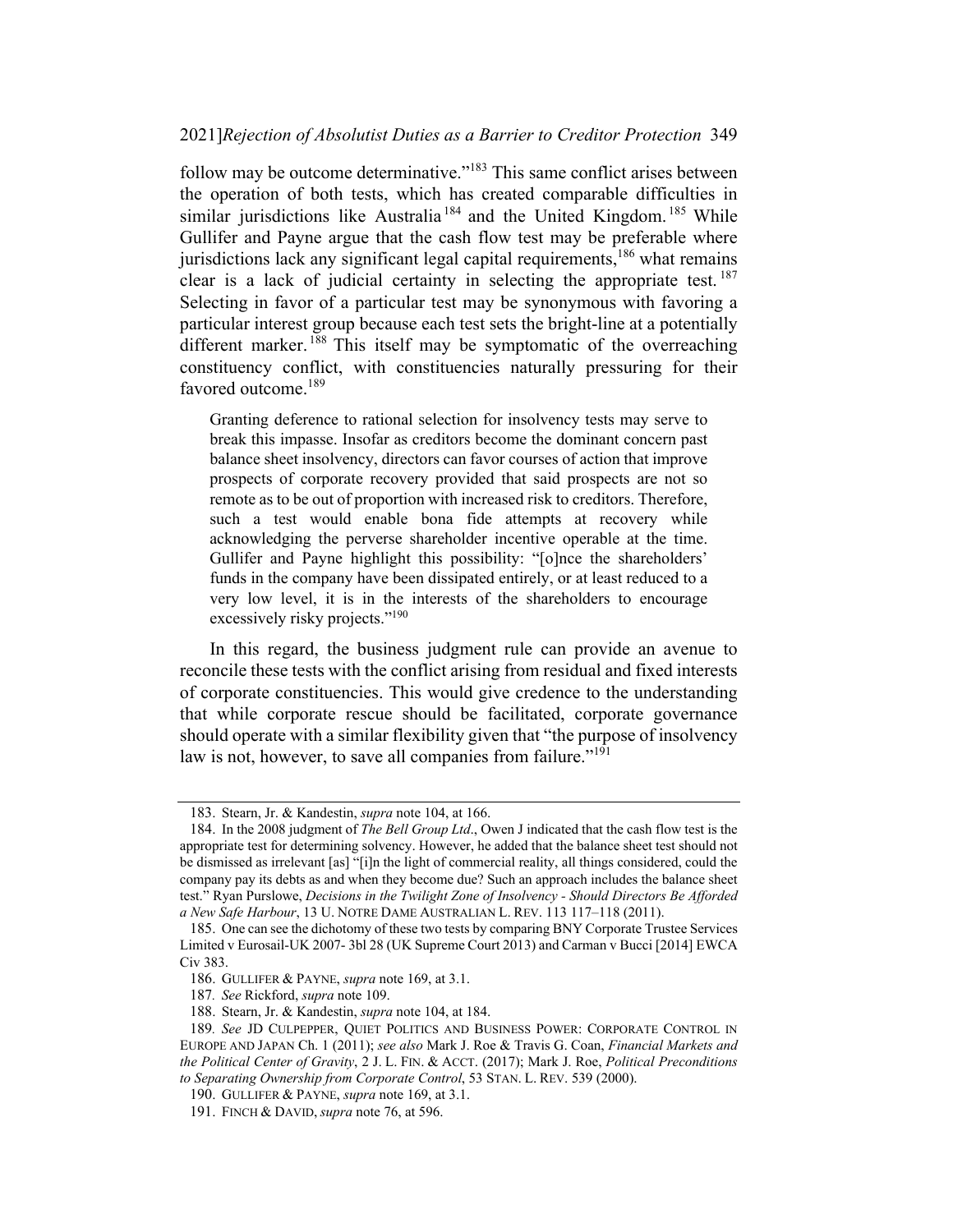#### 2021]Rejection of Absolutist Duties as a Barrier to Creditor Protection 349

follow may be outcome determinative."<sup>183</sup> This same conflict arises between the operation of both tests, which has created comparable difficulties in similar jurisdictions like Australia<sup>184</sup> and the United Kingdom.<sup>185</sup> While Gullifer and Payne argue that the cash flow test may be preferable where jurisdictions lack any significant legal capital requirements, $186$  what remains clear is a lack of judicial certainty in selecting the appropriate test. <sup>187</sup> Selecting in favor of a particular test may be synonymous with favoring a particular interest group because each test sets the bright-line at a potentially different marker.<sup>188</sup> This itself may be symptomatic of the overreaching constituency conflict, with constituencies naturally pressuring for their favored outcome.<sup>189</sup>

Granting deference to rational selection for insolvency tests may serve to break this impasse. Insofar as creditors become the dominant concern past balance sheet insolvency, directors can favor courses of action that improve prospects of corporate recovery provided that said prospects are not so remote as to be out of proportion with increased risk to creditors. Therefore, such a test would enable bona fide attempts at recovery while acknowledging the perverse shareholder incentive operable at the time. Gullifer and Payne highlight this possibility: "[o]nce the shareholders' funds in the company have been dissipated entirely, or at least reduced to a very low level, it is in the interests of the shareholders to encourage excessively risky projects."<sup>190</sup>

In this regard, the business judgment rule can provide an avenue to reconcile these tests with the conflict arising from residual and fixed interests of corporate constituencies. This would give credence to the understanding that while corporate rescue should be facilitated, corporate governance should operate with a similar flexibility given that "the purpose of insolvency law is not, however, to save all companies from failure."<sup>191</sup>

<sup>183.</sup> Stearn, Jr. & Kandestin, supra note 104, at 166.

<sup>184.</sup> In the 2008 judgment of *The Bell Group Ltd.*, Owen J indicated that the cash flow test is the appropriate test for determining solvency. However, he added that the balance sheet test should not be dismissed as irrelevant [as] "[i]n the light of commercial reality, all things considered, could the company pay its debts as and when they become due? Such an approach includes the balance sheet test." Ryan Purslowe, Decisions in the Twilight Zone of Insolvency - Should Directors Be Afforded a New Safe Harbour, 13 U. NOTRE DAME AUSTRALIAN L. REV. 113 117–118 (2011).

<sup>185.</sup> One can see the dichotomy of these two tests by comparing BNY Corporate Trustee Services Limited v Eurosail-UK 2007- 3bl 28 (UK Supreme Court 2013) and Carman v Bucci [2014] EWCA Civ 383.

<sup>186.</sup> GULLIFER & PAYNE, supra note 169, at 3.1.

<sup>187</sup>. See Rickford, supra note 109.

<sup>188.</sup> Stearn, Jr. & Kandestin, supra note 104, at 184.

<sup>189</sup>. See JD CULPEPPER, QUIET POLITICS AND BUSINESS POWER: CORPORATE CONTROL IN EUROPE AND JAPAN Ch. 1 (2011); see also Mark J. Roe & Travis G. Coan, *Financial Markets and* the Political Center of Gravity, 2 J. L. FIN. & ACCT. (2017); Mark J. Roe, Political Preconditions to Separating Ownership from Corporate Control, 53 STAN. L. REV. 539 (2000).

<sup>190.</sup> GULLIFER & PAYNE, supra note 169, at 3.1.

<sup>191.</sup> FINCH & DAVID, *supra* note 76, at 596.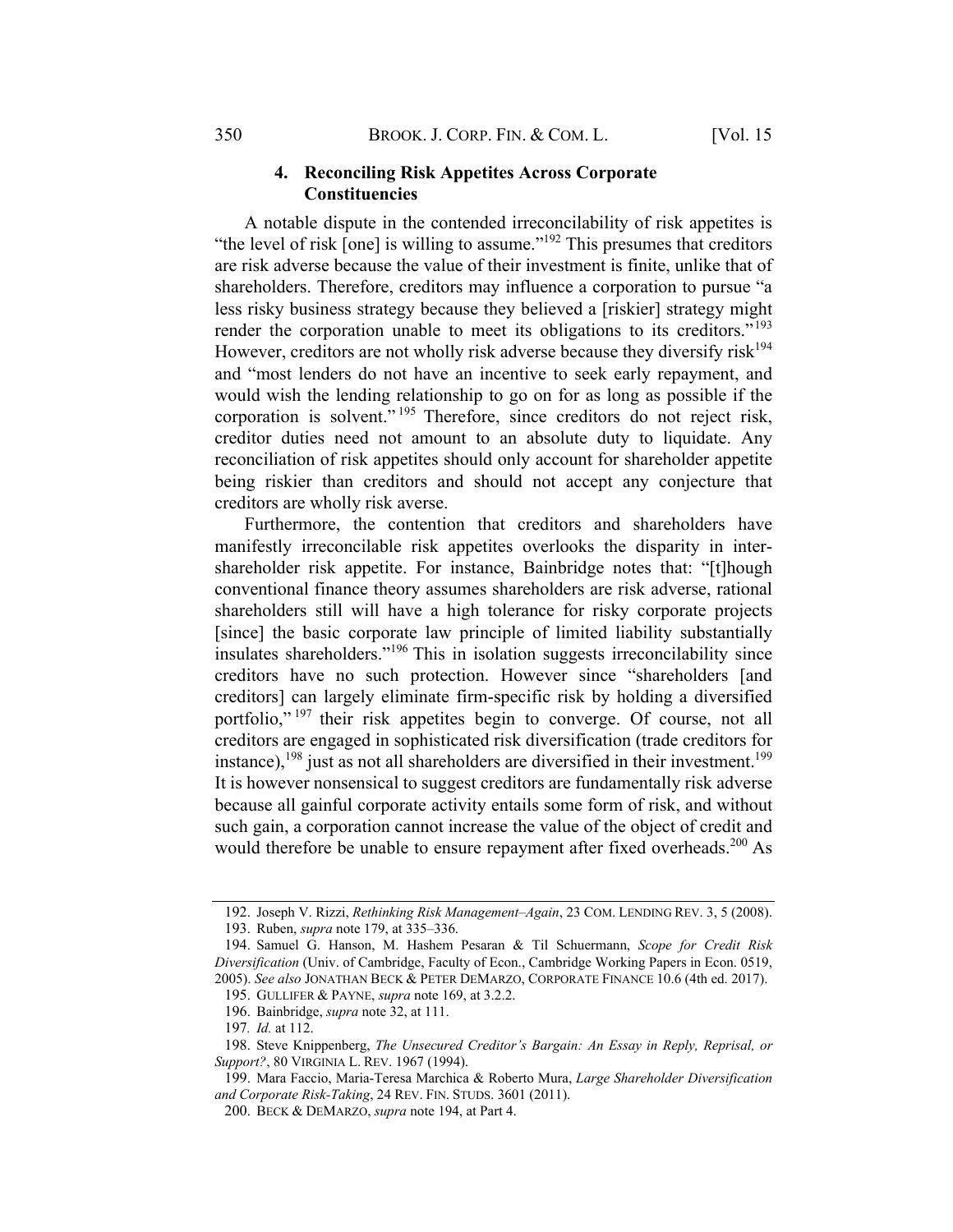#### 4. Reconciling Risk Appetites Across Corporate Constituencies

A notable dispute in the contended irreconcilability of risk appetites is "the level of risk [one] is willing to assume."<sup>192</sup> This presumes that creditors are risk adverse because the value of their investment is finite, unlike that of shareholders. Therefore, creditors may influence a corporation to pursue "a less risky business strategy because they believed a [riskier] strategy might render the corporation unable to meet its obligations to its creditors."<sup>193</sup> However, creditors are not wholly risk adverse because they diversify risk<sup>194</sup> and "most lenders do not have an incentive to seek early repayment, and would wish the lending relationship to go on for as long as possible if the corporation is solvent." <sup>195</sup> Therefore, since creditors do not reject risk, creditor duties need not amount to an absolute duty to liquidate. Any reconciliation of risk appetites should only account for shareholder appetite being riskier than creditors and should not accept any conjecture that creditors are wholly risk averse.

Furthermore, the contention that creditors and shareholders have manifestly irreconcilable risk appetites overlooks the disparity in intershareholder risk appetite. For instance, Bainbridge notes that: "[t]hough conventional finance theory assumes shareholders are risk adverse, rational shareholders still will have a high tolerance for risky corporate projects [since] the basic corporate law principle of limited liability substantially insulates shareholders."<sup>196</sup> This in isolation suggests irreconcilability since creditors have no such protection. However since "shareholders [and creditors] can largely eliminate firm-specific risk by holding a diversified portfolio,"<sup>197</sup> their risk appetites begin to converge. Of course, not all creditors are engaged in sophisticated risk diversification (trade creditors for instance), $198$  just as not all shareholders are diversified in their investment.<sup>199</sup> It is however nonsensical to suggest creditors are fundamentally risk adverse because all gainful corporate activity entails some form of risk, and without such gain, a corporation cannot increase the value of the object of credit and would therefore be unable to ensure repayment after fixed overheads.<sup>200</sup> As

<sup>192.</sup> Joseph V. Rizzi, Rethinking Risk Management–Again, 23 COM. LENDING REV. 3, 5 (2008).

<sup>193.</sup> Ruben, supra note 179, at 335–336.

<sup>194.</sup> Samuel G. Hanson, M. Hashem Pesaran & Til Schuermann, Scope for Credit Risk Diversification (Univ. of Cambridge, Faculty of Econ., Cambridge Working Papers in Econ. 0519, 2005). See also JONATHAN BECK & PETER DEMARZO, CORPORATE FINANCE 10.6 (4th ed. 2017).

<sup>195.</sup> GULLIFER & PAYNE, supra note 169, at 3.2.2.

<sup>196.</sup> Bainbridge, supra note 32, at 111.

<sup>197</sup>. Id. at 112.

<sup>198.</sup> Steve Knippenberg, The Unsecured Creditor's Bargain: An Essay in Reply, Reprisal, or Support?, 80 VIRGINIA L. REV. 1967 (1994).

<sup>199.</sup> Mara Faccio, Maria-Teresa Marchica & Roberto Mura, Large Shareholder Diversification and Corporate Risk-Taking, 24 REV. FIN. STUDS. 3601 (2011).

<sup>200.</sup> BECK & DEMARZO, supra note 194, at Part 4.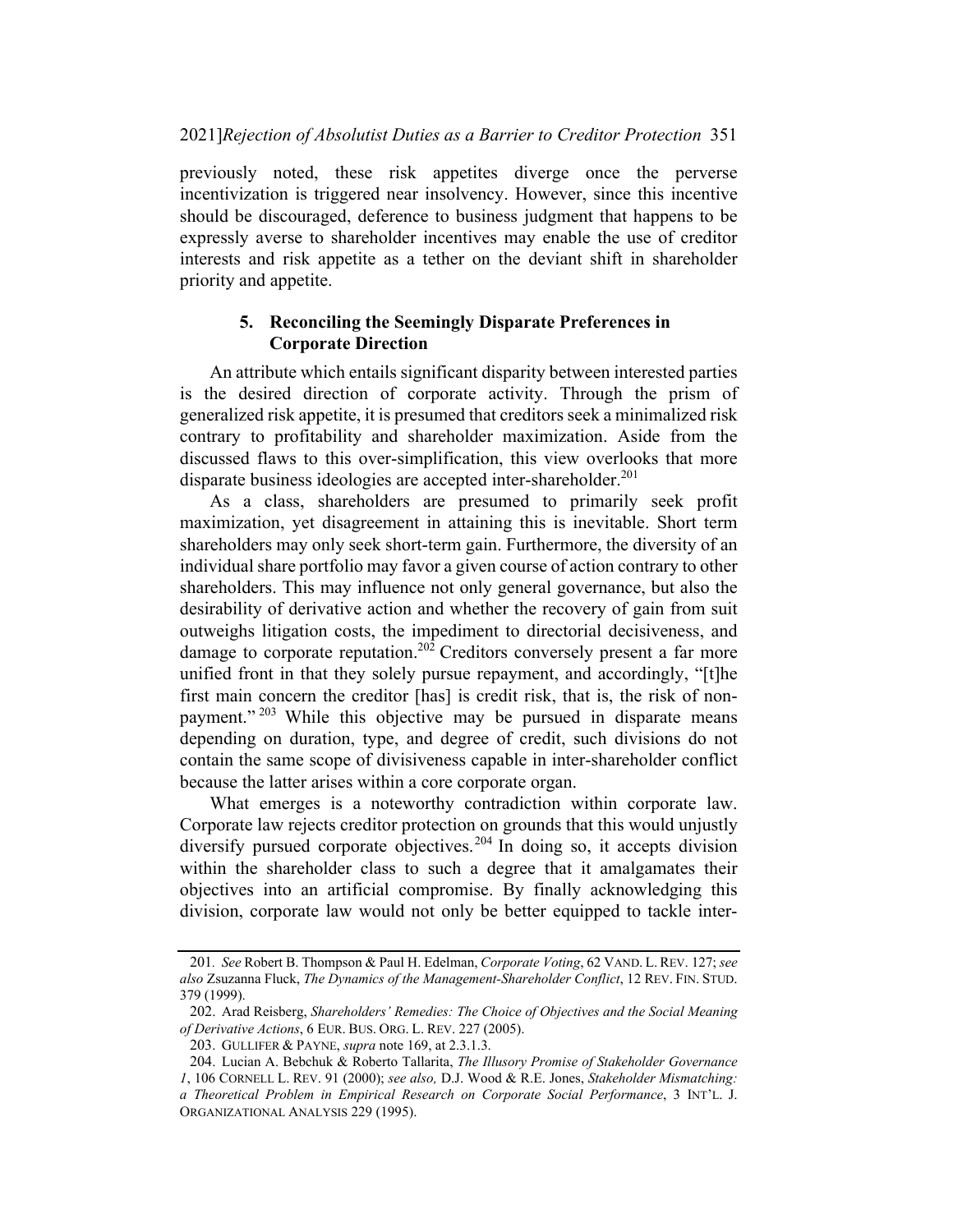#### 2021]Rejection of Absolutist Duties as a Barrier to Creditor Protection 351

previously noted, these risk appetites diverge once the perverse incentivization is triggered near insolvency. However, since this incentive should be discouraged, deference to business judgment that happens to be expressly averse to shareholder incentives may enable the use of creditor interests and risk appetite as a tether on the deviant shift in shareholder priority and appetite.

## 5. Reconciling the Seemingly Disparate Preferences in Corporate Direction

An attribute which entails significant disparity between interested parties is the desired direction of corporate activity. Through the prism of generalized risk appetite, it is presumed that creditors seek a minimalized risk contrary to profitability and shareholder maximization. Aside from the discussed flaws to this over-simplification, this view overlooks that more disparate business ideologies are accepted inter-shareholder.<sup>201</sup>

As a class, shareholders are presumed to primarily seek profit maximization, yet disagreement in attaining this is inevitable. Short term shareholders may only seek short-term gain. Furthermore, the diversity of an individual share portfolio may favor a given course of action contrary to other shareholders. This may influence not only general governance, but also the desirability of derivative action and whether the recovery of gain from suit outweighs litigation costs, the impediment to directorial decisiveness, and damage to corporate reputation.<sup>202</sup> Creditors conversely present a far more unified front in that they solely pursue repayment, and accordingly, "[t]he first main concern the creditor [has] is credit risk, that is, the risk of nonpayment."<sup>203</sup> While this objective may be pursued in disparate means depending on duration, type, and degree of credit, such divisions do not contain the same scope of divisiveness capable in inter-shareholder conflict because the latter arises within a core corporate organ.

What emerges is a noteworthy contradiction within corporate law. Corporate law rejects creditor protection on grounds that this would unjustly diversify pursued corporate objectives.<sup>204</sup> In doing so, it accepts division within the shareholder class to such a degree that it amalgamates their objectives into an artificial compromise. By finally acknowledging this division, corporate law would not only be better equipped to tackle inter-

<sup>201.</sup> See Robert B. Thompson & Paul H. Edelman, Corporate Voting, 62 VAND. L. REV. 127; see also Zsuzanna Fluck, The Dynamics of the Management-Shareholder Conflict, 12 REV. FIN. STUD. 379 (1999).

<sup>202.</sup> Arad Reisberg, Shareholders' Remedies: The Choice of Objectives and the Social Meaning of Derivative Actions, 6 EUR. BUS. ORG. L. REV. 227 (2005).

<sup>203.</sup> GULLIFER & PAYNE, supra note 169, at 2.3.1.3.

<sup>204.</sup> Lucian A. Bebchuk & Roberto Tallarita, The Illusory Promise of Stakeholder Governance 1, 106 CORNELL L. REV. 91 (2000); see also, D.J. Wood & R.E. Jones, Stakeholder Mismatching: a Theoretical Problem in Empirical Research on Corporate Social Performance, 3 INT'L. J. ORGANIZATIONAL ANALYSIS 229 (1995).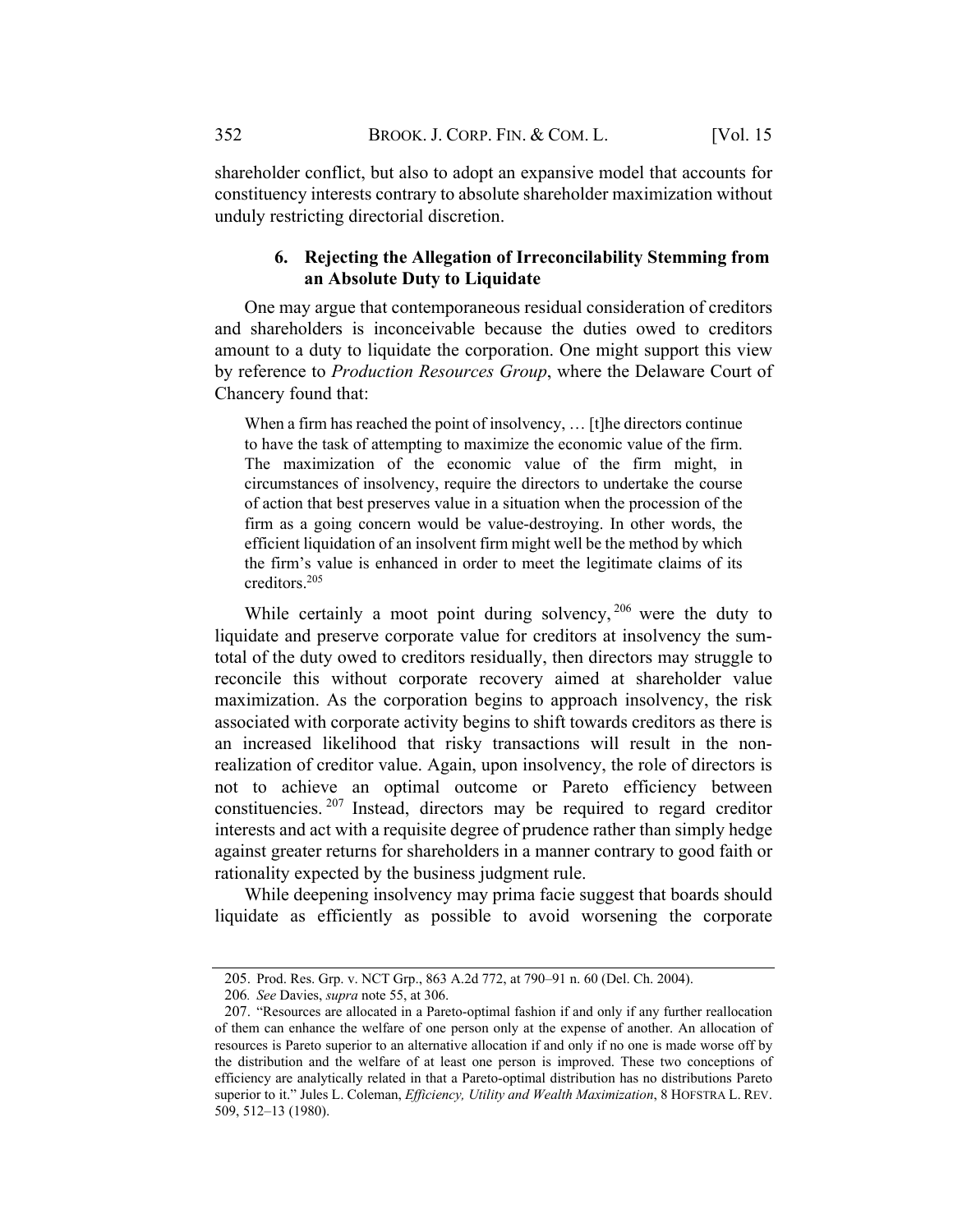shareholder conflict, but also to adopt an expansive model that accounts for constituency interests contrary to absolute shareholder maximization without unduly restricting directorial discretion.

#### 6. Rejecting the Allegation of Irreconcilability Stemming from an Absolute Duty to Liquidate

One may argue that contemporaneous residual consideration of creditors and shareholders is inconceivable because the duties owed to creditors amount to a duty to liquidate the corporation. One might support this view by reference to Production Resources Group, where the Delaware Court of Chancery found that:

When a firm has reached the point of insolvency, ... [t]he directors continue to have the task of attempting to maximize the economic value of the firm. The maximization of the economic value of the firm might, in circumstances of insolvency, require the directors to undertake the course of action that best preserves value in a situation when the procession of the firm as a going concern would be value-destroying. In other words, the efficient liquidation of an insolvent firm might well be the method by which the firm's value is enhanced in order to meet the legitimate claims of its creditors. 205

While certainly a moot point during solvency,  $206$  were the duty to liquidate and preserve corporate value for creditors at insolvency the sumtotal of the duty owed to creditors residually, then directors may struggle to reconcile this without corporate recovery aimed at shareholder value maximization. As the corporation begins to approach insolvency, the risk associated with corporate activity begins to shift towards creditors as there is an increased likelihood that risky transactions will result in the nonrealization of creditor value. Again, upon insolvency, the role of directors is not to achieve an optimal outcome or Pareto efficiency between constituencies.  $207$  Instead, directors may be required to regard creditor interests and act with a requisite degree of prudence rather than simply hedge against greater returns for shareholders in a manner contrary to good faith or rationality expected by the business judgment rule.

While deepening insolvency may prima facie suggest that boards should liquidate as efficiently as possible to avoid worsening the corporate

<sup>205.</sup> Prod. Res. Grp. v. NCT Grp., 863 A.2d 772, at 790–91 n. 60 (Del. Ch. 2004).

<sup>206</sup>. See Davies, supra note 55, at 306.

<sup>207.</sup> "Resources are allocated in a Pareto-optimal fashion if and only if any further reallocation of them can enhance the welfare of one person only at the expense of another. An allocation of resources is Pareto superior to an alternative allocation if and only if no one is made worse off by the distribution and the welfare of at least one person is improved. These two conceptions of efficiency are analytically related in that a Pareto-optimal distribution has no distributions Pareto superior to it." Jules L. Coleman, Efficiency, Utility and Wealth Maximization, 8 HOFSTRA L. REV. 509, 512–13 (1980).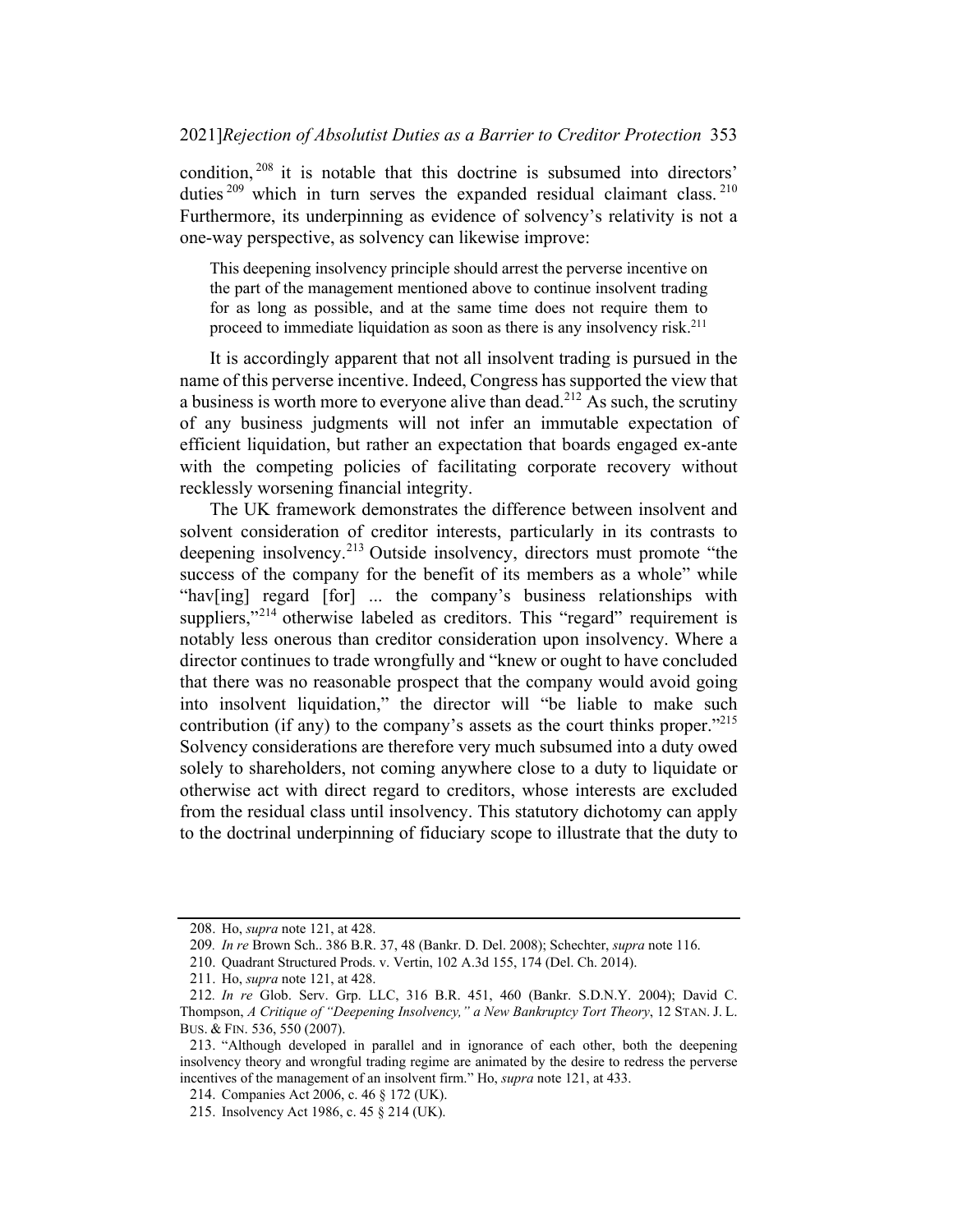condition, <sup>208</sup> it is notable that this doctrine is subsumed into directors' duties<sup>209</sup> which in turn serves the expanded residual claimant class.<sup>210</sup> Furthermore, its underpinning as evidence of solvency's relativity is not a one-way perspective, as solvency can likewise improve:

This deepening insolvency principle should arrest the perverse incentive on the part of the management mentioned above to continue insolvent trading for as long as possible, and at the same time does not require them to proceed to immediate liquidation as soon as there is any insolvency risk.<sup>211</sup>

It is accordingly apparent that not all insolvent trading is pursued in the name of this perverse incentive. Indeed, Congress has supported the view that a business is worth more to everyone alive than dead.<sup>212</sup> As such, the scrutiny of any business judgments will not infer an immutable expectation of efficient liquidation, but rather an expectation that boards engaged ex-ante with the competing policies of facilitating corporate recovery without recklessly worsening financial integrity.

The UK framework demonstrates the difference between insolvent and solvent consideration of creditor interests, particularly in its contrasts to deepening insolvency.<sup>213</sup> Outside insolvency, directors must promote "the success of the company for the benefit of its members as a whole" while "hav[ing] regard [for] ... the company's business relationships with suppliers,"<sup>214</sup> otherwise labeled as creditors. This "regard" requirement is notably less onerous than creditor consideration upon insolvency. Where a director continues to trade wrongfully and "knew or ought to have concluded that there was no reasonable prospect that the company would avoid going into insolvent liquidation," the director will "be liable to make such contribution (if any) to the company's assets as the court thinks proper. $1215$ Solvency considerations are therefore very much subsumed into a duty owed solely to shareholders, not coming anywhere close to a duty to liquidate or otherwise act with direct regard to creditors, whose interests are excluded from the residual class until insolvency. This statutory dichotomy can apply to the doctrinal underpinning of fiduciary scope to illustrate that the duty to

<sup>208.</sup> Ho, supra note 121, at 428.

<sup>209</sup>. In re Brown Sch.. 386 B.R. 37, 48 (Bankr. D. Del. 2008); Schechter, supra note 116.

<sup>210.</sup> Quadrant Structured Prods. v. Vertin, 102 A.3d 155, 174 (Del. Ch. 2014).

<sup>211.</sup> Ho, supra note 121, at 428.

<sup>212</sup>. In re Glob. Serv. Grp. LLC, 316 B.R. 451, 460 (Bankr. S.D.N.Y. 2004); David C. Thompson, A Critique of "Deepening Insolvency," a New Bankruptcy Tort Theory, 12 STAN. J. L. BUS. & FIN. 536, 550 (2007).

<sup>213.</sup> "Although developed in parallel and in ignorance of each other, both the deepening insolvency theory and wrongful trading regime are animated by the desire to redress the perverse incentives of the management of an insolvent firm." Ho, *supra* note 121, at 433.

<sup>214.</sup> Companies Act 2006, c. 46 § 172 (UK).

<sup>215.</sup> Insolvency Act 1986, c. 45 § 214 (UK).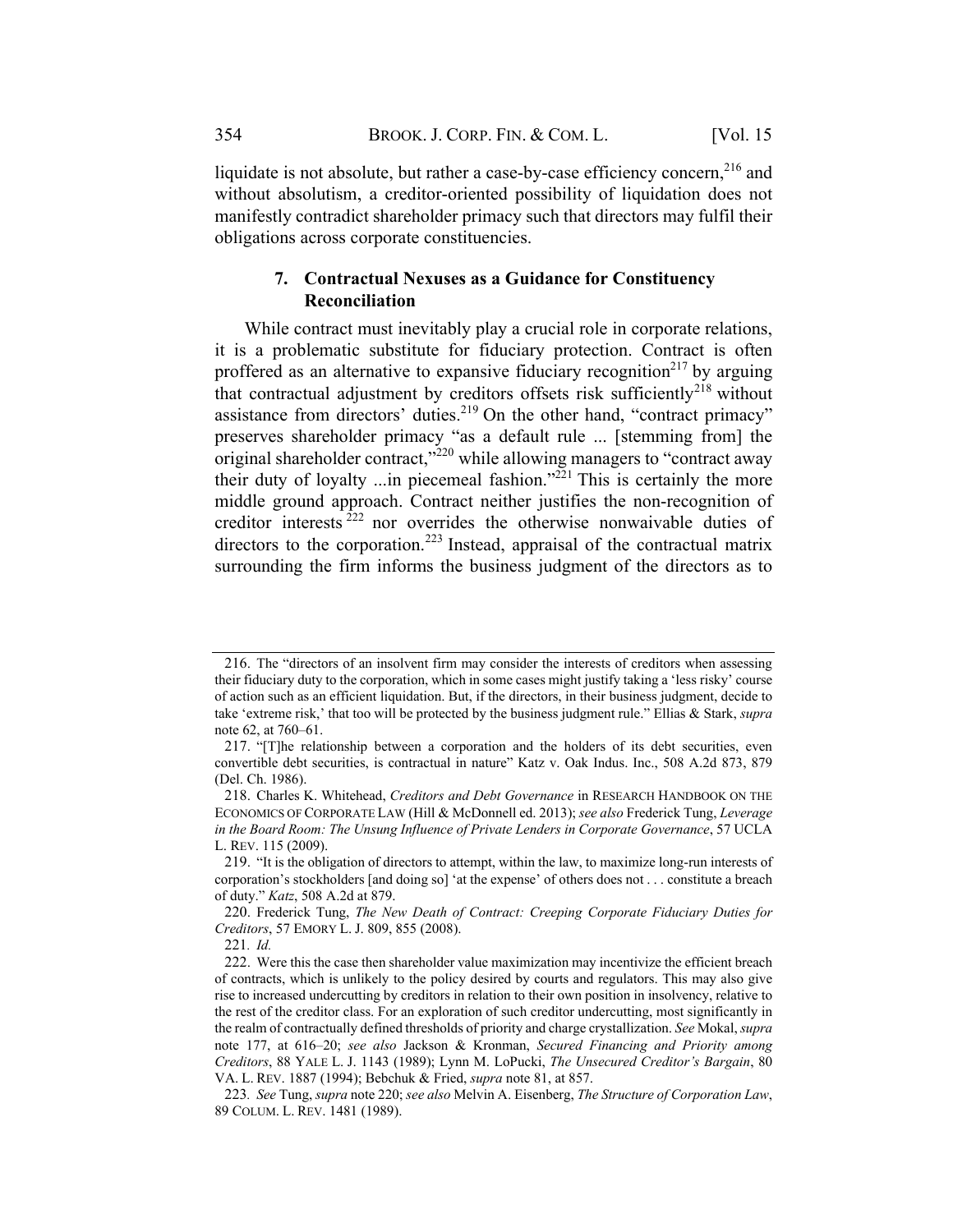liquidate is not absolute, but rather a case-by-case efficiency concern,<sup>216</sup> and without absolutism, a creditor-oriented possibility of liquidation does not manifestly contradict shareholder primacy such that directors may fulfil their obligations across corporate constituencies.

## 7. Contractual Nexuses as a Guidance for Constituency Reconciliation

While contract must inevitably play a crucial role in corporate relations, it is a problematic substitute for fiduciary protection. Contract is often proffered as an alternative to expansive fiduciary recognition<sup>217</sup> by arguing that contractual adjustment by creditors offsets risk sufficiently<sup>218</sup> without assistance from directors' duties.<sup>219</sup> On the other hand, "contract primacy" preserves shareholder primacy "as a default rule ... [stemming from] the original shareholder contract,"<sup>220</sup> while allowing managers to "contract away" their duty of loyalty ...in piecemeal fashion."221 This is certainly the more middle ground approach. Contract neither justifies the non-recognition of creditor interests <sup>222</sup> nor overrides the otherwise nonwaivable duties of directors to the corporation.<sup>223</sup> Instead, appraisal of the contractual matrix surrounding the firm informs the business judgment of the directors as to

<sup>216.</sup> The "directors of an insolvent firm may consider the interests of creditors when assessing their fiduciary duty to the corporation, which in some cases might justify taking a 'less risky' course of action such as an efficient liquidation. But, if the directors, in their business judgment, decide to take 'extreme risk,' that too will be protected by the business judgment rule." Ellias & Stark, *supra* note 62, at 760–61.

<sup>217.</sup> "[T]he relationship between a corporation and the holders of its debt securities, even convertible debt securities, is contractual in nature" Katz v. Oak Indus. Inc., 508 A.2d 873, 879 (Del. Ch. 1986).

<sup>218.</sup> Charles K. Whitehead, Creditors and Debt Governance in RESEARCH HANDBOOK ON THE ECONOMICS OF CORPORATE LAW (Hill & McDonnell ed. 2013); see also Frederick Tung, Leverage in the Board Room: The Unsung Influence of Private Lenders in Corporate Governance, 57 UCLA L. REV. 115 (2009).

<sup>219.</sup> "It is the obligation of directors to attempt, within the law, to maximize long-run interests of corporation's stockholders [and doing so] 'at the expense' of others does not . . . constitute a breach of duty." Katz, 508 A.2d at 879.

<sup>220.</sup> Frederick Tung, The New Death of Contract: Creeping Corporate Fiduciary Duties for Creditors, 57 EMORY L. J. 809, 855 (2008).

<sup>221</sup>. Id.

<sup>222.</sup> Were this the case then shareholder value maximization may incentivize the efficient breach of contracts, which is unlikely to the policy desired by courts and regulators. This may also give rise to increased undercutting by creditors in relation to their own position in insolvency, relative to the rest of the creditor class. For an exploration of such creditor undercutting, most significantly in the realm of contractually defined thresholds of priority and charge crystallization. See Mokal, supra note 177, at 616–20; see also Jackson & Kronman, Secured Financing and Priority among Creditors, 88 YALE L. J. 1143 (1989); Lynn M. LoPucki, The Unsecured Creditor's Bargain, 80 VA. L. REV. 1887 (1994); Bebchuk & Fried, supra note 81, at 857.

<sup>223</sup>. See Tung, supra note 220; see also Melvin A. Eisenberg, The Structure of Corporation Law, 89 COLUM. L. REV. 1481 (1989).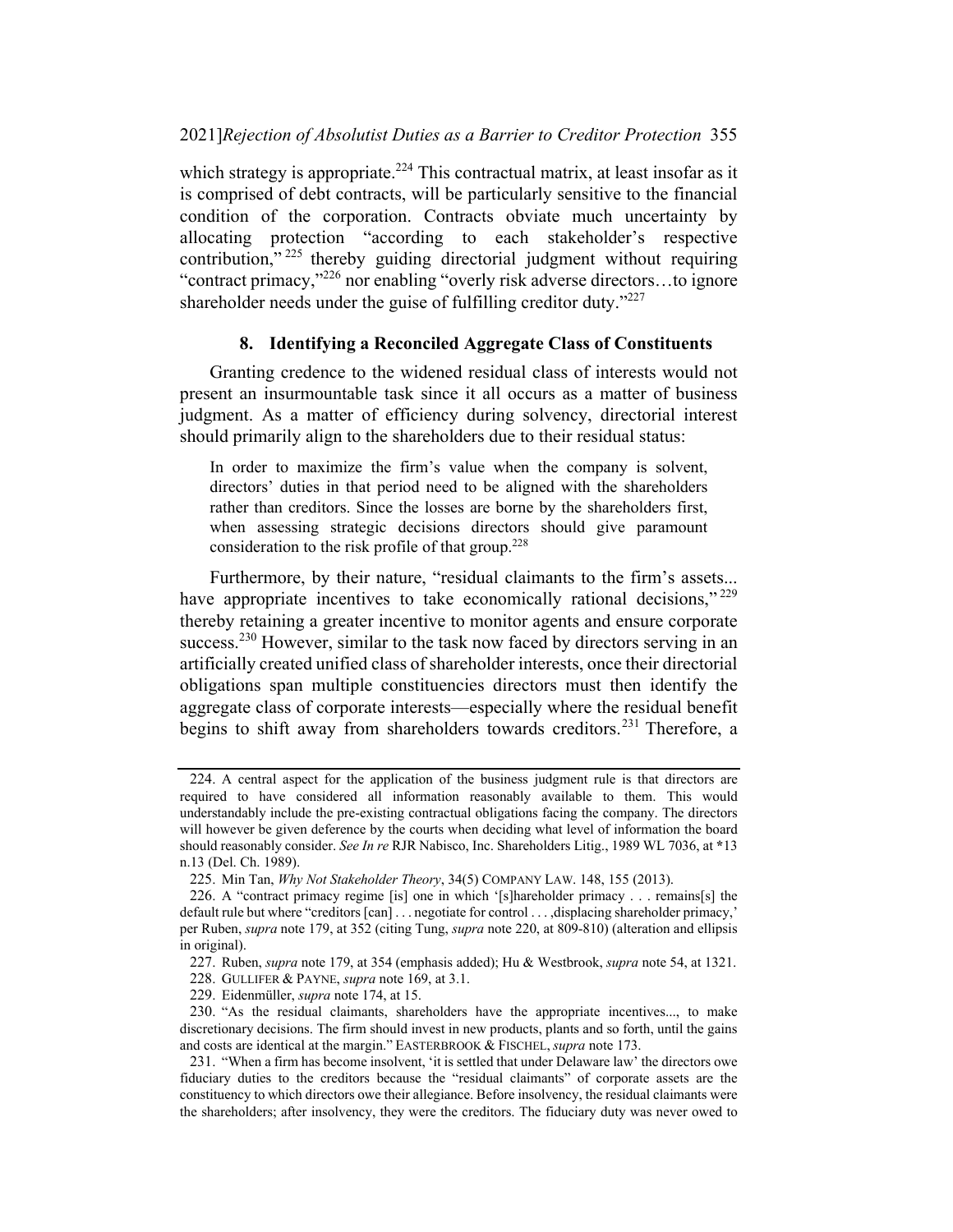which strategy is appropriate.<sup>224</sup> This contractual matrix, at least insofar as it is comprised of debt contracts, will be particularly sensitive to the financial condition of the corporation. Contracts obviate much uncertainty by allocating protection "according to each stakeholder's respective contribution,"<sup>225</sup> thereby guiding directorial judgment without requiring "contract primacy,"<sup>226</sup> nor enabling "overly risk adverse directors…to ignore shareholder needs under the guise of fulfilling creditor duty."<sup>227</sup>

#### 8. Identifying a Reconciled Aggregate Class of Constituents

Granting credence to the widened residual class of interests would not present an insurmountable task since it all occurs as a matter of business judgment. As a matter of efficiency during solvency, directorial interest should primarily align to the shareholders due to their residual status:

In order to maximize the firm's value when the company is solvent, directors' duties in that period need to be aligned with the shareholders rather than creditors. Since the losses are borne by the shareholders first, when assessing strategic decisions directors should give paramount consideration to the risk profile of that group.<sup>228</sup>

Furthermore, by their nature, "residual claimants to the firm's assets... have appropriate incentives to take economically rational decisions,"<sup>229</sup> thereby retaining a greater incentive to monitor agents and ensure corporate success.<sup>230</sup> However, similar to the task now faced by directors serving in an artificially created unified class of shareholder interests, once their directorial obligations span multiple constituencies directors must then identify the aggregate class of corporate interests—especially where the residual benefit begins to shift away from shareholders towards creditors.<sup>231</sup> Therefore, a

<sup>224.</sup> A central aspect for the application of the business judgment rule is that directors are required to have considered all information reasonably available to them. This would understandably include the pre-existing contractual obligations facing the company. The directors will however be given deference by the courts when deciding what level of information the board should reasonably consider. See In re RJR Nabisco, Inc. Shareholders Litig., 1989 WL 7036, at \*13 n.13 (Del. Ch. 1989).

<sup>225.</sup> Min Tan, Why Not Stakeholder Theory, 34(5) COMPANY LAW. 148, 155 (2013).

<sup>226.</sup> A "contract primacy regime [is] one in which '[s]hareholder primacy . . . remains[s] the default rule but where "creditors [can] . . . negotiate for control . . . ,displacing shareholder primacy,' per Ruben, *supra* note 179, at 352 (citing Tung, *supra* note 220, at 809-810) (alteration and ellipsis in original).

<sup>227.</sup> Ruben, *supra* note 179, at 354 (emphasis added); Hu & Westbrook, *supra* note 54, at 1321.

<sup>228.</sup> GULLIFER & PAYNE, *supra* note 169, at 3.1.

<sup>229.</sup> Eidenmüller, supra note 174, at 15.

<sup>230.</sup> "As the residual claimants, shareholders have the appropriate incentives..., to make discretionary decisions. The firm should invest in new products, plants and so forth, until the gains and costs are identical at the margin." EASTERBROOK & FISCHEL, supra note 173.

<sup>231.</sup> "When a firm has become insolvent, 'it is settled that under Delaware law' the directors owe fiduciary duties to the creditors because the "residual claimants" of corporate assets are the constituency to which directors owe their allegiance. Before insolvency, the residual claimants were the shareholders; after insolvency, they were the creditors. The fiduciary duty was never owed to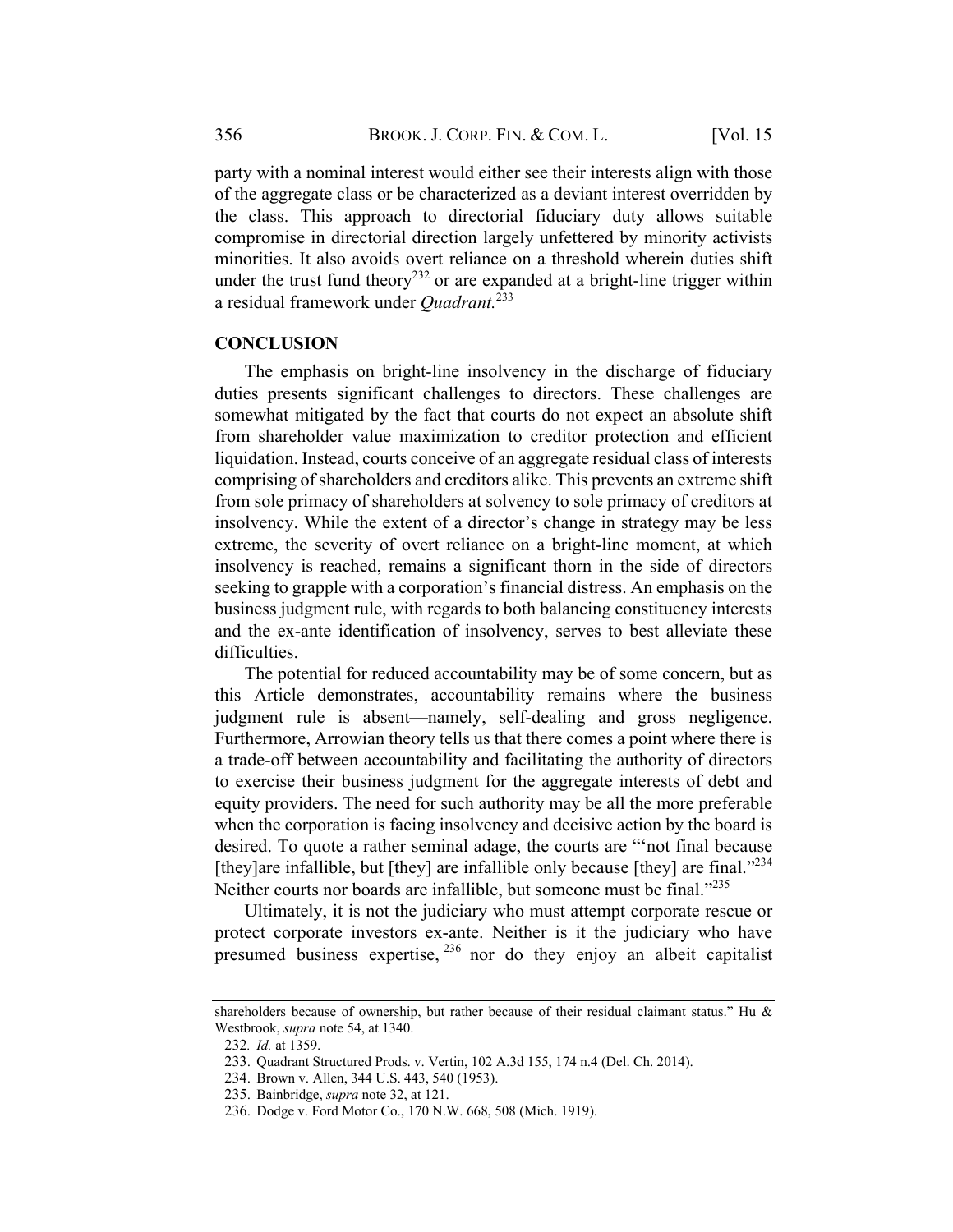party with a nominal interest would either see their interests align with those of the aggregate class or be characterized as a deviant interest overridden by the class. This approach to directorial fiduciary duty allows suitable compromise in directorial direction largely unfettered by minority activists minorities. It also avoids overt reliance on a threshold wherein duties shift under the trust fund theory<sup>232</sup> or are expanded at a bright-line trigger within a residual framework under *Quadrant*.<sup>233</sup>

#### **CONCLUSION**

The emphasis on bright-line insolvency in the discharge of fiduciary duties presents significant challenges to directors. These challenges are somewhat mitigated by the fact that courts do not expect an absolute shift from shareholder value maximization to creditor protection and efficient liquidation. Instead, courts conceive of an aggregate residual class of interests comprising of shareholders and creditors alike. This prevents an extreme shift from sole primacy of shareholders at solvency to sole primacy of creditors at insolvency. While the extent of a director's change in strategy may be less extreme, the severity of overt reliance on a bright-line moment, at which insolvency is reached, remains a significant thorn in the side of directors seeking to grapple with a corporation's financial distress. An emphasis on the business judgment rule, with regards to both balancing constituency interests and the ex-ante identification of insolvency, serves to best alleviate these difficulties.

The potential for reduced accountability may be of some concern, but as this Article demonstrates, accountability remains where the business judgment rule is absent—namely, self-dealing and gross negligence. Furthermore, Arrowian theory tells us that there comes a point where there is a trade-off between accountability and facilitating the authority of directors to exercise their business judgment for the aggregate interests of debt and equity providers. The need for such authority may be all the more preferable when the corporation is facing insolvency and decisive action by the board is desired. To quote a rather seminal adage, the courts are "'not final because [they]are infallible, but [they] are infallible only because [they] are final. $1234$ Neither courts nor boards are infallible, but someone must be final."<sup>235</sup>

Ultimately, it is not the judiciary who must attempt corporate rescue or protect corporate investors ex-ante. Neither is it the judiciary who have presumed business expertise,  $^{236}$  nor do they enjoy an albeit capitalist

shareholders because of ownership, but rather because of their residual claimant status." Hu & Westbrook, supra note 54, at 1340.

<sup>232</sup>. Id. at 1359.

<sup>233.</sup> Quadrant Structured Prods. v. Vertin, 102 A.3d 155, 174 n.4 (Del. Ch. 2014).

<sup>234.</sup> Brown v. Allen, 344 U.S. 443, 540 (1953).

<sup>235.</sup> Bainbridge, supra note 32, at 121.

<sup>236.</sup> Dodge v. Ford Motor Co., 170 N.W. 668, 508 (Mich. 1919).